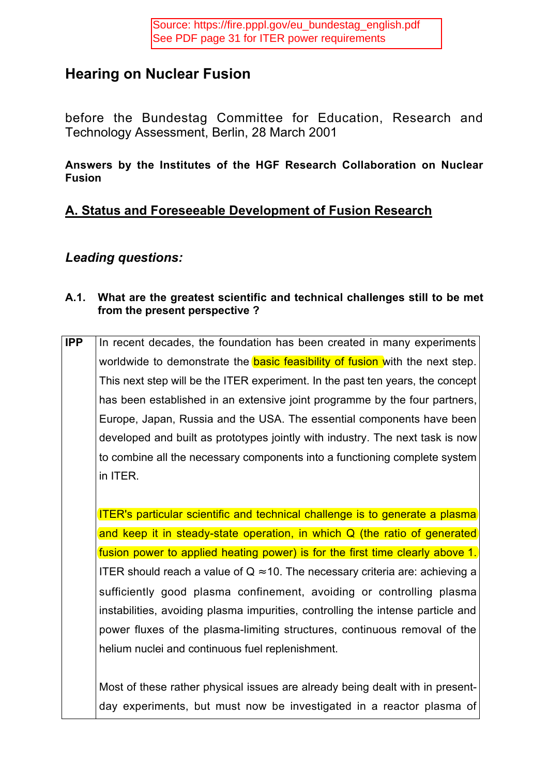# **Hearing on Nuclear Fusion**

before the Bundestag Committee for Education, Research and Technology Assessment, Berlin, 28 March 2001

### **Answers by the Institutes of the HGF Research Collaboration on Nuclear Fusion**

## **A. Status and Foreseeable Development of Fusion Research**

### *Leading questions:*

#### **A.1. What are the greatest scientific and technical challenges still to be met from the present perspective ?**

**IPP** In recent decades, the foundation has been created in many experiments worldwide to demonstrate the **basic feasibility of fusion** with the next step. This next step will be the ITER experiment. In the past ten years, the concept has been established in an extensive joint programme by the four partners, Europe, Japan, Russia and the USA. The essential components have been developed and built as prototypes jointly with industry. The next task is now to combine all the necessary components into a functioning complete system in ITER.

ITER's particular scientific and technical challenge is to generate a plasma and keep it in steady-state operation, in which Q (the ratio of generated fusion power to applied heating power) is for the first time clearly above 1. ITER should reach a value of  $Q \approx 10$ . The necessary criteria are: achieving a sufficiently good plasma confinement, avoiding or controlling plasma instabilities, avoiding plasma impurities, controlling the intense particle and power fluxes of the plasma-limiting structures, continuous removal of the helium nuclei and continuous fuel replenishment.

Most of these rather physical issues are already being dealt with in presentday experiments, but must now be investigated in a reactor plasma of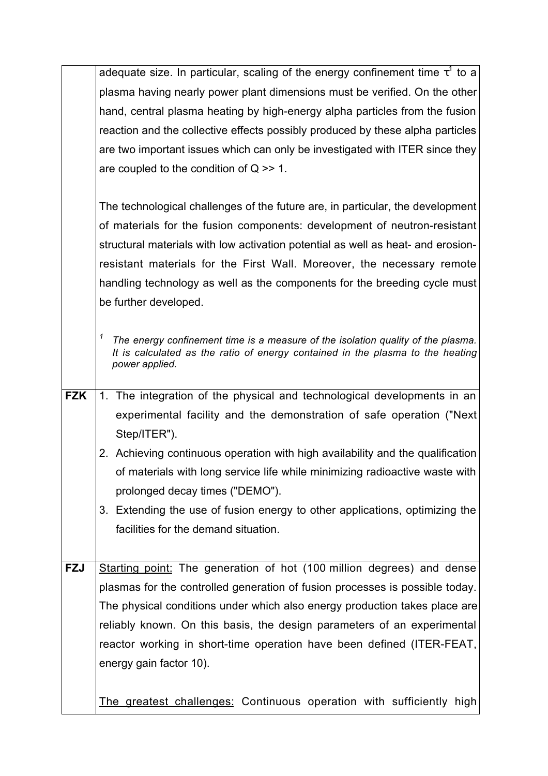|            | adequate size. In particular, scaling of the energy confinement time $\tau^{\dagger}$ to a                                                                                                |
|------------|-------------------------------------------------------------------------------------------------------------------------------------------------------------------------------------------|
|            | plasma having nearly power plant dimensions must be verified. On the other                                                                                                                |
|            | hand, central plasma heating by high-energy alpha particles from the fusion                                                                                                               |
|            | reaction and the collective effects possibly produced by these alpha particles                                                                                                            |
|            | are two important issues which can only be investigated with ITER since they                                                                                                              |
|            | are coupled to the condition of $Q \gg 1$ .                                                                                                                                               |
|            |                                                                                                                                                                                           |
|            | The technological challenges of the future are, in particular, the development                                                                                                            |
|            | of materials for the fusion components: development of neutron-resistant                                                                                                                  |
|            | structural materials with low activation potential as well as heat- and erosion-                                                                                                          |
|            | resistant materials for the First Wall. Moreover, the necessary remote                                                                                                                    |
|            | handling technology as well as the components for the breeding cycle must                                                                                                                 |
|            | be further developed.                                                                                                                                                                     |
|            |                                                                                                                                                                                           |
|            | 1<br>The energy confinement time is a measure of the isolation quality of the plasma.<br>It is calculated as the ratio of energy contained in the plasma to the heating<br>power applied. |
| <b>FZK</b> | 1. The integration of the physical and technological developments in an                                                                                                                   |
|            | experimental facility and the demonstration of safe operation ("Next"                                                                                                                     |
|            | Step/ITER").                                                                                                                                                                              |
|            | 2. Achieving continuous operation with high availability and the qualification                                                                                                            |
|            | of materials with long service life while minimizing radioactive waste with                                                                                                               |
|            | prolonged decay times ("DEMO").                                                                                                                                                           |
|            | 3. Extending the use of fusion energy to other applications, optimizing the                                                                                                               |
|            | facilities for the demand situation.                                                                                                                                                      |
|            |                                                                                                                                                                                           |
| <b>FZJ</b> | Starting point: The generation of hot (100 million degrees) and dense                                                                                                                     |
|            | plasmas for the controlled generation of fusion processes is possible today.                                                                                                              |
|            | The physical conditions under which also energy production takes place are                                                                                                                |
|            | reliably known. On this basis, the design parameters of an experimental                                                                                                                   |
|            | reactor working in short-time operation have been defined (ITER-FEAT,                                                                                                                     |
|            | energy gain factor 10).                                                                                                                                                                   |
|            |                                                                                                                                                                                           |
|            | The greatest challenges: Continuous operation with sufficiently high                                                                                                                      |
|            |                                                                                                                                                                                           |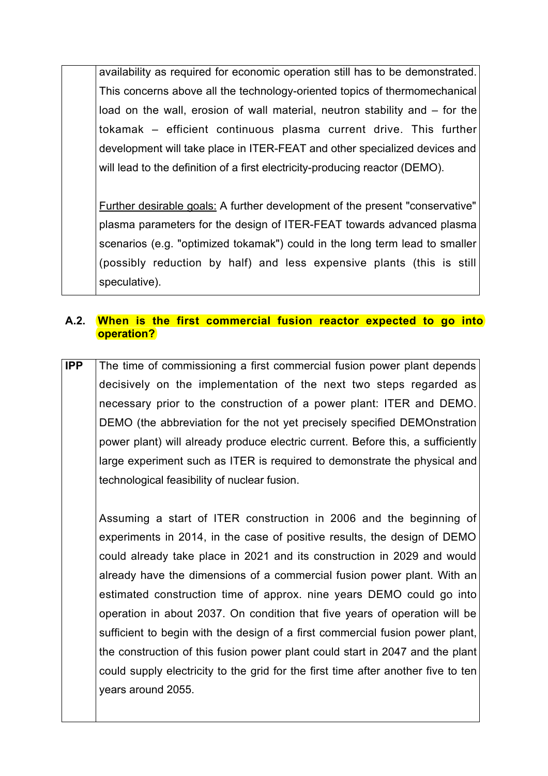availability as required for economic operation still has to be demonstrated. This concerns above all the technology-oriented topics of thermomechanical load on the wall, erosion of wall material, neutron stability and – for the tokamak – efficient continuous plasma current drive. This further development will take place in ITER-FEAT and other specialized devices and will lead to the definition of a first electricity-producing reactor (DEMO).

Further desirable goals: A further development of the present "conservative" plasma parameters for the design of ITER-FEAT towards advanced plasma scenarios (e.g. "optimized tokamak") could in the long term lead to smaller (possibly reduction by half) and less expensive plants (this is still speculative).

#### **A.2. When is the first commercial fusion reactor expected to go into operation?**

**IPP** The time of commissioning a first commercial fusion power plant depends decisively on the implementation of the next two steps regarded as necessary prior to the construction of a power plant: ITER and DEMO. DEMO (the abbreviation for the not yet precisely specified DEMOnstration power plant) will already produce electric current. Before this, a sufficiently large experiment such as ITER is required to demonstrate the physical and technological feasibility of nuclear fusion.

Assuming a start of ITER construction in 2006 and the beginning of experiments in 2014, in the case of positive results, the design of DEMO could already take place in 2021 and its construction in 2029 and would already have the dimensions of a commercial fusion power plant. With an estimated construction time of approx. nine years DEMO could go into operation in about 2037. On condition that five years of operation will be sufficient to begin with the design of a first commercial fusion power plant, the construction of this fusion power plant could start in 2047 and the plant could supply electricity to the grid for the first time after another five to ten years around 2055.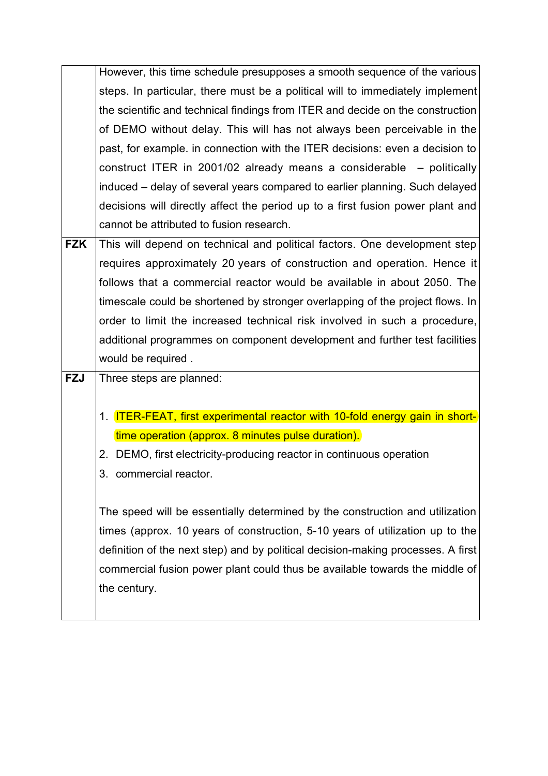|                   | However, this time schedule presupposes a smooth sequence of the various           |
|-------------------|------------------------------------------------------------------------------------|
|                   | steps. In particular, there must be a political will to immediately implement      |
|                   | the scientific and technical findings from ITER and decide on the construction     |
|                   | of DEMO without delay. This will has not always been perceivable in the            |
|                   | past, for example. in connection with the ITER decisions: even a decision to       |
|                   | construct ITER in 2001/02 already means a considerable $-$ politically             |
|                   | induced – delay of several years compared to earlier planning. Such delayed        |
|                   | decisions will directly affect the period up to a first fusion power plant and     |
|                   | cannot be attributed to fusion research.                                           |
| $\overline{F}$ ZK | This will depend on technical and political factors. One development step          |
|                   | requires approximately 20 years of construction and operation. Hence it            |
|                   | follows that a commercial reactor would be available in about 2050. The            |
|                   | timescale could be shortened by stronger overlapping of the project flows. In      |
|                   | order to limit the increased technical risk involved in such a procedure,          |
|                   | additional programmes on component development and further test facilities         |
|                   | would be required.                                                                 |
| <b>FZJ</b>        | Three steps are planned:                                                           |
|                   |                                                                                    |
|                   | 1. <b>ITER-FEAT, first experimental reactor with 10-fold energy gain in short-</b> |
|                   | time operation (approx. 8 minutes pulse duration).                                 |
|                   | 2. DEMO, first electricity-producing reactor in continuous operation               |
|                   | commercial reactor.<br>3.                                                          |
|                   |                                                                                    |
|                   | The speed will be essentially determined by the construction and utilization       |
|                   | times (approx. 10 years of construction, 5-10 years of utilization up to the       |
|                   | definition of the next step) and by political decision-making processes. A first   |
|                   | commercial fusion power plant could thus be available towards the middle of        |
|                   | the century.                                                                       |
|                   |                                                                                    |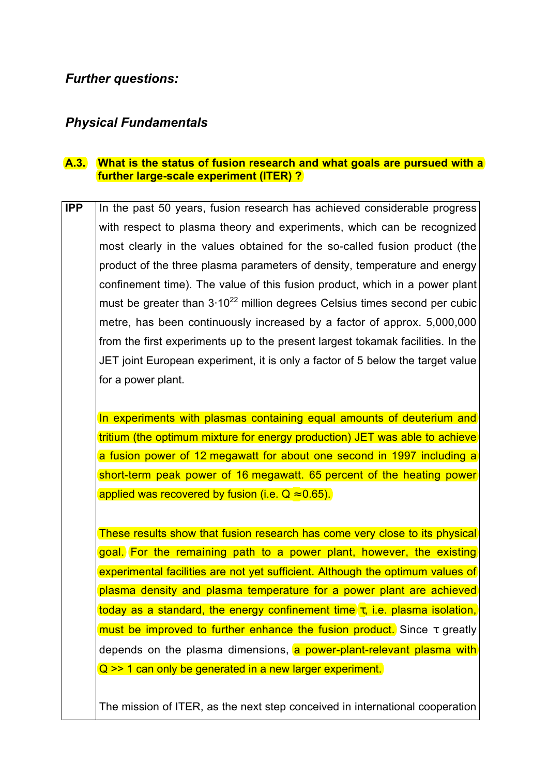### *Further questions:*

### *Physical Fundamentals*

#### **A.3. What is the status of fusion research and what goals are pursued with a further large-scale experiment (ITER) ?**

**IPP** In the past 50 years, fusion research has achieved considerable progress with respect to plasma theory and experiments, which can be recognized most clearly in the values obtained for the so-called fusion product (the product of the three plasma parameters of density, temperature and energy confinement time). The value of this fusion product, which in a power plant must be greater than  $3.10^{22}$  million degrees Celsius times second per cubic metre, has been continuously increased by a factor of approx. 5,000,000 from the first experiments up to the present largest tokamak facilities. In the JET joint European experiment, it is only a factor of 5 below the target value for a power plant.

In experiments with plasmas containing equal amounts of deuterium and tritium (the optimum mixture for energy production) JET was able to achieve a fusion power of 12 megawatt for about one second in 1997 including a short-term peak power of 16 megawatt. 65 percent of the heating power applied was recovered by fusion (i.e.  $Q \approx 0.65$ ).

These results show that fusion research has come very close to its physical goal. For the remaining path to a power plant, however, the existing experimental facilities are not yet sufficient. Although the optimum values of plasma density and plasma temperature for a power plant are achieved today as a standard, the energy confinement time  $\tau$ , i.e. plasma isolation, must be improved to further enhance the fusion product. Since  $\tau$  greatly depends on the plasma dimensions, a power-plant-relevant plasma with Q >> 1 can only be generated in a new larger experiment.

The mission of ITER, as the next step conceived in international cooperation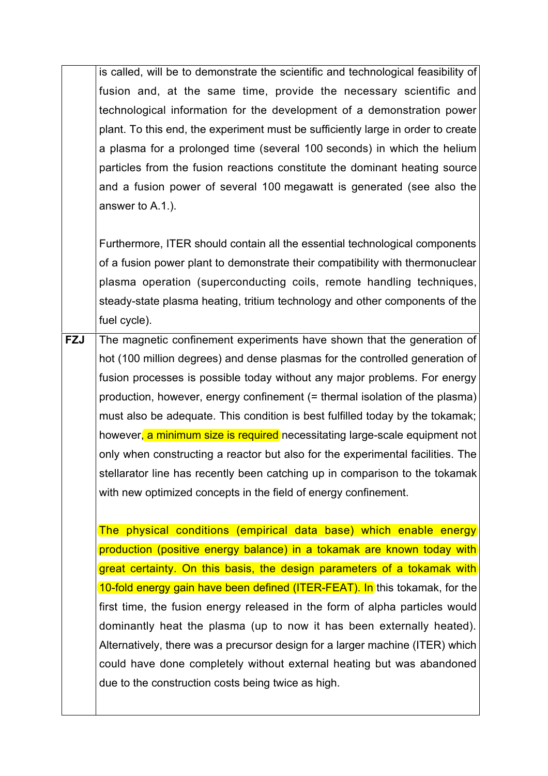is called, will be to demonstrate the scientific and technological feasibility of fusion and, at the same time, provide the necessary scientific and technological information for the development of a demonstration power plant. To this end, the experiment must be sufficiently large in order to create a plasma for a prolonged time (several 100 seconds) in which the helium particles from the fusion reactions constitute the dominant heating source and a fusion power of several 100 megawatt is generated (see also the answer to A.1.).

Furthermore, ITER should contain all the essential technological components of a fusion power plant to demonstrate their compatibility with thermonuclear plasma operation (superconducting coils, remote handling techniques, steady-state plasma heating, tritium technology and other components of the fuel cycle).

**FZJ** The magnetic confinement experiments have shown that the generation of hot (100 million degrees) and dense plasmas for the controlled generation of fusion processes is possible today without any major problems. For energy production, however, energy confinement (= thermal isolation of the plasma) must also be adequate. This condition is best fulfilled today by the tokamak; however, a minimum size is required necessitating large-scale equipment not only when constructing a reactor but also for the experimental facilities. The stellarator line has recently been catching up in comparison to the tokamak with new optimized concepts in the field of energy confinement.

The physical conditions (empirical data base) which enable energy production (positive energy balance) in a tokamak are known today with great certainty. On this basis, the design parameters of a tokamak with 10-fold energy gain have been defined (ITER-FEAT). In this tokamak, for the first time, the fusion energy released in the form of alpha particles would dominantly heat the plasma (up to now it has been externally heated). Alternatively, there was a precursor design for a larger machine (ITER) which could have done completely without external heating but was abandoned due to the construction costs being twice as high.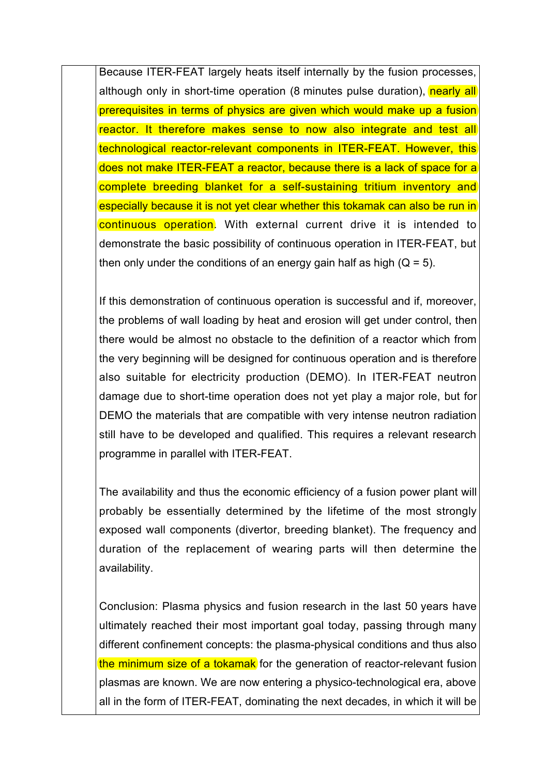Because ITER-FEAT largely heats itself internally by the fusion processes, although only in short-time operation (8 minutes pulse duration), nearly all prerequisites in terms of physics are given which would make up a fusion reactor. It therefore makes sense to now also integrate and test all technological reactor-relevant components in ITER-FEAT. However, this does not make ITER-FEAT a reactor, because there is a lack of space for a complete breeding blanket for a self-sustaining tritium inventory and especially because it is not yet clear whether this tokamak can also be run in continuous operation. With external current drive it is intended to demonstrate the basic possibility of continuous operation in ITER-FEAT, but then only under the conditions of an energy gain half as high  $(Q = 5)$ .

If this demonstration of continuous operation is successful and if, moreover, the problems of wall loading by heat and erosion will get under control, then there would be almost no obstacle to the definition of a reactor which from the very beginning will be designed for continuous operation and is therefore also suitable for electricity production (DEMO). In ITER-FEAT neutron damage due to short-time operation does not yet play a major role, but for DEMO the materials that are compatible with very intense neutron radiation still have to be developed and qualified. This requires a relevant research programme in parallel with ITER-FEAT.

The availability and thus the economic efficiency of a fusion power plant will probably be essentially determined by the lifetime of the most strongly exposed wall components (divertor, breeding blanket). The frequency and duration of the replacement of wearing parts will then determine the availability.

Conclusion: Plasma physics and fusion research in the last 50 years have ultimately reached their most important goal today, passing through many different confinement concepts: the plasma-physical conditions and thus also the minimum size of a tokamak for the generation of reactor-relevant fusion plasmas are known. We are now entering a physico-technological era, above all in the form of ITER-FEAT, dominating the next decades, in which it will be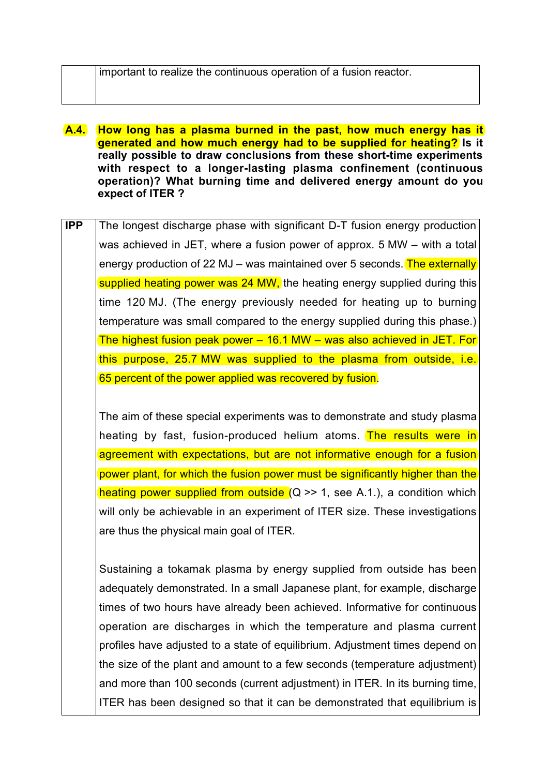- **A.4. How long has a plasma burned in the past, how much energy has it generated and how much energy had to be supplied for heating? Is it really possible to draw conclusions from these short-time experiments with respect to a longer-lasting plasma confinement (continuous operation)? What burning time and delivered energy amount do you expect of ITER ?**
- **IPP** The longest discharge phase with significant D-T fusion energy production was achieved in JET, where a fusion power of approx. 5 MW – with a total energy production of 22 MJ – was maintained over 5 seconds. The externally supplied heating power was 24 MW, the heating energy supplied during this time 120 MJ. (The energy previously needed for heating up to burning temperature was small compared to the energy supplied during this phase.) The highest fusion peak power – 16.1 MW – was also achieved in JET. For this purpose, 25.7 MW was supplied to the plasma from outside, i.e. 65 percent of the power applied was recovered by fusion.

The aim of these special experiments was to demonstrate and study plasma heating by fast, fusion-produced helium atoms. The results were in agreement with expectations, but are not informative enough for a fusion power plant, for which the fusion power must be significantly higher than the heating power supplied from outside  $(Q \gg 1)$ , see A.1.), a condition which will only be achievable in an experiment of ITER size. These investigations are thus the physical main goal of ITER.

Sustaining a tokamak plasma by energy supplied from outside has been adequately demonstrated. In a small Japanese plant, for example, discharge times of two hours have already been achieved. Informative for continuous operation are discharges in which the temperature and plasma current profiles have adjusted to a state of equilibrium. Adjustment times depend on the size of the plant and amount to a few seconds (temperature adjustment) and more than 100 seconds (current adjustment) in ITER. In its burning time, ITER has been designed so that it can be demonstrated that equilibrium is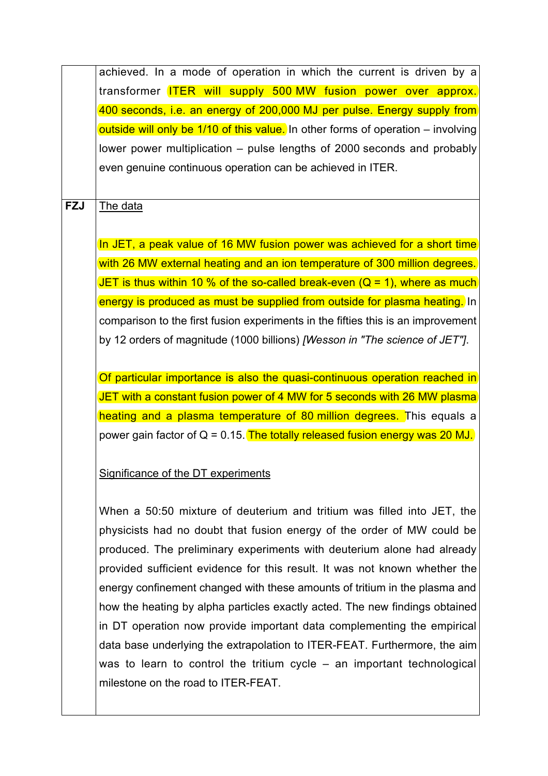achieved. In a mode of operation in which the current is driven by a transformer ITER will supply 500 MW fusion power over approx. 400 seconds, i.e. an energy of 200,000 MJ per pulse. Energy supply from outside will only be 1/10 of this value. In other forms of operation – involving lower power multiplication – pulse lengths of 2000 seconds and probably even genuine continuous operation can be achieved in ITER.

**FZJ** The data

In JET, a peak value of 16 MW fusion power was achieved for a short time with 26 MW external heating and an ion temperature of 300 million degrees. JET is thus within 10 % of the so-called break-even  $(Q = 1)$ , where as much energy is produced as must be supplied from outside for plasma heating. In comparison to the first fusion experiments in the fifties this is an improvement by 12 orders of magnitude (1000 billions) *[Wesson in "The science of JET"]*.

Of particular importance is also the quasi-continuous operation reached in JET with a constant fusion power of 4 MW for 5 seconds with 26 MW plasma heating and a plasma temperature of 80 million degrees. This equals a power gain factor of  $Q = 0.15$ . The totally released fusion energy was 20 MJ.

### Significance of the DT experiments

When a 50:50 mixture of deuterium and tritium was filled into JET, the physicists had no doubt that fusion energy of the order of MW could be produced. The preliminary experiments with deuterium alone had already provided sufficient evidence for this result. It was not known whether the energy confinement changed with these amounts of tritium in the plasma and how the heating by alpha particles exactly acted. The new findings obtained in DT operation now provide important data complementing the empirical data base underlying the extrapolation to ITER-FEAT. Furthermore, the aim was to learn to control the tritium cycle – an important technological milestone on the road to ITER-FEAT.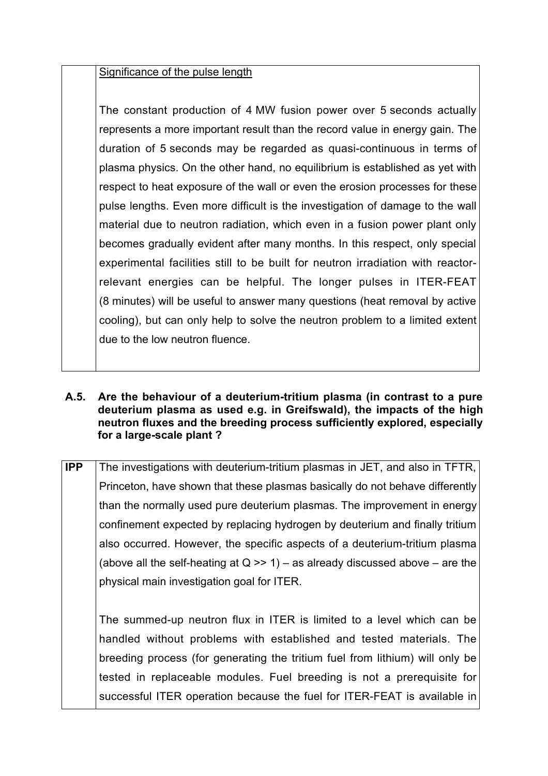#### Significance of the pulse length

The constant production of 4 MW fusion power over 5 seconds actually represents a more important result than the record value in energy gain. The duration of 5 seconds may be regarded as quasi-continuous in terms of plasma physics. On the other hand, no equilibrium is established as yet with respect to heat exposure of the wall or even the erosion processes for these pulse lengths. Even more difficult is the investigation of damage to the wall material due to neutron radiation, which even in a fusion power plant only becomes gradually evident after many months. In this respect, only special experimental facilities still to be built for neutron irradiation with reactorrelevant energies can be helpful. The longer pulses in ITER-FEAT (8 minutes) will be useful to answer many questions (heat removal by active cooling), but can only help to solve the neutron problem to a limited extent due to the low neutron fluence.

#### **A.5. Are the behaviour of a deuterium-tritium plasma (in contrast to a pure deuterium plasma as used e.g. in Greifswald), the impacts of the high neutron fluxes and the breeding process sufficiently explored, especially for a large-scale plant ?**

**IPP** The investigations with deuterium-tritium plasmas in JET, and also in TFTR, Princeton, have shown that these plasmas basically do not behave differently than the normally used pure deuterium plasmas. The improvement in energy confinement expected by replacing hydrogen by deuterium and finally tritium also occurred. However, the specific aspects of a deuterium-tritium plasma (above all the self-heating at  $Q \gg 1$ ) – as already discussed above – are the physical main investigation goal for ITER.

The summed-up neutron flux in ITER is limited to a level which can be handled without problems with established and tested materials. The breeding process (for generating the tritium fuel from lithium) will only be tested in replaceable modules. Fuel breeding is not a prerequisite for successful ITER operation because the fuel for ITER-FEAT is available in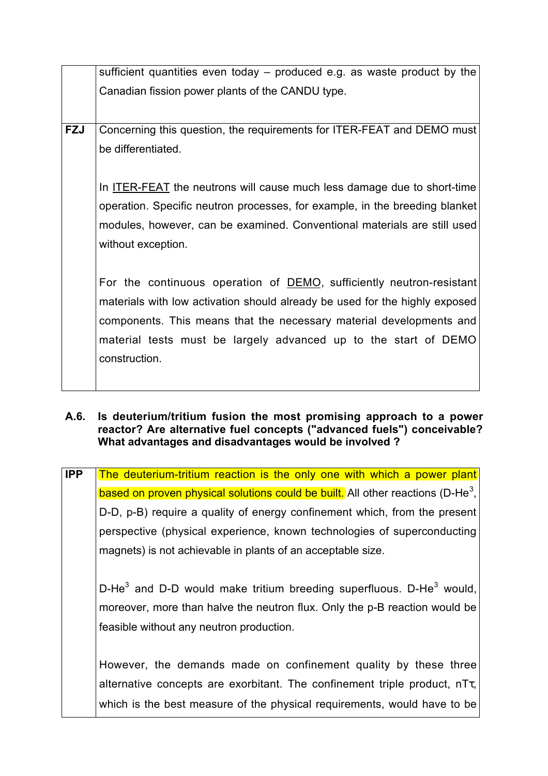|            | sufficient quantities even today – produced e.g. as waste product by the    |
|------------|-----------------------------------------------------------------------------|
|            | Canadian fission power plants of the CANDU type.                            |
|            |                                                                             |
|            |                                                                             |
| <b>FZJ</b> | Concerning this question, the requirements for ITER-FEAT and DEMO must      |
|            | be differentiated.                                                          |
|            |                                                                             |
|            |                                                                             |
|            | In ITER-FEAT the neutrons will cause much less damage due to short-time     |
|            | operation. Specific neutron processes, for example, in the breeding blanket |
|            | modules, however, can be examined. Conventional materials are still used    |
|            | without exception.                                                          |
|            |                                                                             |
|            |                                                                             |
|            | For the continuous operation of DEMO, sufficiently neutron-resistant        |
|            | materials with low activation should already be used for the highly exposed |
|            | components. This means that the necessary material developments and         |
|            | material tests must be largely advanced up to the start of DEMO             |
|            |                                                                             |
|            | construction.                                                               |
|            |                                                                             |

#### **A.6. Is deuterium/tritium fusion the most promising approach to a power reactor? Are alternative fuel concepts ("advanced fuels") conceivable? What advantages and disadvantages would be involved ?**

| <b>IPP</b> | The deuterium-tritium reaction is the only one with which a power plant                     |
|------------|---------------------------------------------------------------------------------------------|
|            | based on proven physical solutions could be built. All other reactions (D-He <sup>3</sup> , |
|            | D-D, p-B) require a quality of energy confinement which, from the present                   |
|            | perspective (physical experience, known technologies of superconducting                     |
|            | magnets) is not achievable in plants of an acceptable size.                                 |
|            |                                                                                             |
|            | D-He <sup>3</sup> and D-D would make tritium breeding superfluous. D-He <sup>3</sup> would, |
|            | moreover, more than halve the neutron flux. Only the p-B reaction would be                  |
|            | feasible without any neutron production.                                                    |
|            |                                                                                             |
|            | However, the demands made on confinement quality by these three                             |
|            | alternative concepts are exorbitant. The confinement triple product, $n\tau_{\tau}$ ,       |
|            | which is the best measure of the physical requirements, would have to be                    |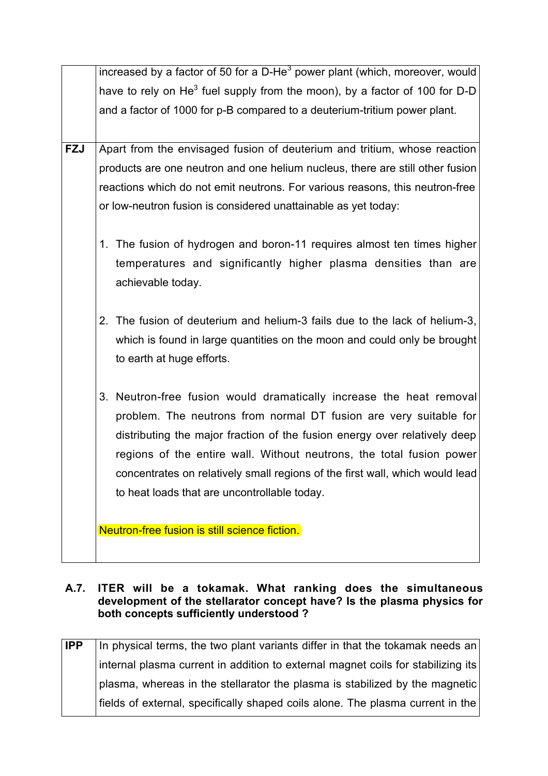|            | increased by a factor of 50 for a D-He <sup>3</sup> power plant (which, moreover, would |
|------------|-----------------------------------------------------------------------------------------|
|            | have to rely on He <sup>3</sup> fuel supply from the moon), by a factor of 100 for D-D  |
|            | and a factor of 1000 for p-B compared to a deuterium-tritium power plant.               |
|            |                                                                                         |
| <b>FZJ</b> | Apart from the envisaged fusion of deuterium and tritium, whose reaction                |
|            | products are one neutron and one helium nucleus, there are still other fusion           |
|            | reactions which do not emit neutrons. For various reasons, this neutron-free            |
|            | or low-neutron fusion is considered unattainable as yet today:                          |
|            |                                                                                         |
|            | 1. The fusion of hydrogen and boron-11 requires almost ten times higher                 |
|            | temperatures and significantly higher plasma densities than are                         |
|            | achievable today.                                                                       |
|            |                                                                                         |
|            | 2. The fusion of deuterium and helium-3 fails due to the lack of helium-3,              |
|            | which is found in large quantities on the moon and could only be brought                |
|            | to earth at huge efforts.                                                               |
|            |                                                                                         |
|            | 3. Neutron-free fusion would dramatically increase the heat removal                     |
|            | problem. The neutrons from normal DT fusion are very suitable for                       |
|            | distributing the major fraction of the fusion energy over relatively deep               |
|            | regions of the entire wall. Without neutrons, the total fusion power                    |
|            | concentrates on relatively small regions of the first wall, which would lead            |
|            | to heat loads that are uncontrollable today.                                            |
|            |                                                                                         |
|            | Neutron-free fusion is still science fiction.                                           |
|            |                                                                                         |

#### **A.7. ITER will be a tokamak. What ranking does the simultaneous development of the stellarator concept have? Is the plasma physics for both concepts sufficiently understood ?**

**IPP** In physical terms, the two plant variants differ in that the tokamak needs an internal plasma current in addition to external magnet coils for stabilizing its plasma, whereas in the stellarator the plasma is stabilized by the magnetic fields of external, specifically shaped coils alone. The plasma current in the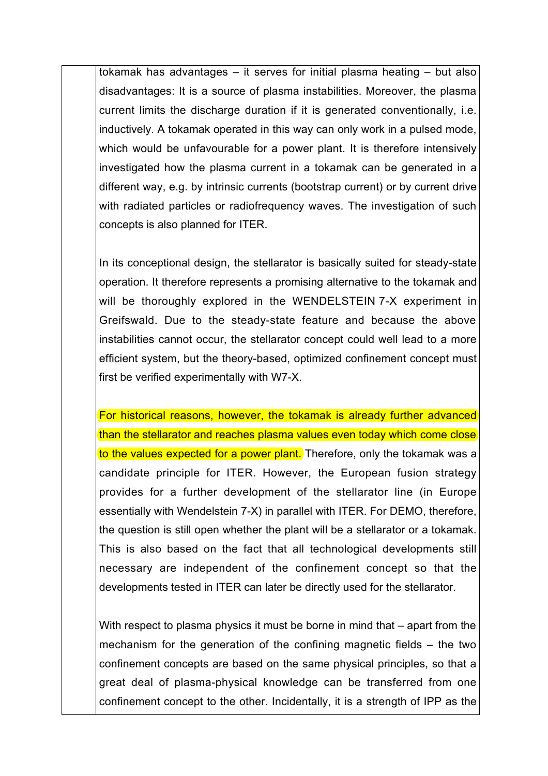tokamak has advantages – it serves for initial plasma heating – but also disadvantages: It is a source of plasma instabilities. Moreover, the plasma current limits the discharge duration if it is generated conventionally, i.e. inductively. A tokamak operated in this way can only work in a pulsed mode, which would be unfavourable for a power plant. It is therefore intensively investigated how the plasma current in a tokamak can be generated in a different way, e.g. by intrinsic currents (bootstrap current) or by current drive with radiated particles or radiofrequency waves. The investigation of such concepts is also planned for ITER.

In its conceptional design, the stellarator is basically suited for steady-state operation. It therefore represents a promising alternative to the tokamak and will be thoroughly explored in the WENDELSTEIN 7-X experiment in Greifswald. Due to the steady-state feature and because the above instabilities cannot occur, the stellarator concept could well lead to a more efficient system, but the theory-based, optimized confinement concept must first be verified experimentally with W7-X.

For historical reasons, however, the tokamak is already further advanced than the stellarator and reaches plasma values even today which come close to the values expected for a power plant. Therefore, only the tokamak was a candidate principle for ITER. However, the European fusion strategy provides for a further development of the stellarator line (in Europe essentially with Wendelstein 7-X) in parallel with ITER. For DEMO, therefore, the question is still open whether the plant will be a stellarator or a tokamak. This is also based on the fact that all technological developments still necessary are independent of the confinement concept so that the developments tested in ITER can later be directly used for the stellarator.

With respect to plasma physics it must be borne in mind that – apart from the mechanism for the generation of the confining magnetic fields – the two confinement concepts are based on the same physical principles, so that a great deal of plasma-physical knowledge can be transferred from one confinement concept to the other. Incidentally, it is a strength of IPP as the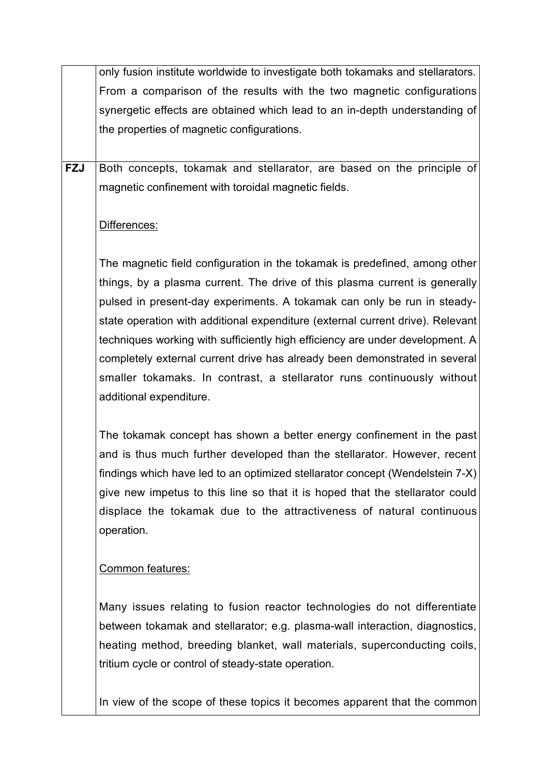only fusion institute worldwide to investigate both tokamaks and stellarators. From a comparison of the results with the two magnetic configurations synergetic effects are obtained which lead to an in-depth understanding of the properties of magnetic configurations.

**FZJ** Both concepts, tokamak and stellarator, are based on the principle of magnetic confinement with toroidal magnetic fields.

### Differences:

The magnetic field configuration in the tokamak is predefined, among other things, by a plasma current. The drive of this plasma current is generally pulsed in present-day experiments. A tokamak can only be run in steadystate operation with additional expenditure (external current drive). Relevant techniques working with sufficiently high efficiency are under development. A completely external current drive has already been demonstrated in several smaller tokamaks. In contrast, a stellarator runs continuously without additional expenditure.

The tokamak concept has shown a better energy confinement in the past and is thus much further developed than the stellarator. However, recent findings which have led to an optimized stellarator concept (Wendelstein 7-X) give new impetus to this line so that it is hoped that the stellarator could displace the tokamak due to the attractiveness of natural continuous operation.

### Common features:

Many issues relating to fusion reactor technologies do not differentiate between tokamak and stellarator; e.g. plasma-wall interaction, diagnostics, heating method, breeding blanket, wall materials, superconducting coils, tritium cycle or control of steady-state operation.

In view of the scope of these topics it becomes apparent that the common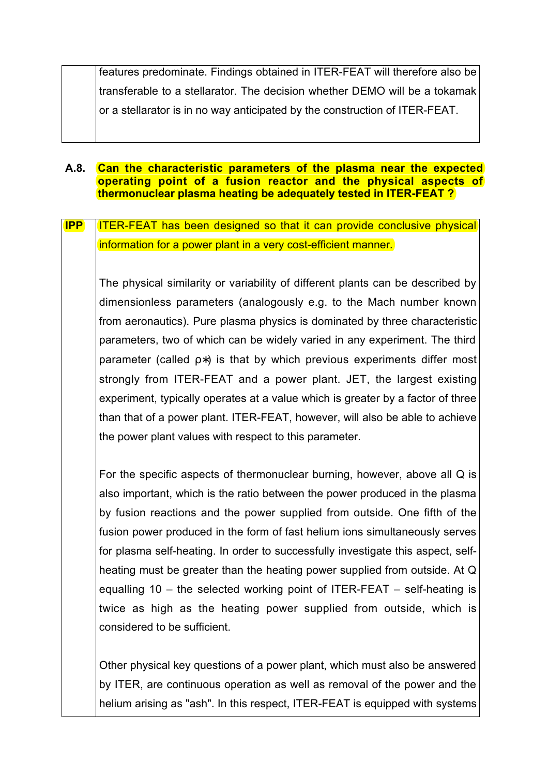features predominate. Findings obtained in ITER-FEAT will therefore also be transferable to a stellarator. The decision whether DEMO will be a tokamak or a stellarator is in no way anticipated by the construction of ITER-FEAT.

#### **A.8. Can the characteristic parameters of the plasma near the expected operating point of a fusion reactor and the physical aspects of thermonuclear plasma heating be adequately tested in ITER-FEAT ?**

**IPP** ITER-FEAT has been designed so that it can provide conclusive physical information for a power plant in a very cost-efficient manner.

The physical similarity or variability of different plants can be described by dimensionless parameters (analogously e.g. to the Mach number known from aeronautics). Pure plasma physics is dominated by three characteristic parameters, two of which can be widely varied in any experiment. The third parameter (called ρ∗) is that by which previous experiments differ most strongly from ITER-FEAT and a power plant. JET, the largest existing experiment, typically operates at a value which is greater by a factor of three than that of a power plant. ITER-FEAT, however, will also be able to achieve the power plant values with respect to this parameter.

For the specific aspects of thermonuclear burning, however, above all Q is also important, which is the ratio between the power produced in the plasma by fusion reactions and the power supplied from outside. One fifth of the fusion power produced in the form of fast helium ions simultaneously serves for plasma self-heating. In order to successfully investigate this aspect, selfheating must be greater than the heating power supplied from outside. At Q equalling 10 – the selected working point of ITER-FEAT – self-heating is twice as high as the heating power supplied from outside, which is considered to be sufficient.

Other physical key questions of a power plant, which must also be answered by ITER, are continuous operation as well as removal of the power and the helium arising as "ash". In this respect, ITER-FEAT is equipped with systems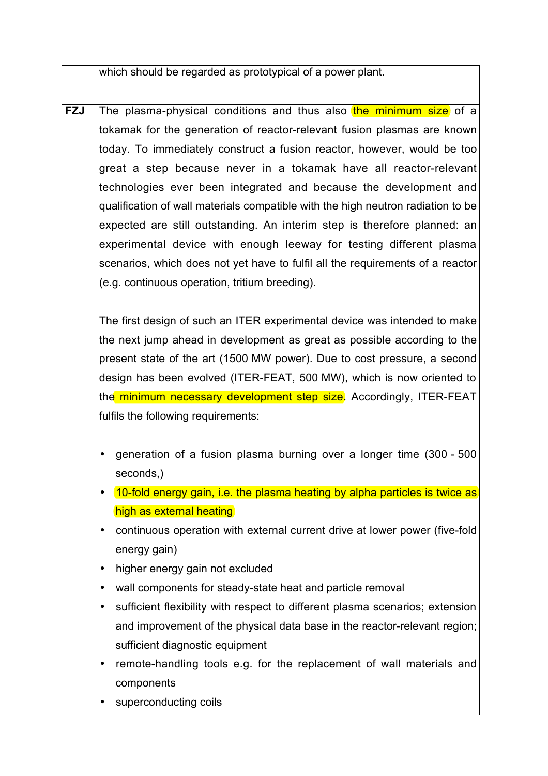which should be regarded as prototypical of a power plant.

**FZJ** The plasma-physical conditions and thus also the minimum size of a tokamak for the generation of reactor-relevant fusion plasmas are known today. To immediately construct a fusion reactor, however, would be too great a step because never in a tokamak have all reactor-relevant technologies ever been integrated and because the development and qualification of wall materials compatible with the high neutron radiation to be expected are still outstanding. An interim step is therefore planned: an experimental device with enough leeway for testing different plasma scenarios, which does not yet have to fulfil all the requirements of a reactor (e.g. continuous operation, tritium breeding).

The first design of such an ITER experimental device was intended to make the next jump ahead in development as great as possible according to the present state of the art (1500 MW power). Due to cost pressure, a second design has been evolved (ITER-FEAT, 500 MW), which is now oriented to the minimum necessary development step size. Accordingly, ITER-FEAT fulfils the following requirements:

- generation of a fusion plasma burning over a longer time (300 500 seconds,)
- 10-fold energy gain, i.e. the plasma heating by alpha particles is twice as high as external heating
- continuous operation with external current drive at lower power (five-fold energy gain)
- higher energy gain not excluded
- wall components for steady-state heat and particle removal
- sufficient flexibility with respect to different plasma scenarios; extension and improvement of the physical data base in the reactor-relevant region; sufficient diagnostic equipment
- remote-handling tools e.g. for the replacement of wall materials and components
- superconducting coils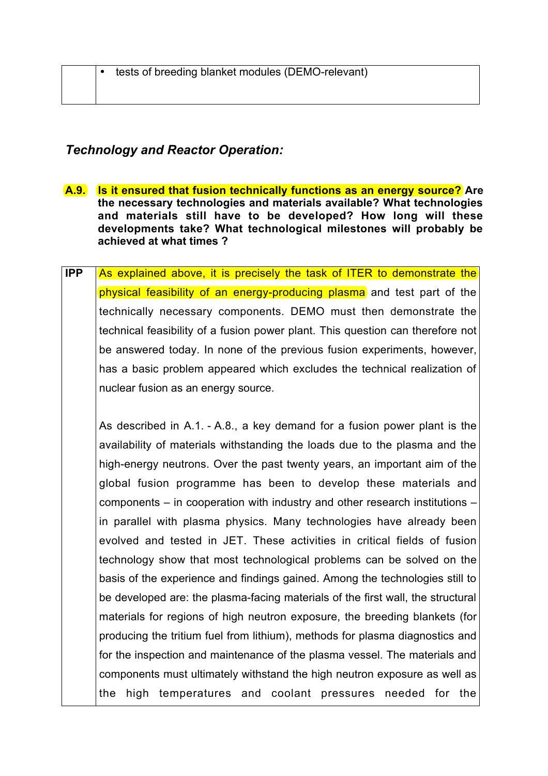### *Technology and Reactor Operation:*

- **A.9. Is it ensured that fusion technically functions as an energy source? Are the necessary technologies and materials available? What technologies and materials still have to be developed? How long will these developments take? What technological milestones will probably be achieved at what times ?**
- **IPP** As explained above, it is precisely the task of ITER to demonstrate the physical feasibility of an energy-producing plasma and test part of the technically necessary components. DEMO must then demonstrate the technical feasibility of a fusion power plant. This question can therefore not be answered today. In none of the previous fusion experiments, however, has a basic problem appeared which excludes the technical realization of nuclear fusion as an energy source.

As described in A.1. - A.8., a key demand for a fusion power plant is the availability of materials withstanding the loads due to the plasma and the high-energy neutrons. Over the past twenty years, an important aim of the global fusion programme has been to develop these materials and components – in cooperation with industry and other research institutions – in parallel with plasma physics. Many technologies have already been evolved and tested in JET. These activities in critical fields of fusion technology show that most technological problems can be solved on the basis of the experience and findings gained. Among the technologies still to be developed are: the plasma-facing materials of the first wall, the structural materials for regions of high neutron exposure, the breeding blankets (for producing the tritium fuel from lithium), methods for plasma diagnostics and for the inspection and maintenance of the plasma vessel. The materials and components must ultimately withstand the high neutron exposure as well as the high temperatures and coolant pressures needed for the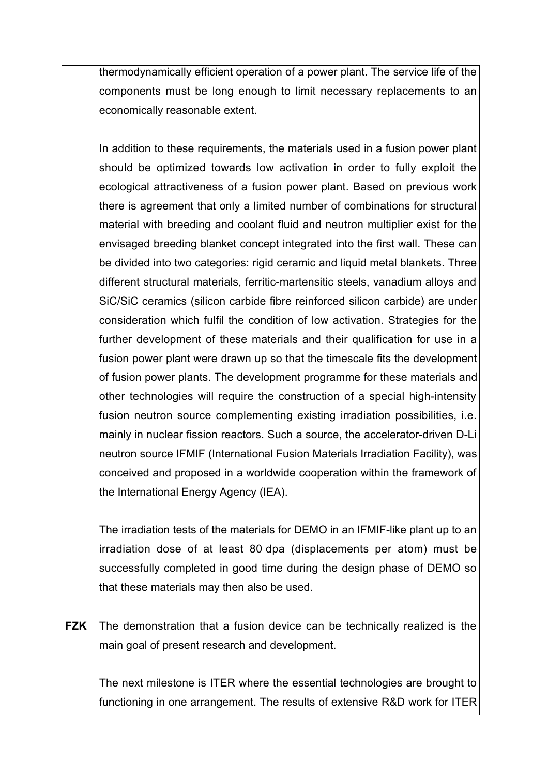thermodynamically efficient operation of a power plant. The service life of the components must be long enough to limit necessary replacements to an economically reasonable extent.

In addition to these requirements, the materials used in a fusion power plant should be optimized towards low activation in order to fully exploit the ecological attractiveness of a fusion power plant. Based on previous work there is agreement that only a limited number of combinations for structural material with breeding and coolant fluid and neutron multiplier exist for the envisaged breeding blanket concept integrated into the first wall. These can be divided into two categories: rigid ceramic and liquid metal blankets. Three different structural materials, ferritic-martensitic steels, vanadium alloys and SiC/SiC ceramics (silicon carbide fibre reinforced silicon carbide) are under consideration which fulfil the condition of low activation. Strategies for the further development of these materials and their qualification for use in a fusion power plant were drawn up so that the timescale fits the development of fusion power plants. The development programme for these materials and other technologies will require the construction of a special high-intensity fusion neutron source complementing existing irradiation possibilities, i.e. mainly in nuclear fission reactors. Such a source, the accelerator-driven D-Li neutron source IFMIF (International Fusion Materials Irradiation Facility), was conceived and proposed in a worldwide cooperation within the framework of the International Energy Agency (IEA).

The irradiation tests of the materials for DEMO in an IFMIF-like plant up to an irradiation dose of at least 80 dpa (displacements per atom) must be successfully completed in good time during the design phase of DEMO so that these materials may then also be used.

**FZK** The demonstration that a fusion device can be technically realized is the main goal of present research and development.

The next milestone is ITER where the essential technologies are brought to functioning in one arrangement. The results of extensive R&D work for ITER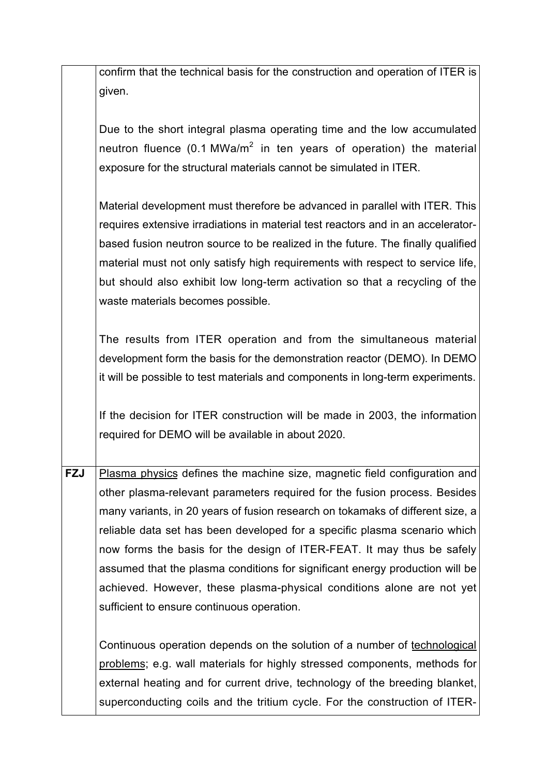|            | confirm that the technical basis for the construction and operation of ITER is   |
|------------|----------------------------------------------------------------------------------|
|            | given.                                                                           |
|            |                                                                                  |
|            | Due to the short integral plasma operating time and the low accumulated          |
|            | neutron fluence (0.1 MWa/m <sup>2</sup> in ten years of operation) the material  |
|            | exposure for the structural materials cannot be simulated in ITER.               |
|            |                                                                                  |
|            | Material development must therefore be advanced in parallel with ITER. This      |
|            | requires extensive irradiations in material test reactors and in an accelerator- |
|            |                                                                                  |
|            | based fusion neutron source to be realized in the future. The finally qualified  |
|            | material must not only satisfy high requirements with respect to service life,   |
|            | but should also exhibit low long-term activation so that a recycling of the      |
|            | waste materials becomes possible.                                                |
|            |                                                                                  |
|            | The results from ITER operation and from the simultaneous material               |
|            | development form the basis for the demonstration reactor (DEMO). In DEMO         |
|            | it will be possible to test materials and components in long-term experiments.   |
|            |                                                                                  |
|            | If the decision for ITER construction will be made in 2003, the information      |
|            | required for DEMO will be available in about 2020.                               |
|            |                                                                                  |
| <b>FZJ</b> | Plasma physics defines the machine size, magnetic field configuration and        |
|            | other plasma-relevant parameters required for the fusion process. Besides        |
|            | many variants, in 20 years of fusion research on tokamaks of different size, a   |
|            | reliable data set has been developed for a specific plasma scenario which        |
|            |                                                                                  |
|            | now forms the basis for the design of ITER-FEAT. It may thus be safely           |
|            | assumed that the plasma conditions for significant energy production will be     |
|            | achieved. However, these plasma-physical conditions alone are not yet            |
|            | sufficient to ensure continuous operation.                                       |
|            |                                                                                  |
|            | Continuous operation depends on the solution of a number of technological        |
|            | problems; e.g. wall materials for highly stressed components, methods for        |
|            | external heating and for current drive, technology of the breeding blanket,      |
|            | superconducting coils and the tritium cycle. For the construction of ITER-       |
|            |                                                                                  |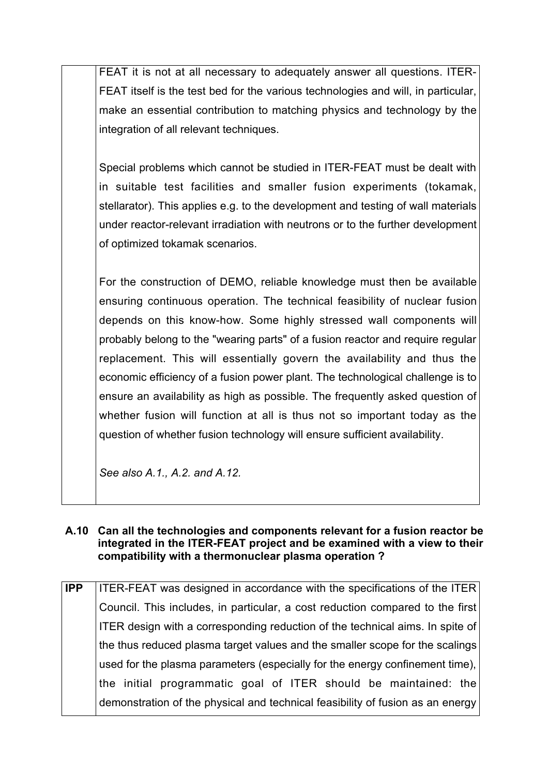FEAT it is not at all necessary to adequately answer all questions. ITER-FEAT itself is the test bed for the various technologies and will, in particular, make an essential contribution to matching physics and technology by the integration of all relevant techniques.

Special problems which cannot be studied in ITER-FEAT must be dealt with in suitable test facilities and smaller fusion experiments (tokamak, stellarator). This applies e.g. to the development and testing of wall materials under reactor-relevant irradiation with neutrons or to the further development of optimized tokamak scenarios.

For the construction of DEMO, reliable knowledge must then be available ensuring continuous operation. The technical feasibility of nuclear fusion depends on this know-how. Some highly stressed wall components will probably belong to the "wearing parts" of a fusion reactor and require regular replacement. This will essentially govern the availability and thus the economic efficiency of a fusion power plant. The technological challenge is to ensure an availability as high as possible. The frequently asked question of whether fusion will function at all is thus not so important today as the question of whether fusion technology will ensure sufficient availability.

*See also A.1., A.2. and A.12.*

#### **A.10 Can all the technologies and components relevant for a fusion reactor be integrated in the ITER-FEAT project and be examined with a view to their compatibility with a thermonuclear plasma operation ?**

**IPP** ITER-FEAT was designed in accordance with the specifications of the ITER Council. This includes, in particular, a cost reduction compared to the first ITER design with a corresponding reduction of the technical aims. In spite of the thus reduced plasma target values and the smaller scope for the scalings used for the plasma parameters (especially for the energy confinement time), the initial programmatic goal of ITER should be maintained: the demonstration of the physical and technical feasibility of fusion as an energy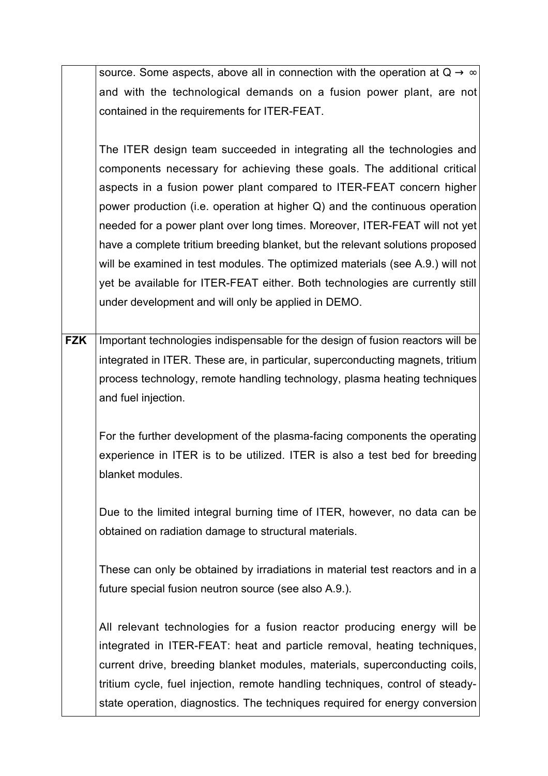|            | source. Some aspects, above all in connection with the operation at $Q \rightarrow \infty$ |
|------------|--------------------------------------------------------------------------------------------|
|            | and with the technological demands on a fusion power plant, are not                        |
|            | contained in the requirements for ITER-FEAT.                                               |
|            |                                                                                            |
|            | The ITER design team succeeded in integrating all the technologies and                     |
|            | components necessary for achieving these goals. The additional critical                    |
|            | aspects in a fusion power plant compared to ITER-FEAT concern higher                       |
|            | power production (i.e. operation at higher Q) and the continuous operation                 |
|            | needed for a power plant over long times. Moreover, ITER-FEAT will not yet                 |
|            | have a complete tritium breeding blanket, but the relevant solutions proposed              |
|            | will be examined in test modules. The optimized materials (see A.9.) will not              |
|            | yet be available for ITER-FEAT either. Both technologies are currently still               |
|            | under development and will only be applied in DEMO.                                        |
|            |                                                                                            |
| <b>FZK</b> | Important technologies indispensable for the design of fusion reactors will be             |
|            | integrated in ITER. These are, in particular, superconducting magnets, tritium             |
|            | process technology, remote handling technology, plasma heating techniques                  |
|            | and fuel injection.                                                                        |
|            |                                                                                            |
|            | For the further development of the plasma-facing components the operating                  |
|            | experience in ITER is to be utilized. ITER is also a test bed for breeding                 |
|            | blanket modules                                                                            |
|            |                                                                                            |
|            | Due to the limited integral burning time of ITER, however, no data can be                  |
|            | obtained on radiation damage to structural materials.                                      |
|            |                                                                                            |
|            | These can only be obtained by irradiations in material test reactors and in a              |
|            | future special fusion neutron source (see also A.9.).                                      |
|            |                                                                                            |
|            | All relevant technologies for a fusion reactor producing energy will be                    |
|            | integrated in ITER-FEAT: heat and particle removal, heating techniques,                    |
|            | current drive, breeding blanket modules, materials, superconducting coils,                 |
|            | tritium cycle, fuel injection, remote handling techniques, control of steady-              |
|            | state operation, diagnostics. The techniques required for energy conversion                |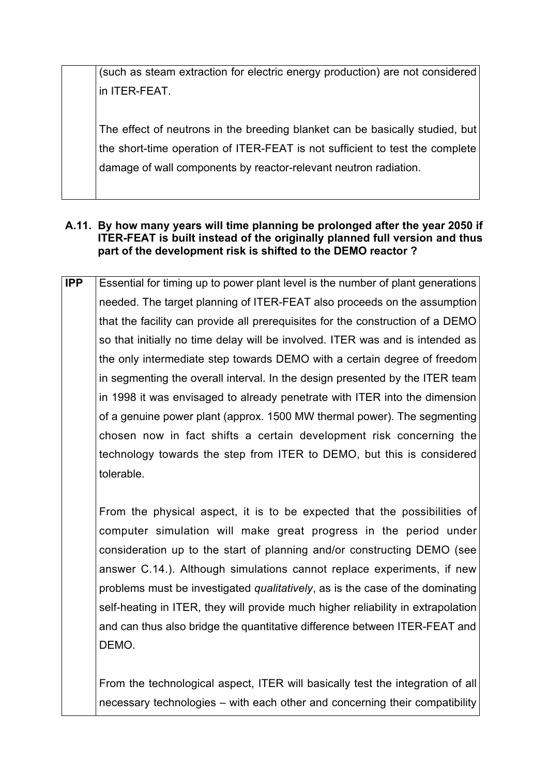(such as steam extraction for electric energy production) are not considered in ITER-FEAT.

The effect of neutrons in the breeding blanket can be basically studied, but the short-time operation of ITER-FEAT is not sufficient to test the complete damage of wall components by reactor-relevant neutron radiation.

#### **A.11. By how many years will time planning be prolonged after the year 2050 if ITER-FEAT is built instead of the originally planned full version and thus part of the development risk is shifted to the DEMO reactor ?**

**IPP** Essential for timing up to power plant level is the number of plant generations needed. The target planning of ITER-FEAT also proceeds on the assumption that the facility can provide all prerequisites for the construction of a DEMO so that initially no time delay will be involved. ITER was and is intended as the only intermediate step towards DEMO with a certain degree of freedom in segmenting the overall interval. In the design presented by the ITER team in 1998 it was envisaged to already penetrate with ITER into the dimension of a genuine power plant (approx. 1500 MW thermal power). The segmenting chosen now in fact shifts a certain development risk concerning the technology towards the step from ITER to DEMO, but this is considered tolerable.

From the physical aspect, it is to be expected that the possibilities of computer simulation will make great progress in the period under consideration up to the start of planning and/or constructing DEMO (see answer C.14.). Although simulations cannot replace experiments, if new problems must be investigated *qualitatively*, as is the case of the dominating self-heating in ITER, they will provide much higher reliability in extrapolation and can thus also bridge the quantitative difference between ITER-FEAT and DEMO.

From the technological aspect, ITER will basically test the integration of all necessary technologies – with each other and concerning their compatibility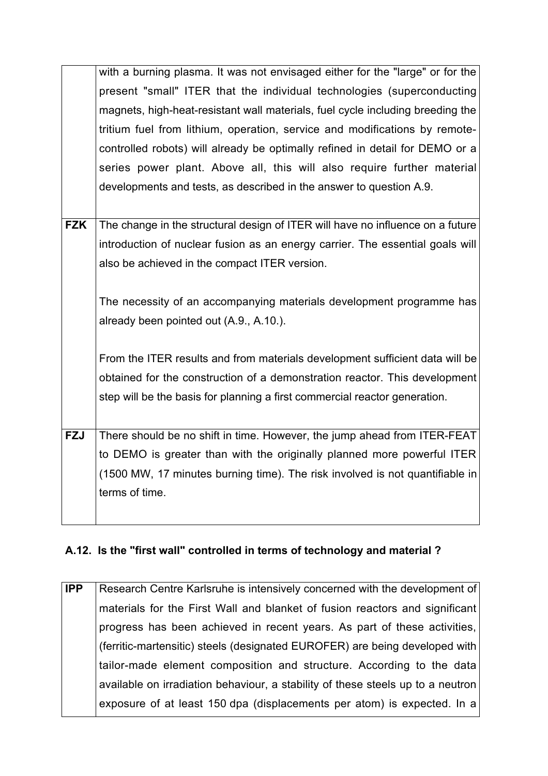|            | with a burning plasma. It was not envisaged either for the "large" or for the  |
|------------|--------------------------------------------------------------------------------|
|            | present "small" ITER that the individual technologies (superconducting         |
|            | magnets, high-heat-resistant wall materials, fuel cycle including breeding the |
|            | tritium fuel from lithium, operation, service and modifications by remote-     |
|            | controlled robots) will already be optimally refined in detail for DEMO or a   |
|            | series power plant. Above all, this will also require further material         |
|            | developments and tests, as described in the answer to question A.9.            |
|            |                                                                                |
| <b>FZK</b> | The change in the structural design of ITER will have no influence on a future |
|            | introduction of nuclear fusion as an energy carrier. The essential goals will  |
|            | also be achieved in the compact ITER version.                                  |
|            |                                                                                |
|            | The necessity of an accompanying materials development programme has           |
|            | already been pointed out (A.9., A.10.).                                        |
|            |                                                                                |
|            | From the ITER results and from materials development sufficient data will be   |
|            | obtained for the construction of a demonstration reactor. This development     |
|            | step will be the basis for planning a first commercial reactor generation.     |
|            |                                                                                |
| <b>FZJ</b> | There should be no shift in time. However, the jump ahead from ITER-FEAT       |
|            | to DEMO is greater than with the originally planned more powerful ITER         |
|            | (1500 MW, 17 minutes burning time). The risk involved is not quantifiable in   |
|            | terms of time.                                                                 |
|            |                                                                                |

### **A.12. Is the "first wall" controlled in terms of technology and material ?**

**IPP** Research Centre Karlsruhe is intensively concerned with the development of materials for the First Wall and blanket of fusion reactors and significant progress has been achieved in recent years. As part of these activities, (ferritic-martensitic) steels (designated EUROFER) are being developed with tailor-made element composition and structure. According to the data available on irradiation behaviour, a stability of these steels up to a neutron exposure of at least 150 dpa (displacements per atom) is expected. In a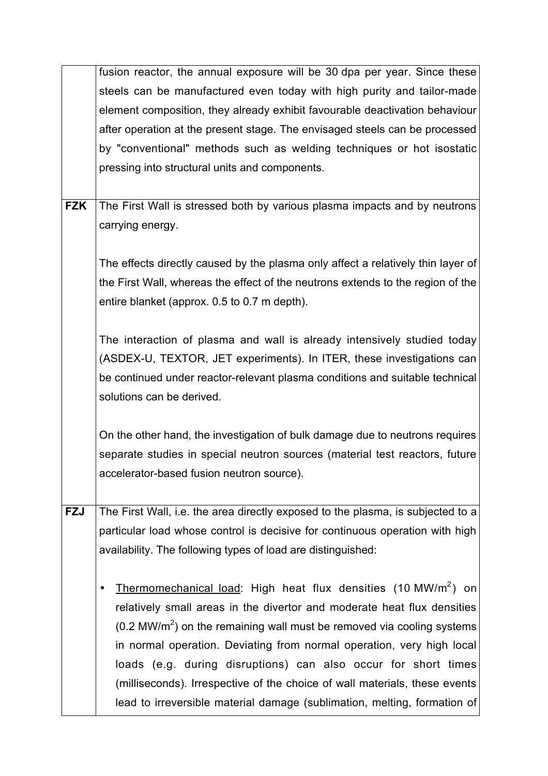|            | fusion reactor, the annual exposure will be 30 dpa per year. Since these         |
|------------|----------------------------------------------------------------------------------|
|            | steels can be manufactured even today with high purity and tailor-made           |
|            | element composition, they already exhibit favourable deactivation behaviour      |
|            | after operation at the present stage. The envisaged steels can be processed      |
|            | by "conventional" methods such as welding techniques or hot isostatic            |
|            | pressing into structural units and components.                                   |
|            |                                                                                  |
| <b>FZK</b> | The First Wall is stressed both by various plasma impacts and by neutrons        |
|            | carrying energy.                                                                 |
|            |                                                                                  |
|            | The effects directly caused by the plasma only affect a relatively thin layer of |
|            | the First Wall, whereas the effect of the neutrons extends to the region of the  |
|            | entire blanket (approx. 0.5 to 0.7 m depth).                                     |
|            |                                                                                  |
|            | The interaction of plasma and wall is already intensively studied today          |
|            | (ASDEX-U, TEXTOR, JET experiments). In ITER, these investigations can            |
|            | be continued under reactor-relevant plasma conditions and suitable technical     |
|            | solutions can be derived.                                                        |
|            |                                                                                  |
|            | On the other hand, the investigation of bulk damage due to neutrons requires     |
|            | separate studies in special neutron sources (material test reactors, future      |
|            | accelerator-based fusion neutron source).                                        |
|            |                                                                                  |
| <b>FZJ</b> | The First Wall, i.e. the area directly exposed to the plasma, is subjected to a  |
|            | particular load whose control is decisive for continuous operation with high     |
|            | availability. The following types of load are distinguished:                     |
|            | Thermomechanical load: High heat flux densities (10 MW/m <sup>2</sup> ) on       |
|            | relatively small areas in the divertor and moderate heat flux densities          |
|            | $(0.2 \text{ MW/m}^2)$ on the remaining wall must be removed via cooling systems |
|            | in normal operation. Deviating from normal operation, very high local            |
|            | loads (e.g. during disruptions) can also occur for short times                   |
|            | (milliseconds). Irrespective of the choice of wall materials, these events       |
|            | lead to irreversible material damage (sublimation, melting, formation of         |
|            |                                                                                  |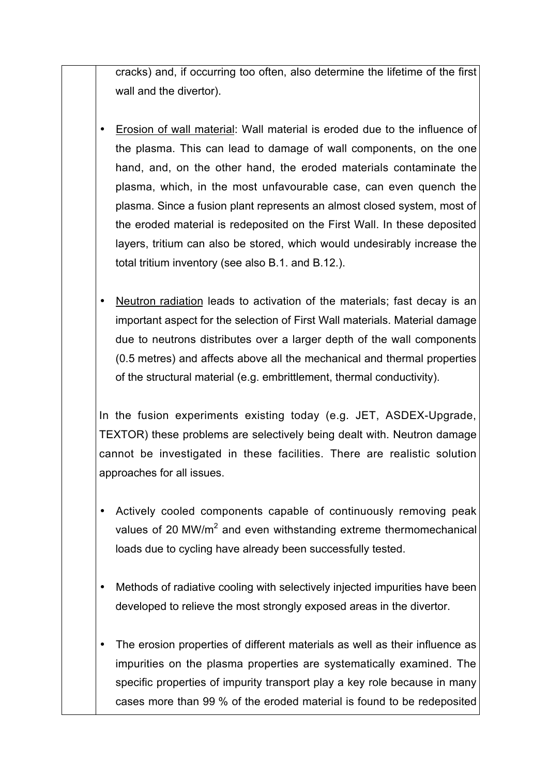cracks) and, if occurring too often, also determine the lifetime of the first wall and the divertor).

- Erosion of wall material: Wall material is eroded due to the influence of the plasma. This can lead to damage of wall components, on the one hand, and, on the other hand, the eroded materials contaminate the plasma, which, in the most unfavourable case, can even quench the plasma. Since a fusion plant represents an almost closed system, most of the eroded material is redeposited on the First Wall. In these deposited layers, tritium can also be stored, which would undesirably increase the total tritium inventory (see also B.1. and B.12.).
- Neutron radiation leads to activation of the materials; fast decay is an important aspect for the selection of First Wall materials. Material damage due to neutrons distributes over a larger depth of the wall components (0.5 metres) and affects above all the mechanical and thermal properties of the structural material (e.g. embrittlement, thermal conductivity).

In the fusion experiments existing today (e.g. JET, ASDEX-Upgrade, TEXTOR) these problems are selectively being dealt with. Neutron damage cannot be investigated in these facilities. There are realistic solution approaches for all issues.

- Actively cooled components capable of continuously removing peak values of 20 MW/m<sup>2</sup> and even withstanding extreme thermomechanical loads due to cycling have already been successfully tested.
- Methods of radiative cooling with selectively injected impurities have been developed to relieve the most strongly exposed areas in the divertor.
- The erosion properties of different materials as well as their influence as impurities on the plasma properties are systematically examined. The specific properties of impurity transport play a key role because in many cases more than 99 % of the eroded material is found to be redeposited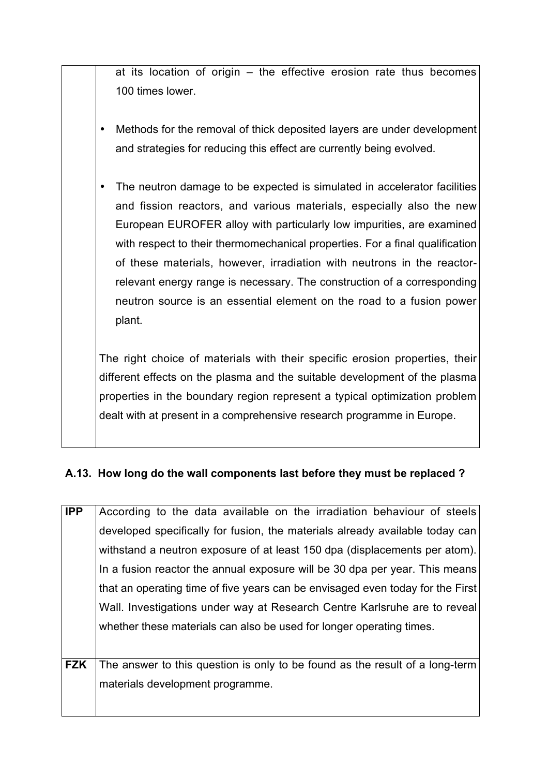at its location of origin – the effective erosion rate thus becomes 100 times lower.

- Methods for the removal of thick deposited layers are under development and strategies for reducing this effect are currently being evolved.
- The neutron damage to be expected is simulated in accelerator facilities and fission reactors, and various materials, especially also the new European EUROFER alloy with particularly low impurities, are examined with respect to their thermomechanical properties. For a final qualification of these materials, however, irradiation with neutrons in the reactorrelevant energy range is necessary. The construction of a corresponding neutron source is an essential element on the road to a fusion power plant.

The right choice of materials with their specific erosion properties, their different effects on the plasma and the suitable development of the plasma properties in the boundary region represent a typical optimization problem dealt with at present in a comprehensive research programme in Europe.

### **A.13. How long do the wall components last before they must be replaced ?**

| <b>IPP</b> | According to the data available on the irradiation behaviour of steels         |
|------------|--------------------------------------------------------------------------------|
|            | developed specifically for fusion, the materials already available today can   |
|            | withstand a neutron exposure of at least 150 dpa (displacements per atom).     |
|            | In a fusion reactor the annual exposure will be 30 dpa per year. This means    |
|            | that an operating time of five years can be envisaged even today for the First |
|            | Wall. Investigations under way at Research Centre Karlsruhe are to reveal      |
|            | whether these materials can also be used for longer operating times.           |
|            |                                                                                |
| <b>FZK</b> | The answer to this question is only to be found as the result of a long-term   |
|            | materials development programme.                                               |
|            |                                                                                |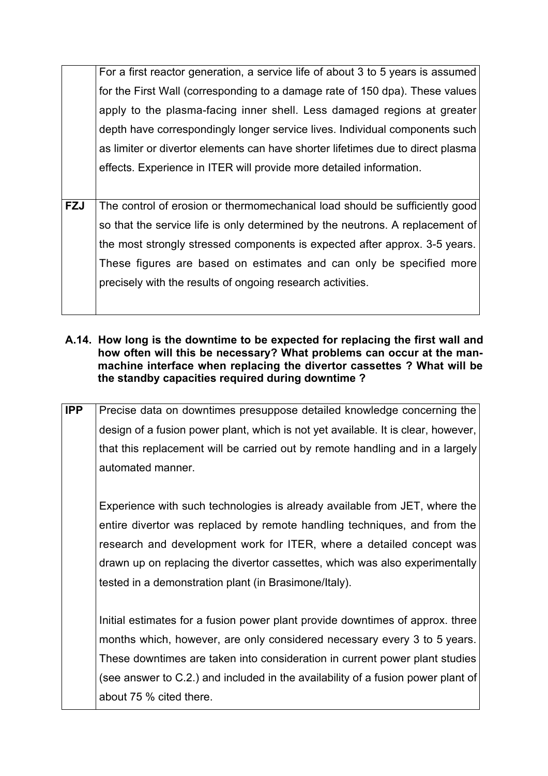For a first reactor generation, a service life of about 3 to 5 years is assumed for the First Wall (corresponding to a damage rate of 150 dpa). These values apply to the plasma-facing inner shell. Less damaged regions at greater depth have correspondingly longer service lives. Individual components such as limiter or divertor elements can have shorter lifetimes due to direct plasma effects. Experience in ITER will provide more detailed information.

- **FZJ** The control of erosion or thermomechanical load should be sufficiently good so that the service life is only determined by the neutrons. A replacement of the most strongly stressed components is expected after approx. 3-5 years. These figures are based on estimates and can only be specified more precisely with the results of ongoing research activities.
- **A.14. How long is the downtime to be expected for replacing the first wall and how often will this be necessary? What problems can occur at the manmachine interface when replacing the divertor cassettes ? What will be the standby capacities required during downtime ?**
- **IPP** Precise data on downtimes presuppose detailed knowledge concerning the design of a fusion power plant, which is not yet available. It is clear, however, that this replacement will be carried out by remote handling and in a largely automated manner.

Experience with such technologies is already available from JET, where the entire divertor was replaced by remote handling techniques, and from the research and development work for ITER, where a detailed concept was drawn up on replacing the divertor cassettes, which was also experimentally tested in a demonstration plant (in Brasimone/Italy).

Initial estimates for a fusion power plant provide downtimes of approx. three months which, however, are only considered necessary every 3 to 5 years. These downtimes are taken into consideration in current power plant studies (see answer to C.2.) and included in the availability of a fusion power plant of about 75 % cited there.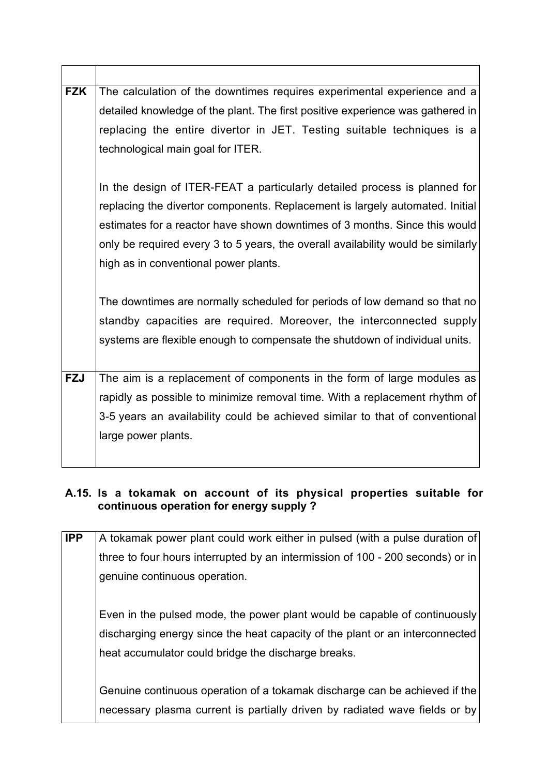| <b>FZK</b> | The calculation of the downtimes requires experimental experience and a          |
|------------|----------------------------------------------------------------------------------|
|            | detailed knowledge of the plant. The first positive experience was gathered in   |
|            | replacing the entire divertor in JET. Testing suitable techniques is a           |
|            | technological main goal for ITER.                                                |
|            |                                                                                  |
|            | In the design of ITER-FEAT a particularly detailed process is planned for        |
|            | replacing the divertor components. Replacement is largely automated. Initial     |
|            | estimates for a reactor have shown downtimes of 3 months. Since this would       |
|            | only be required every 3 to 5 years, the overall availability would be similarly |
|            | high as in conventional power plants.                                            |
|            |                                                                                  |
|            | The downtimes are normally scheduled for periods of low demand so that no        |
|            | standby capacities are required. Moreover, the interconnected supply             |
|            | systems are flexible enough to compensate the shutdown of individual units.      |
|            |                                                                                  |
| <b>FZJ</b> | The aim is a replacement of components in the form of large modules as           |
|            | rapidly as possible to minimize removal time. With a replacement rhythm of       |
|            | 3-5 years an availability could be achieved similar to that of conventional      |
|            | large power plants.                                                              |
|            |                                                                                  |
|            |                                                                                  |

### **A.15. Is a tokamak on account of its physical properties suitable for continuous operation for energy supply ?**

| <b>IPP</b> | A tokamak power plant could work either in pulsed (with a pulse duration of    |
|------------|--------------------------------------------------------------------------------|
|            |                                                                                |
|            | three to four hours interrupted by an intermission of 100 - 200 seconds) or in |
|            | genuine continuous operation.                                                  |
|            |                                                                                |
|            | Even in the pulsed mode, the power plant would be capable of continuously      |
|            | discharging energy since the heat capacity of the plant or an interconnected   |
|            | heat accumulator could bridge the discharge breaks.                            |
|            |                                                                                |
|            | Genuine continuous operation of a tokamak discharge can be achieved if the     |
|            | necessary plasma current is partially driven by radiated wave fields or by     |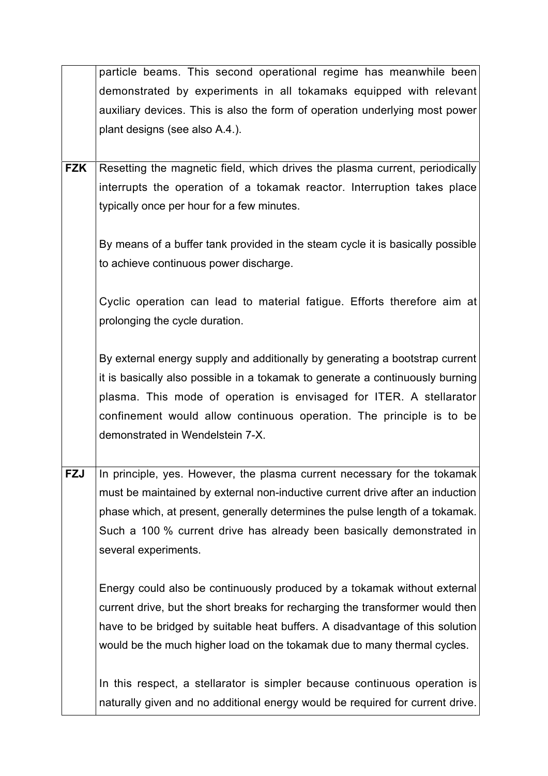| particle beams. This second operational regime has meanwhile been              |
|--------------------------------------------------------------------------------|
| demonstrated by experiments in all tokamaks equipped with relevant             |
| auxiliary devices. This is also the form of operation underlying most power    |
| plant designs (see also A.4.).                                                 |
|                                                                                |
| Resetting the magnetic field, which drives the plasma current, periodically    |
| interrupts the operation of a tokamak reactor. Interruption takes place        |
| typically once per hour for a few minutes.                                     |
|                                                                                |
| By means of a buffer tank provided in the steam cycle it is basically possible |
| to achieve continuous power discharge.                                         |
|                                                                                |
| Cyclic operation can lead to material fatigue. Efforts therefore aim at        |
| prolonging the cycle duration.                                                 |
|                                                                                |
| By external energy supply and additionally by generating a bootstrap current   |
| it is basically also possible in a tokamak to generate a continuously burning  |
| plasma. This mode of operation is envisaged for ITER. A stellarator            |
| confinement would allow continuous operation. The principle is to be           |
| demonstrated in Wendelstein 7-X.                                               |
|                                                                                |
| In principle, yes. However, the plasma current necessary for the tokamak       |
| must be maintained by external non-inductive current drive after an induction  |
| phase which, at present, generally determines the pulse length of a tokamak.   |
| Such a 100 % current drive has already been basically demonstrated in          |
| several experiments.                                                           |
|                                                                                |
| Energy could also be continuously produced by a tokamak without external       |
| current drive, but the short breaks for recharging the transformer would then  |
| have to be bridged by suitable heat buffers. A disadvantage of this solution   |
| would be the much higher load on the tokamak due to many thermal cycles.       |
|                                                                                |
| In this respect, a stellarator is simpler because continuous operation is      |
| naturally given and no additional energy would be required for current drive.  |
|                                                                                |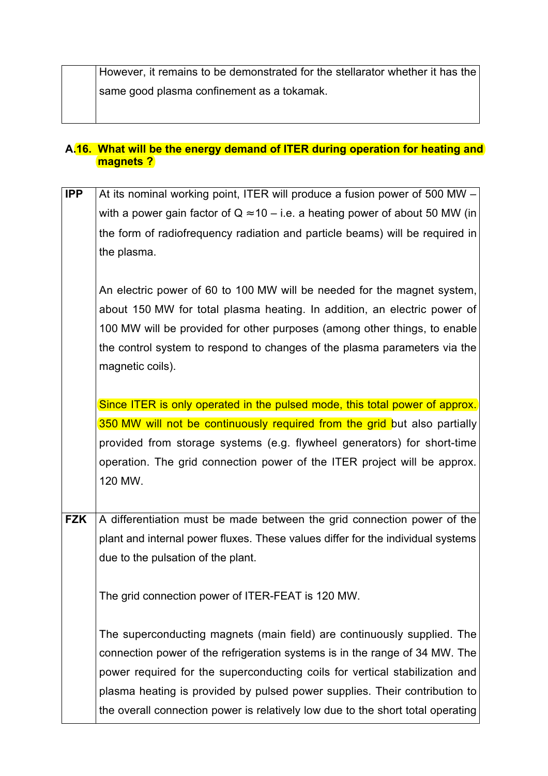However, it remains to be demonstrated for the stellarator whether it has the same good plasma confinement as a tokamak.

#### **A.16. What will be the energy demand of ITER during operation for heating and magnets ?**

**IPP** At its nominal working point, ITER will produce a fusion power of 500 MW – with a power gain factor of  $Q \approx 10 - i.e.$  a heating power of about 50 MW (in the form of radiofrequency radiation and particle beams) will be required in the plasma. An electric power of 60 to 100 MW will be needed for the magnet system, about 150 MW for total plasma heating. In addition, an electric power of 100 MW will be provided for other purposes (among other things, to enable the control system to respond to changes of the plasma parameters via the magnetic coils). Since ITER is only operated in the pulsed mode, this total power of approx. 350 MW will not be continuously required from the grid but also partially provided from storage systems (e.g. flywheel generators) for short-time operation. The grid connection power of the ITER project will be approx. 120 MW. **FZK** A differentiation must be made between the grid connection power of the plant and internal power fluxes. These values differ for the individual systems due to the pulsation of the plant. The grid connection power of ITER-FEAT is 120 MW. The superconducting magnets (main field) are continuously supplied. The connection power of the refrigeration systems is in the range of 34 MW. The power required for the superconducting coils for vertical stabilization and plasma heating is provided by pulsed power supplies. Their contribution to the overall connection power is relatively low due to the short total operating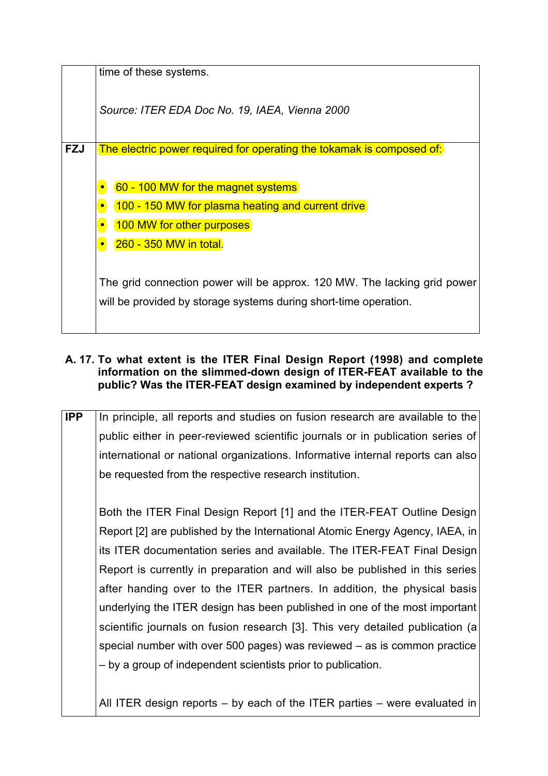|            | time of these systems.                                                                                                                                                                                                                                                                                    |
|------------|-----------------------------------------------------------------------------------------------------------------------------------------------------------------------------------------------------------------------------------------------------------------------------------------------------------|
|            | Source: ITER EDA Doc No. 19, IAEA, Vienna 2000                                                                                                                                                                                                                                                            |
| <b>FZJ</b> | The electric power required for operating the tokamak is composed of:                                                                                                                                                                                                                                     |
|            | 60 - 100 MW for the magnet systems<br>(100 - 150 MW for plasma heating and current drive)<br>(100 MW for other purposes)<br><b>260 - 350 MW in total.</b><br>The grid connection power will be approx. 120 MW. The lacking grid power<br>will be provided by storage systems during short-time operation. |

#### **A. 17. To what extent is the ITER Final Design Report (1998) and complete information on the slimmed-down design of ITER-FEAT available to the public? Was the ITER-FEAT design examined by independent experts ?**

**IPP** In principle, all reports and studies on fusion research are available to the public either in peer-reviewed scientific journals or in publication series of international or national organizations. Informative internal reports can also be requested from the respective research institution.

Both the ITER Final Design Report [1] and the ITER-FEAT Outline Design Report [2] are published by the International Atomic Energy Agency, IAEA, in its ITER documentation series and available. The ITER-FEAT Final Design Report is currently in preparation and will also be published in this series after handing over to the ITER partners. In addition, the physical basis underlying the ITER design has been published in one of the most important scientific journals on fusion research [3]. This very detailed publication (a special number with over 500 pages) was reviewed – as is common practice – by a group of independent scientists prior to publication.

All ITER design reports – by each of the ITER parties – were evaluated in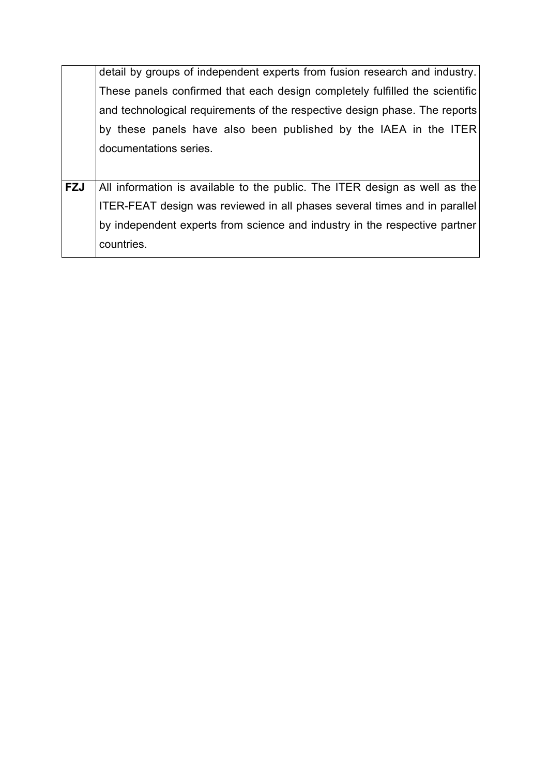|            | detail by groups of independent experts from fusion research and industry.       |
|------------|----------------------------------------------------------------------------------|
|            | These panels confirmed that each design completely fulfilled the scientific      |
|            | and technological requirements of the respective design phase. The reports       |
|            | by these panels have also been published by the IAEA in the ITER                 |
|            | documentations series.                                                           |
|            |                                                                                  |
| <b>FZJ</b> | All information is available to the public. The ITER design as well as the       |
|            | <b>ITER-FEAT design was reviewed in all phases several times and in parallel</b> |
|            | by independent experts from science and industry in the respective partner       |
|            | countries.                                                                       |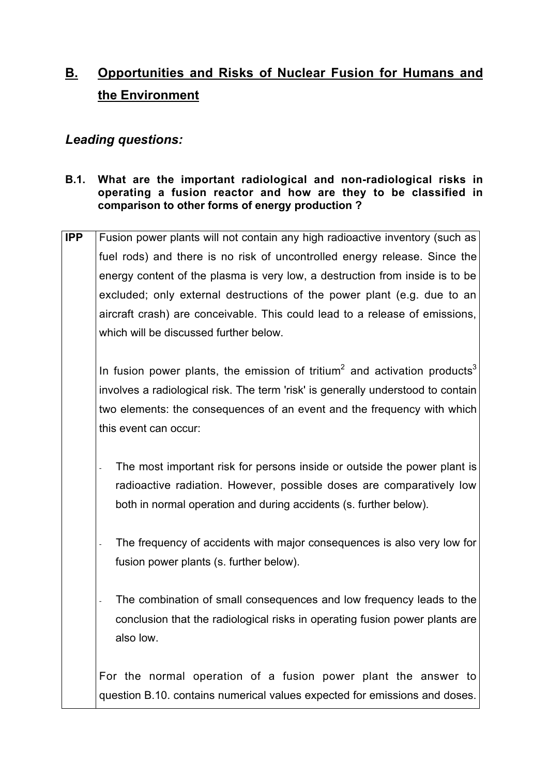# **B. Opportunities and Risks of Nuclear Fusion for Humans and the Environment**

### *Leading questions:*

#### **B.1. What are the important radiological and non-radiological risks in operating a fusion reactor and how are they to be classified in comparison to other forms of energy production ?**

**IPP** Fusion power plants will not contain any high radioactive inventory (such as fuel rods) and there is no risk of uncontrolled energy release. Since the energy content of the plasma is very low, a destruction from inside is to be excluded; only external destructions of the power plant (e.g. due to an aircraft crash) are conceivable. This could lead to a release of emissions, which will be discussed further below.

In fusion power plants, the emission of tritium<sup>2</sup> and activation products<sup>3</sup> involves a radiological risk. The term 'risk' is generally understood to contain two elements: the consequences of an event and the frequency with which this event can occur:

- The most important risk for persons inside or outside the power plant is radioactive radiation. However, possible doses are comparatively low both in normal operation and during accidents (s. further below).
- The frequency of accidents with major consequences is also very low for fusion power plants (s. further below).
- The combination of small consequences and low frequency leads to the conclusion that the radiological risks in operating fusion power plants are also low.

For the normal operation of a fusion power plant the answer to question B.10. contains numerical values expected for emissions and doses.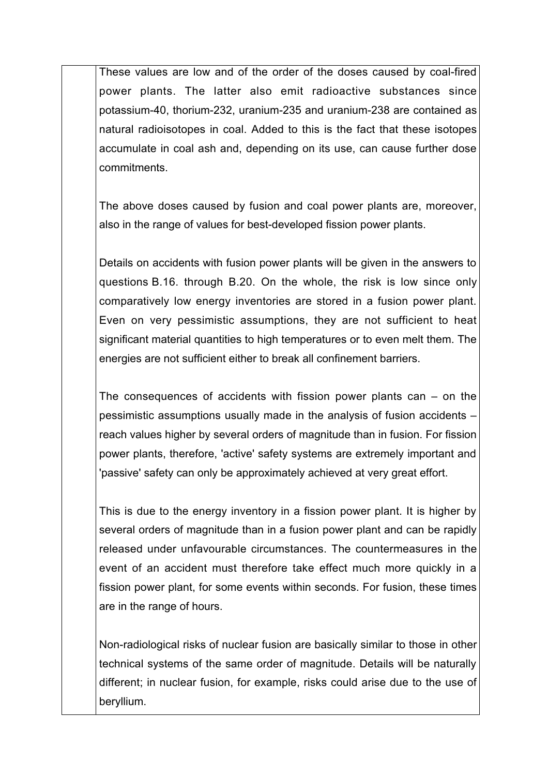These values are low and of the order of the doses caused by coal-fired power plants. The latter also emit radioactive substances since potassium-40, thorium-232, uranium-235 and uranium-238 are contained as natural radioisotopes in coal. Added to this is the fact that these isotopes accumulate in coal ash and, depending on its use, can cause further dose commitments.

The above doses caused by fusion and coal power plants are, moreover, also in the range of values for best-developed fission power plants.

Details on accidents with fusion power plants will be given in the answers to questions B.16. through B.20. On the whole, the risk is low since only comparatively low energy inventories are stored in a fusion power plant. Even on very pessimistic assumptions, they are not sufficient to heat significant material quantities to high temperatures or to even melt them. The energies are not sufficient either to break all confinement barriers.

The consequences of accidents with fission power plants can  $-$  on the pessimistic assumptions usually made in the analysis of fusion accidents – reach values higher by several orders of magnitude than in fusion. For fission power plants, therefore, 'active' safety systems are extremely important and 'passive' safety can only be approximately achieved at very great effort.

This is due to the energy inventory in a fission power plant. It is higher by several orders of magnitude than in a fusion power plant and can be rapidly released under unfavourable circumstances. The countermeasures in the event of an accident must therefore take effect much more quickly in a fission power plant, for some events within seconds. For fusion, these times are in the range of hours.

Non-radiological risks of nuclear fusion are basically similar to those in other technical systems of the same order of magnitude. Details will be naturally different; in nuclear fusion, for example, risks could arise due to the use of beryllium.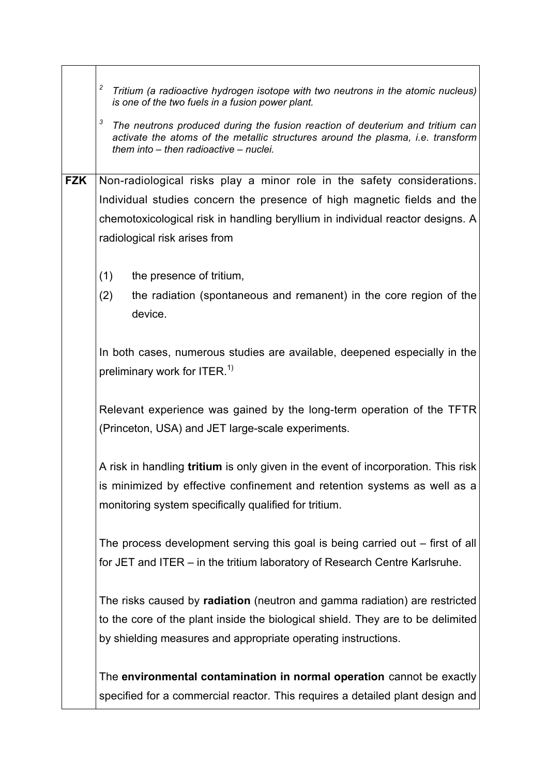|            | 2<br>Tritium (a radioactive hydrogen isotope with two neutrons in the atomic nucleus)<br>is one of the two fuels in a fusion power plant.<br>3<br>The neutrons produced during the fusion reaction of deuterium and tritium can<br>activate the atoms of the metallic structures around the plasma, i.e. transform<br>them into - then radioactive - nuclei. |
|------------|--------------------------------------------------------------------------------------------------------------------------------------------------------------------------------------------------------------------------------------------------------------------------------------------------------------------------------------------------------------|
| <b>FZK</b> | Non-radiological risks play a minor role in the safety considerations.<br>Individual studies concern the presence of high magnetic fields and the                                                                                                                                                                                                            |
|            | chemotoxicological risk in handling beryllium in individual reactor designs. A<br>radiological risk arises from                                                                                                                                                                                                                                              |
|            | (1)<br>the presence of tritium,<br>(2)<br>the radiation (spontaneous and remanent) in the core region of the<br>device.                                                                                                                                                                                                                                      |
|            | In both cases, numerous studies are available, deepened especially in the<br>preliminary work for ITER. <sup>1)</sup>                                                                                                                                                                                                                                        |
|            | Relevant experience was gained by the long-term operation of the TFTR<br>(Princeton, USA) and JET large-scale experiments.                                                                                                                                                                                                                                   |
|            | A risk in handling <b>tritium</b> is only given in the event of incorporation. This risk<br>is minimized by effective confinement and retention systems as well as a<br>monitoring system specifically qualified for tritium.                                                                                                                                |
|            | The process development serving this goal is being carried out – first of all<br>for JET and ITER – in the tritium laboratory of Research Centre Karlsruhe.                                                                                                                                                                                                  |
|            | The risks caused by radiation (neutron and gamma radiation) are restricted<br>to the core of the plant inside the biological shield. They are to be delimited<br>by shielding measures and appropriate operating instructions.                                                                                                                               |
|            | The environmental contamination in normal operation cannot be exactly<br>specified for a commercial reactor. This requires a detailed plant design and                                                                                                                                                                                                       |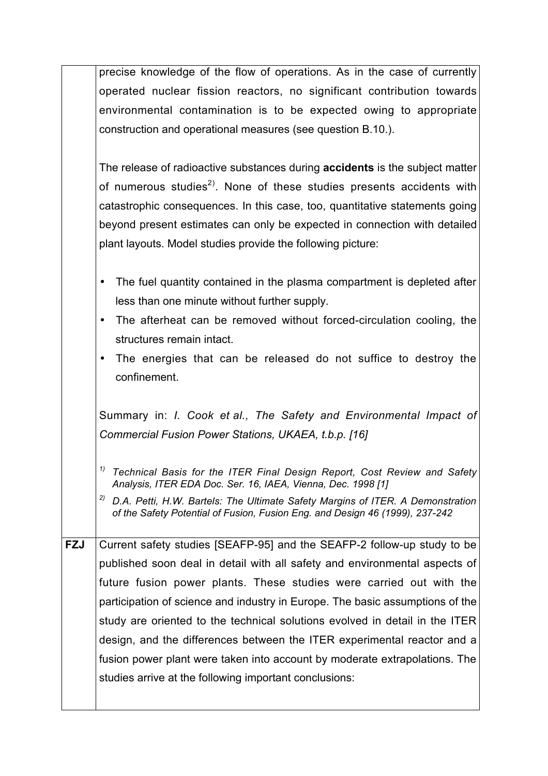| precise knowledge of the flow of operations. As in the case of currently |
|--------------------------------------------------------------------------|
| operated nuclear fission reactors, no significant contribution towards   |
| environmental contamination is to be expected owing to appropriate       |
| construction and operational measures (see question B.10.).              |

The release of radioactive substances during **accidents** is the subject matter of numerous studies $^{2)}$ . None of these studies presents accidents with catastrophic consequences. In this case, too, quantitative statements going beyond present estimates can only be expected in connection with detailed plant layouts. Model studies provide the following picture:

- The fuel quantity contained in the plasma compartment is depleted after less than one minute without further supply.
- The afterheat can be removed without forced-circulation cooling, the structures remain intact.
- The energies that can be released do not suffice to destroy the confinement.

Summary in: *I. Cook et al., The Safety and Environmental Impact of Commercial Fusion Power Stations, UKAEA, t.b.p. [16]*

- *1) Technical Basis for the ITER Final Design Report, Cost Review and Safety Analysis, ITER EDA Doc. Ser. 16, IAEA, Vienna, Dec. 1998 [1]*
- *2) D.A. Petti, H.W. Bartels: The Ultimate Safety Margins of ITER. A Demonstration of the Safety Potential of Fusion, Fusion Eng. and Design 46 (1999), 237-242*

**FZJ** Current safety studies [SEAFP-95] and the SEAFP-2 follow-up study to be published soon deal in detail with all safety and environmental aspects of future fusion power plants. These studies were carried out with the participation of science and industry in Europe. The basic assumptions of the study are oriented to the technical solutions evolved in detail in the ITER design, and the differences between the ITER experimental reactor and a fusion power plant were taken into account by moderate extrapolations. The studies arrive at the following important conclusions: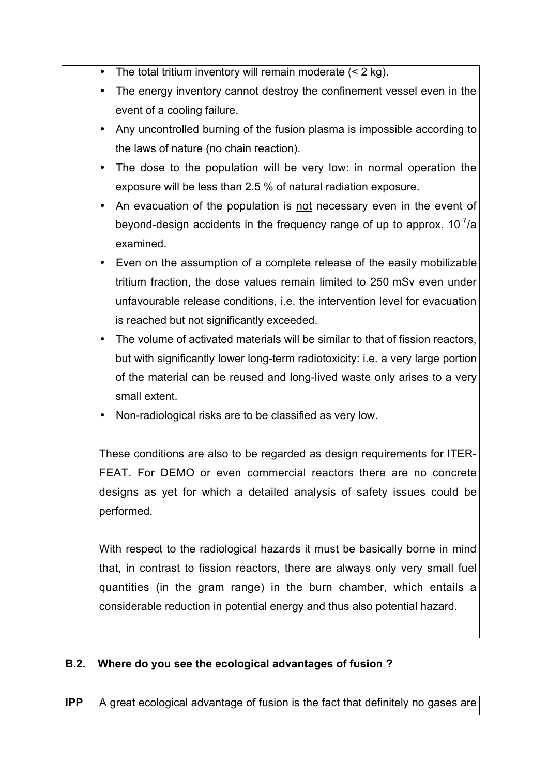- The total tritium inventory will remain moderate  $(< 2 \text{ kg})$ .
- The energy inventory cannot destroy the confinement vessel even in the event of a cooling failure.
- Any uncontrolled burning of the fusion plasma is impossible according to the laws of nature (no chain reaction).
- The dose to the population will be very low: in normal operation the exposure will be less than 2.5 % of natural radiation exposure.
- An evacuation of the population is not necessary even in the event of beyond-design accidents in the frequency range of up to approx.  $10^{-7}/a$ examined.
- Even on the assumption of a complete release of the easily mobilizable tritium fraction, the dose values remain limited to 250 mSv even under unfavourable release conditions, i.e. the intervention level for evacuation is reached but not significantly exceeded.
- The volume of activated materials will be similar to that of fission reactors, but with significantly lower long-term radiotoxicity: i.e. a very large portion of the material can be reused and long-lived waste only arises to a very small extent.
- Non-radiological risks are to be classified as very low.

These conditions are also to be regarded as design requirements for ITER-FEAT. For DEMO or even commercial reactors there are no concrete designs as yet for which a detailed analysis of safety issues could be performed.

With respect to the radiological hazards it must be basically borne in mind that, in contrast to fission reactors, there are always only very small fuel quantities (in the gram range) in the burn chamber, which entails a considerable reduction in potential energy and thus also potential hazard.

## **B.2. Where do you see the ecological advantages of fusion ?**

**IPP** A great ecological advantage of fusion is the fact that definitely no gases are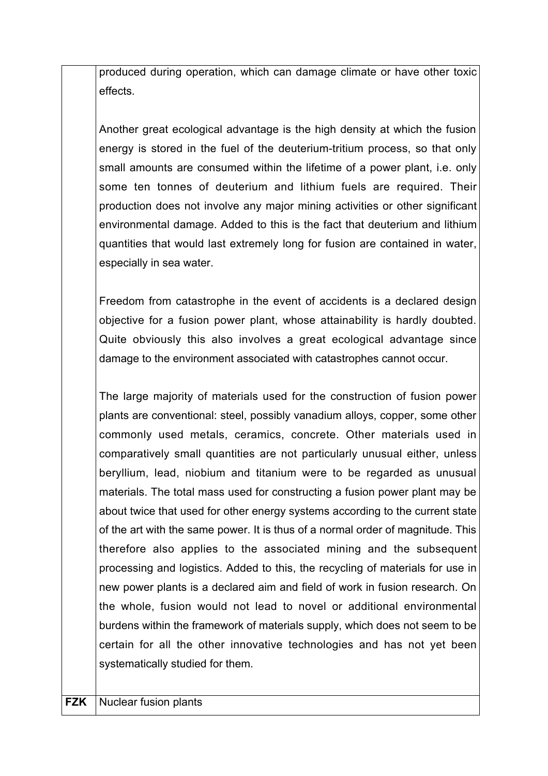produced during operation, which can damage climate or have other toxic effects.

Another great ecological advantage is the high density at which the fusion energy is stored in the fuel of the deuterium-tritium process, so that only small amounts are consumed within the lifetime of a power plant, i.e. only some ten tonnes of deuterium and lithium fuels are required. Their production does not involve any major mining activities or other significant environmental damage. Added to this is the fact that deuterium and lithium quantities that would last extremely long for fusion are contained in water, especially in sea water.

Freedom from catastrophe in the event of accidents is a declared design objective for a fusion power plant, whose attainability is hardly doubted. Quite obviously this also involves a great ecological advantage since damage to the environment associated with catastrophes cannot occur.

The large majority of materials used for the construction of fusion power plants are conventional: steel, possibly vanadium alloys, copper, some other commonly used metals, ceramics, concrete. Other materials used in comparatively small quantities are not particularly unusual either, unless beryllium, lead, niobium and titanium were to be regarded as unusual materials. The total mass used for constructing a fusion power plant may be about twice that used for other energy systems according to the current state of the art with the same power. It is thus of a normal order of magnitude. This therefore also applies to the associated mining and the subsequent processing and logistics. Added to this, the recycling of materials for use in new power plants is a declared aim and field of work in fusion research. On the whole, fusion would not lead to novel or additional environmental burdens within the framework of materials supply, which does not seem to be certain for all the other innovative technologies and has not yet been systematically studied for them.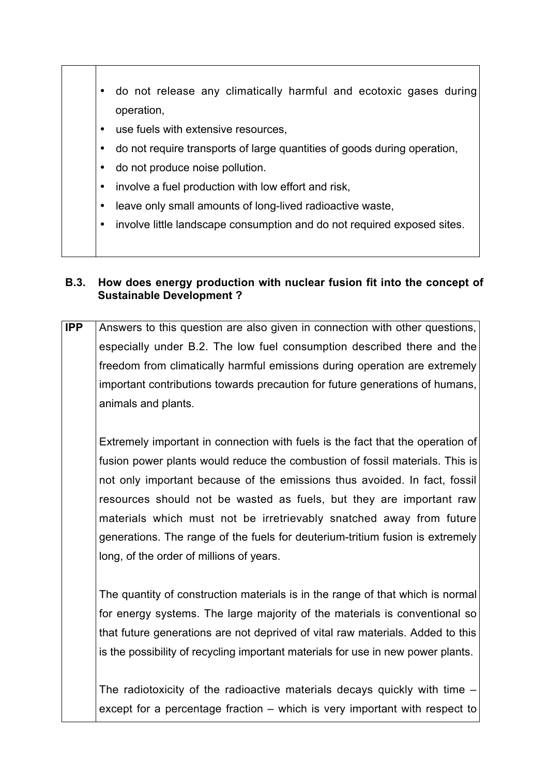- do not release any climatically harmful and ecotoxic gases during operation,
- use fuels with extensive resources,
- do not require transports of large quantities of goods during operation,
- do not produce noise pollution.
- involve a fuel production with low effort and risk,
- leave only small amounts of long-lived radioactive waste,
- involve little landscape consumption and do not required exposed sites.

#### **B.3. How does energy production with nuclear fusion fit into the concept of Sustainable Development ?**

**IPP** Answers to this question are also given in connection with other questions, especially under B.2. The low fuel consumption described there and the freedom from climatically harmful emissions during operation are extremely important contributions towards precaution for future generations of humans, animals and plants.

Extremely important in connection with fuels is the fact that the operation of fusion power plants would reduce the combustion of fossil materials. This is not only important because of the emissions thus avoided. In fact, fossil resources should not be wasted as fuels, but they are important raw materials which must not be irretrievably snatched away from future generations. The range of the fuels for deuterium-tritium fusion is extremely long, of the order of millions of years.

The quantity of construction materials is in the range of that which is normal for energy systems. The large majority of the materials is conventional so that future generations are not deprived of vital raw materials. Added to this is the possibility of recycling important materials for use in new power plants.

The radiotoxicity of the radioactive materials decays quickly with time – except for a percentage fraction – which is very important with respect to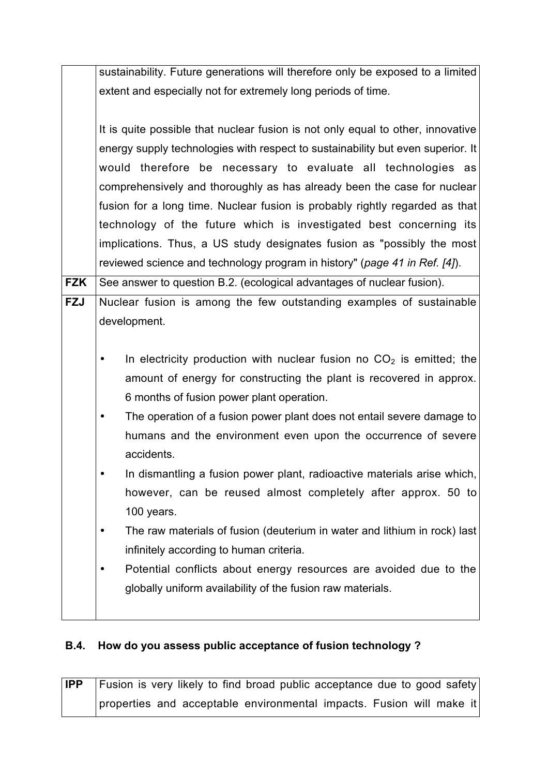|            | sustainability. Future generations will therefore only be exposed to a limited  |
|------------|---------------------------------------------------------------------------------|
|            | extent and especially not for extremely long periods of time.                   |
|            |                                                                                 |
|            | It is quite possible that nuclear fusion is not only equal to other, innovative |
|            | energy supply technologies with respect to sustainability but even superior. It |
|            | would therefore be necessary to evaluate all technologies as                    |
|            | comprehensively and thoroughly as has already been the case for nuclear         |
|            | fusion for a long time. Nuclear fusion is probably rightly regarded as that     |
|            | technology of the future which is investigated best concerning its              |
|            | implications. Thus, a US study designates fusion as "possibly the most          |
|            | reviewed science and technology program in history" (page 41 in Ref. [4]).      |
| <b>FZK</b> | See answer to question B.2. (ecological advantages of nuclear fusion).          |
| <b>FZJ</b> | Nuclear fusion is among the few outstanding examples of sustainable             |
|            | development.                                                                    |
|            |                                                                                 |
|            | In electricity production with nuclear fusion no $CO2$ is emitted; the          |
|            | amount of energy for constructing the plant is recovered in approx.             |
|            | 6 months of fusion power plant operation.                                       |
|            | The operation of a fusion power plant does not entail severe damage to          |
|            | humans and the environment even upon the occurrence of severe                   |
|            | accidents.                                                                      |
|            | In dismantling a fusion power plant, radioactive materials arise which,         |
|            | however, can be reused almost completely after approx. 50 to                    |
|            | 100 years.                                                                      |
|            | The raw materials of fusion (deuterium in water and lithium in rock) last       |
|            | infinitely according to human criteria.                                         |
|            | Potential conflicts about energy resources are avoided due to the               |
|            | globally uniform availability of the fusion raw materials.                      |
|            |                                                                                 |
|            |                                                                                 |

# **B.4. How do you assess public acceptance of fusion technology ?**

**IPP** Fusion is very likely to find broad public acceptance due to good safety properties and acceptable environmental impacts. Fusion will make it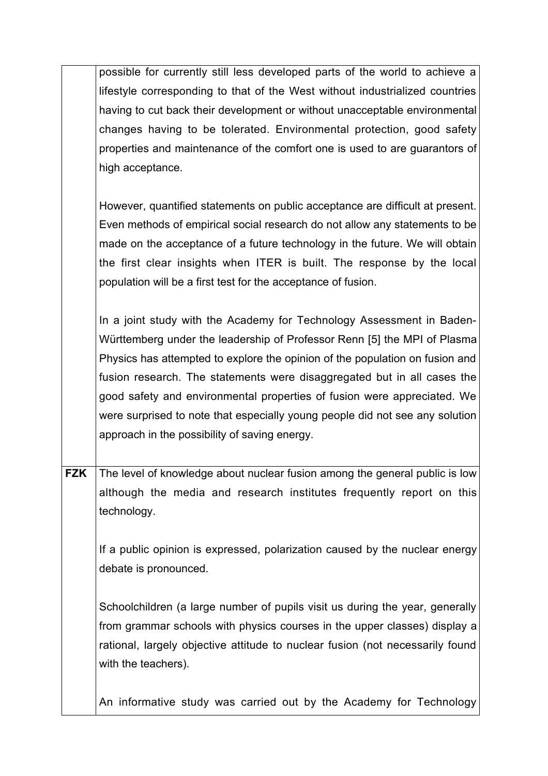|            | possible for currently still less developed parts of the world to achieve a   |
|------------|-------------------------------------------------------------------------------|
|            | lifestyle corresponding to that of the West without industrialized countries  |
|            | having to cut back their development or without unacceptable environmental    |
|            | changes having to be tolerated. Environmental protection, good safety         |
|            | properties and maintenance of the comfort one is used to are guarantors of    |
|            | high acceptance.                                                              |
|            |                                                                               |
|            | However, quantified statements on public acceptance are difficult at present. |
|            | Even methods of empirical social research do not allow any statements to be   |
|            | made on the acceptance of a future technology in the future. We will obtain   |
|            | the first clear insights when ITER is built. The response by the local        |
|            | population will be a first test for the acceptance of fusion.                 |
|            |                                                                               |
|            | In a joint study with the Academy for Technology Assessment in Baden-         |
|            | Württemberg under the leadership of Professor Renn [5] the MPI of Plasma      |
|            | Physics has attempted to explore the opinion of the population on fusion and  |
|            | fusion research. The statements were disaggregated but in all cases the       |
|            | good safety and environmental properties of fusion were appreciated. We       |
|            | were surprised to note that especially young people did not see any solution  |
|            | approach in the possibility of saving energy.                                 |
|            |                                                                               |
| <b>FZK</b> | The level of knowledge about nuclear fusion among the general public is low   |
|            | although the media and research institutes frequently report on this          |
|            | technology.                                                                   |
|            |                                                                               |
|            | If a public opinion is expressed, polarization caused by the nuclear energy   |
|            | debate is pronounced.                                                         |
|            |                                                                               |
|            | Schoolchildren (a large number of pupils visit us during the year, generally  |
|            | from grammar schools with physics courses in the upper classes) display a     |
|            | rational, largely objective attitude to nuclear fusion (not necessarily found |
|            | with the teachers).                                                           |
|            |                                                                               |
|            | An informative study was carried out by the Academy for Technology            |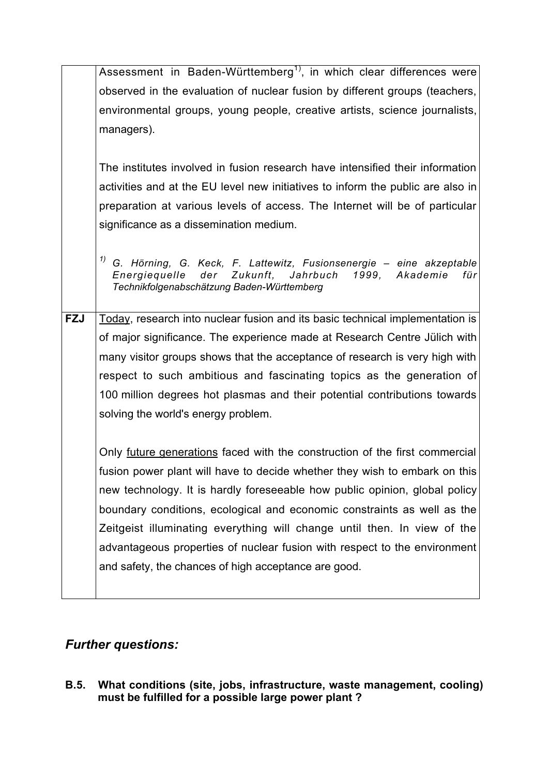|            | Assessment in Baden-Württemberg <sup>1)</sup> , in which clear differences were                                                                                                          |
|------------|------------------------------------------------------------------------------------------------------------------------------------------------------------------------------------------|
|            | observed in the evaluation of nuclear fusion by different groups (teachers,                                                                                                              |
|            | environmental groups, young people, creative artists, science journalists,                                                                                                               |
|            | managers).                                                                                                                                                                               |
|            |                                                                                                                                                                                          |
|            | The institutes involved in fusion research have intensified their information                                                                                                            |
|            | activities and at the EU level new initiatives to inform the public are also in                                                                                                          |
|            | preparation at various levels of access. The Internet will be of particular                                                                                                              |
|            | significance as a dissemination medium.                                                                                                                                                  |
|            |                                                                                                                                                                                          |
|            | $1/10$ G. Hörning, G. Keck, F. Lattewitz, Fusionsenergie – eine akzeptable<br>Energiequelle der Zukunft, Jahrbuch<br>1999, Akademie<br>für<br>Technikfolgenabschätzung Baden-Württemberg |
| <b>FZJ</b> | Today, research into nuclear fusion and its basic technical implementation is                                                                                                            |
|            | of major significance. The experience made at Research Centre Jülich with                                                                                                                |
|            |                                                                                                                                                                                          |
|            | many visitor groups shows that the acceptance of research is very high with                                                                                                              |
|            | respect to such ambitious and fascinating topics as the generation of                                                                                                                    |
|            | 100 million degrees hot plasmas and their potential contributions towards                                                                                                                |
|            | solving the world's energy problem.                                                                                                                                                      |
|            |                                                                                                                                                                                          |
|            | Only future generations faced with the construction of the first commercial                                                                                                              |
|            | fusion power plant will have to decide whether they wish to embark on this                                                                                                               |
|            | new technology. It is hardly foreseeable how public opinion, global policy                                                                                                               |
|            | boundary conditions, ecological and economic constraints as well as the                                                                                                                  |
|            | Zeitgeist illuminating everything will change until then. In view of the                                                                                                                 |
|            | advantageous properties of nuclear fusion with respect to the environment                                                                                                                |
|            | and safety, the chances of high acceptance are good.                                                                                                                                     |
|            |                                                                                                                                                                                          |

# *Further questions:*

**B.5. What conditions (site, jobs, infrastructure, waste management, cooling) must be fulfilled for a possible large power plant ?**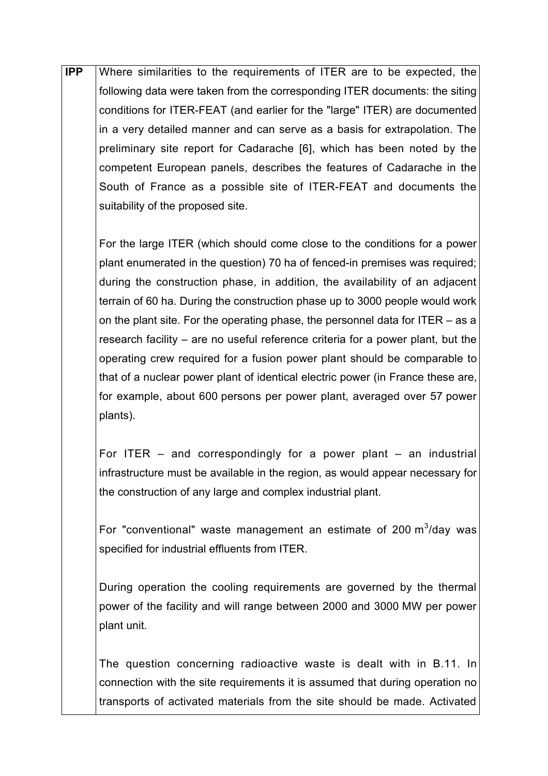**IPP** Where similarities to the requirements of ITER are to be expected, the following data were taken from the corresponding ITER documents: the siting conditions for ITER-FEAT (and earlier for the "large" ITER) are documented in a very detailed manner and can serve as a basis for extrapolation. The preliminary site report for Cadarache [6], which has been noted by the competent European panels, describes the features of Cadarache in the South of France as a possible site of ITER-FEAT and documents the suitability of the proposed site.

For the large ITER (which should come close to the conditions for a power plant enumerated in the question) 70 ha of fenced-in premises was required; during the construction phase, in addition, the availability of an adjacent terrain of 60 ha. During the construction phase up to 3000 people would work on the plant site. For the operating phase, the personnel data for ITER – as a research facility – are no useful reference criteria for a power plant, but the operating crew required for a fusion power plant should be comparable to that of a nuclear power plant of identical electric power (in France these are, for example, about 600 persons per power plant, averaged over 57 power plants).

For ITER  $-$  and correspondingly for a power plant  $-$  an industrial infrastructure must be available in the region, as would appear necessary for the construction of any large and complex industrial plant.

For "conventional" waste management an estimate of 200  $\text{m}^3$ /day was specified for industrial effluents from ITER.

During operation the cooling requirements are governed by the thermal power of the facility and will range between 2000 and 3000 MW per power plant unit.

The question concerning radioactive waste is dealt with in B.11. In connection with the site requirements it is assumed that during operation no transports of activated materials from the site should be made. Activated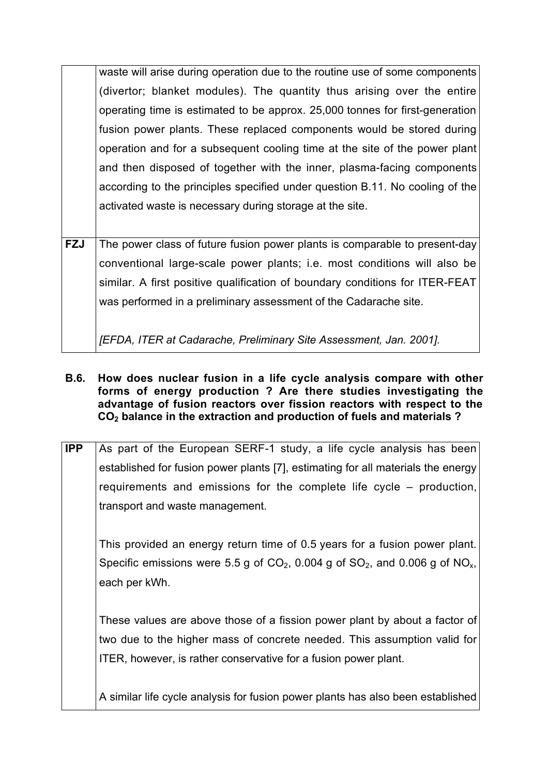waste will arise during operation due to the routine use of some components (divertor; blanket modules). The quantity thus arising over the entire operating time is estimated to be approx. 25,000 tonnes for first-generation fusion power plants. These replaced components would be stored during operation and for a subsequent cooling time at the site of the power plant and then disposed of together with the inner, plasma-facing components according to the principles specified under question B.11. No cooling of the activated waste is necessary during storage at the site.

**FZJ** The power class of future fusion power plants is comparable to present-day conventional large-scale power plants; i.e. most conditions will also be similar. A first positive qualification of boundary conditions for ITER-FEAT was performed in a preliminary assessment of the Cadarache site.

*[EFDA, ITER at Cadarache, Preliminary Site Assessment, Jan. 2001].*

#### **B.6. How does nuclear fusion in a life cycle analysis compare with other forms of energy production ? Are there studies investigating the advantage of fusion reactors over fission reactors with respect to the CO2 balance in the extraction and production of fuels and materials ?**

| <b>IPP</b> | As part of the European SERF-1 study, a life cycle analysis has been                         |
|------------|----------------------------------------------------------------------------------------------|
|            | established for fusion power plants [7], estimating for all materials the energy             |
|            | requirements and emissions for the complete life cycle – production,                         |
|            | transport and waste management.                                                              |
|            |                                                                                              |
|            | This provided an energy return time of 0.5 years for a fusion power plant.                   |
|            | Specific emissions were 5.5 g of $CO2$ , 0.004 g of $SO2$ , and 0.006 g of NO <sub>x</sub> , |
|            | each per kWh.                                                                                |

These values are above those of a fission power plant by about a factor of two due to the higher mass of concrete needed. This assumption valid for ITER, however, is rather conservative for a fusion power plant.

A similar life cycle analysis for fusion power plants has also been established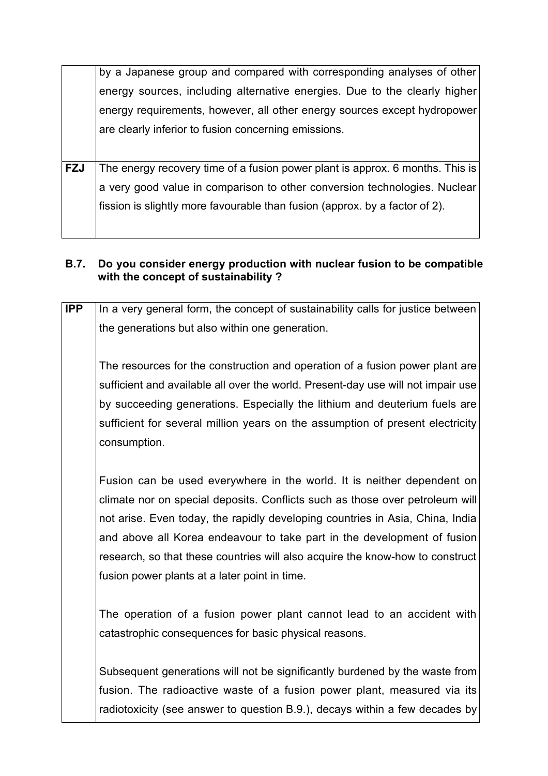|            | by a Japanese group and compared with corresponding analyses of other         |
|------------|-------------------------------------------------------------------------------|
|            | energy sources, including alternative energies. Due to the clearly higher     |
|            | energy requirements, however, all other energy sources except hydropower      |
|            | are clearly inferior to fusion concerning emissions.                          |
|            |                                                                               |
| <b>FZJ</b> | The energy recovery time of a fusion power plant is approx. 6 months. This is |
|            | a very good value in comparison to other conversion technologies. Nuclear     |
|            | fission is slightly more favourable than fusion (approx. by a factor of 2).   |
|            |                                                                               |

### **B.7. Do you consider energy production with nuclear fusion to be compatible with the concept of sustainability ?**

| <b>IPP</b> | In a very general form, the concept of sustainability calls for justice between  |
|------------|----------------------------------------------------------------------------------|
|            | the generations but also within one generation.                                  |
|            |                                                                                  |
|            | The resources for the construction and operation of a fusion power plant are     |
|            | sufficient and available all over the world. Present-day use will not impair use |
|            | by succeeding generations. Especially the lithium and deuterium fuels are        |
|            | sufficient for several million years on the assumption of present electricity    |
|            | consumption.                                                                     |
|            |                                                                                  |
|            | Fusion can be used everywhere in the world. It is neither dependent on           |
|            | climate nor on special deposits. Conflicts such as those over petroleum will     |
|            | not arise. Even today, the rapidly developing countries in Asia, China, India    |
|            | and above all Korea endeavour to take part in the development of fusion          |
|            | research, so that these countries will also acquire the know-how to construct    |
|            | fusion power plants at a later point in time.                                    |
|            |                                                                                  |
|            | The operation of a fusion power plant cannot lead to an accident with            |
|            | catastrophic consequences for basic physical reasons.                            |
|            |                                                                                  |
|            | Subsequent generations will not be significantly burdened by the waste from      |
|            | fusion. The radioactive waste of a fusion power plant, measured via its          |
|            | radiotoxicity (see answer to question B.9.), decays within a few decades by      |
|            |                                                                                  |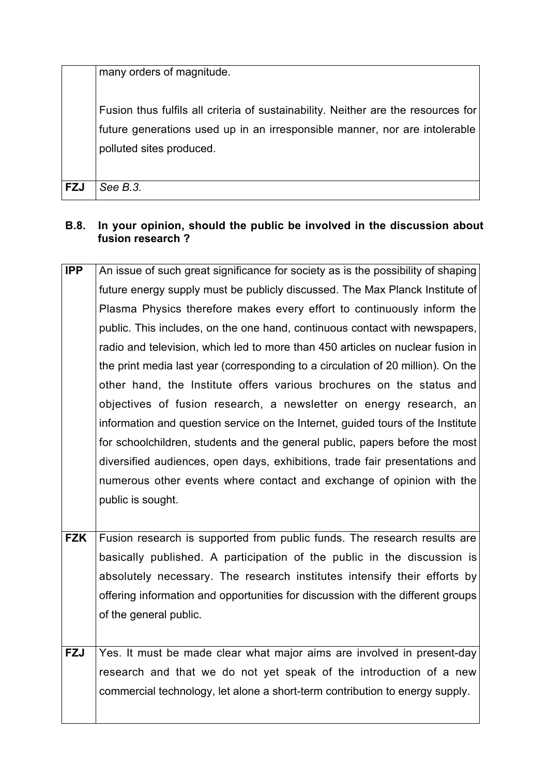many orders of magnitude.

Fusion thus fulfils all criteria of sustainability. Neither are the resources for future generations used up in an irresponsible manner, nor are intolerable polluted sites produced.

**FZJ** *See B.3.*

### **B.8. In your opinion, should the public be involved in the discussion about fusion research ?**

| <b>IPP</b> | An issue of such great significance for society as is the possibility of shaping |
|------------|----------------------------------------------------------------------------------|
|            | future energy supply must be publicly discussed. The Max Planck Institute of     |
|            | Plasma Physics therefore makes every effort to continuously inform the           |
|            | public. This includes, on the one hand, continuous contact with newspapers,      |
|            | radio and television, which led to more than 450 articles on nuclear fusion in   |
|            | the print media last year (corresponding to a circulation of 20 million). On the |
|            | other hand, the Institute offers various brochures on the status and             |
|            | objectives of fusion research, a newsletter on energy research, an               |
|            | information and question service on the Internet, guided tours of the Institute  |
|            | for schoolchildren, students and the general public, papers before the most      |
|            | diversified audiences, open days, exhibitions, trade fair presentations and      |
|            | numerous other events where contact and exchange of opinion with the             |
|            | public is sought.                                                                |
|            |                                                                                  |
| <b>FZK</b> | Fusion research is supported from public funds. The research results are         |
|            | basically published. A participation of the public in the discussion is          |
|            | absolutely necessary. The research institutes intensify their efforts by         |
|            | offering information and opportunities for discussion with the different groups  |
|            | of the general public.                                                           |
|            |                                                                                  |
| <b>FZJ</b> | Yes. It must be made clear what major aims are involved in present-day           |
|            | research and that we do not yet speak of the introduction of a new               |

commercial technology, let alone a short-term contribution to energy supply.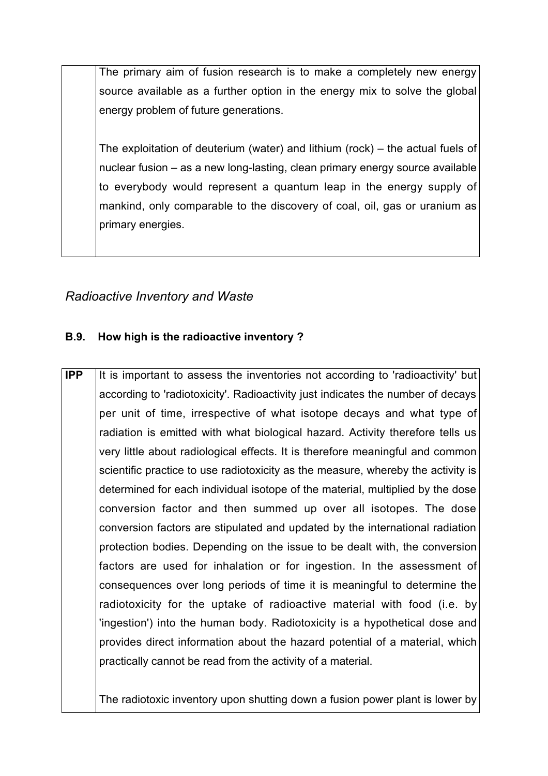The primary aim of fusion research is to make a completely new energy source available as a further option in the energy mix to solve the global energy problem of future generations.

The exploitation of deuterium (water) and lithium (rock) – the actual fuels of nuclear fusion – as a new long-lasting, clean primary energy source available to everybody would represent a quantum leap in the energy supply of mankind, only comparable to the discovery of coal, oil, gas or uranium as primary energies.

## *Radioactive Inventory and Waste*

### **B.9. How high is the radioactive inventory ?**

**IPP** It is important to assess the inventories not according to 'radioactivity' but according to 'radiotoxicity'. Radioactivity just indicates the number of decays per unit of time, irrespective of what isotope decays and what type of radiation is emitted with what biological hazard. Activity therefore tells us very little about radiological effects. It is therefore meaningful and common scientific practice to use radiotoxicity as the measure, whereby the activity is determined for each individual isotope of the material, multiplied by the dose conversion factor and then summed up over all isotopes. The dose conversion factors are stipulated and updated by the international radiation protection bodies. Depending on the issue to be dealt with, the conversion factors are used for inhalation or for ingestion. In the assessment of consequences over long periods of time it is meaningful to determine the radiotoxicity for the uptake of radioactive material with food (i.e. by 'ingestion') into the human body. Radiotoxicity is a hypothetical dose and provides direct information about the hazard potential of a material, which practically cannot be read from the activity of a material.

The radiotoxic inventory upon shutting down a fusion power plant is lower by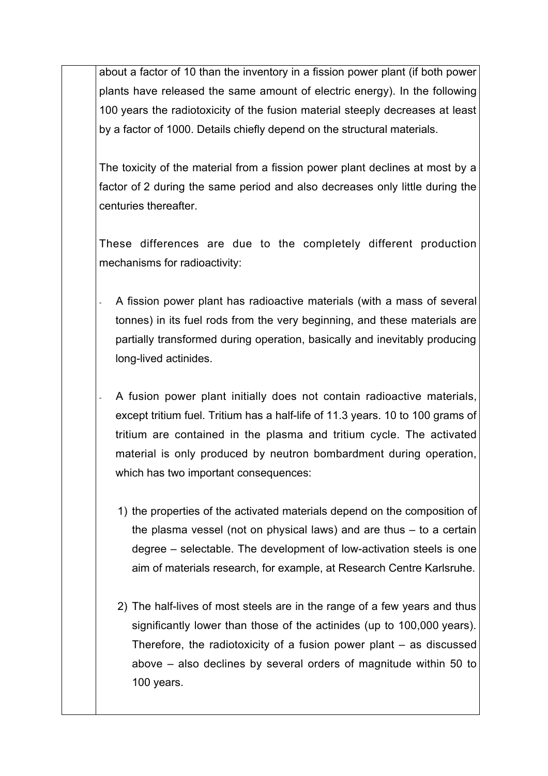about a factor of 10 than the inventory in a fission power plant (if both power plants have released the same amount of electric energy). In the following 100 years the radiotoxicity of the fusion material steeply decreases at least by a factor of 1000. Details chiefly depend on the structural materials.

The toxicity of the material from a fission power plant declines at most by a factor of 2 during the same period and also decreases only little during the centuries thereafter.

These differences are due to the completely different production mechanisms for radioactivity:

- A fission power plant has radioactive materials (with a mass of several tonnes) in its fuel rods from the very beginning, and these materials are partially transformed during operation, basically and inevitably producing long-lived actinides.
- A fusion power plant initially does not contain radioactive materials, except tritium fuel. Tritium has a half-life of 11.3 years. 10 to 100 grams of tritium are contained in the plasma and tritium cycle. The activated material is only produced by neutron bombardment during operation, which has two important consequences:
	- 1) the properties of the activated materials depend on the composition of the plasma vessel (not on physical laws) and are thus – to a certain degree – selectable. The development of low-activation steels is one aim of materials research, for example, at Research Centre Karlsruhe.
	- 2) The half-lives of most steels are in the range of a few years and thus significantly lower than those of the actinides (up to 100,000 years). Therefore, the radiotoxicity of a fusion power plant – as discussed above – also declines by several orders of magnitude within 50 to 100 years.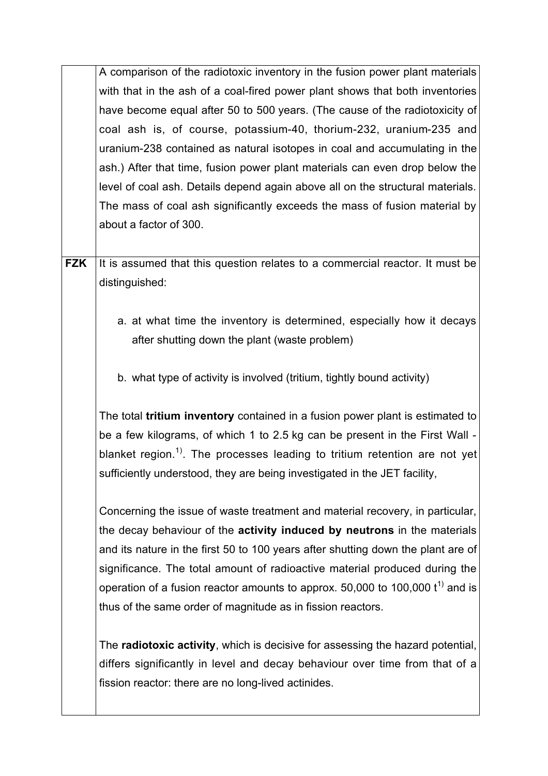A comparison of the radiotoxic inventory in the fusion power plant materials with that in the ash of a coal-fired power plant shows that both inventories have become equal after 50 to 500 years. (The cause of the radiotoxicity of coal ash is, of course, potassium-40, thorium-232, uranium-235 and uranium-238 contained as natural isotopes in coal and accumulating in the ash.) After that time, fusion power plant materials can even drop below the level of coal ash. Details depend again above all on the structural materials. The mass of coal ash significantly exceeds the mass of fusion material by about a factor of 300.

**FZK** It is assumed that this question relates to a commercial reactor. It must be distinguished:

- a. at what time the inventory is determined, especially how it decays after shutting down the plant (waste problem)
- b. what type of activity is involved (tritium, tightly bound activity)

The total **tritium inventory** contained in a fusion power plant is estimated to be a few kilograms, of which 1 to 2.5 kg can be present in the First Wall blanket region.<sup>1)</sup>. The processes leading to tritium retention are not yet sufficiently understood, they are being investigated in the JET facility,

Concerning the issue of waste treatment and material recovery, in particular, the decay behaviour of the **activity induced by neutrons** in the materials and its nature in the first 50 to 100 years after shutting down the plant are of significance. The total amount of radioactive material produced during the operation of a fusion reactor amounts to approx. 50,000 to 100,000  $t^{1}$  and is thus of the same order of magnitude as in fission reactors.

The **radiotoxic activity**, which is decisive for assessing the hazard potential, differs significantly in level and decay behaviour over time from that of a fission reactor: there are no long-lived actinides.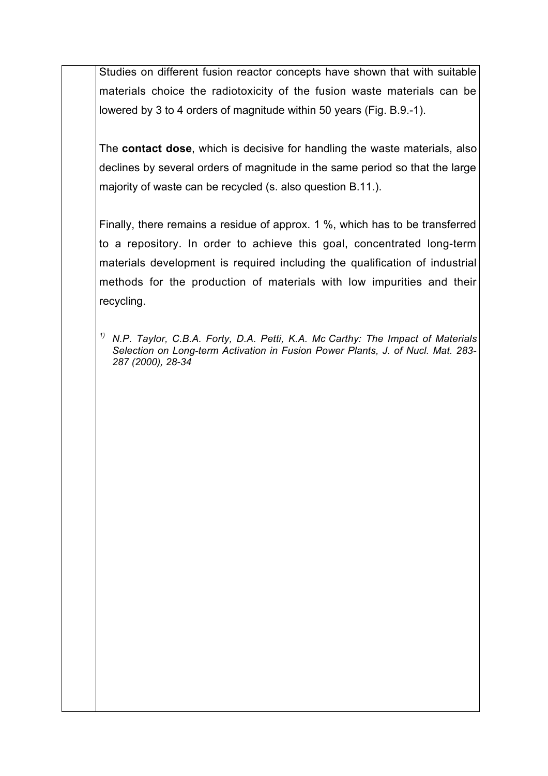Studies on different fusion reactor concepts have shown that with suitable materials choice the radiotoxicity of the fusion waste materials can be lowered by 3 to 4 orders of magnitude within 50 years (Fig. B.9.-1).

The **contact dose**, which is decisive for handling the waste materials, also declines by several orders of magnitude in the same period so that the large majority of waste can be recycled (s. also question B.11.).

Finally, there remains a residue of approx. 1 %, which has to be transferred to a repository. In order to achieve this goal, concentrated long-term materials development is required including the qualification of industrial methods for the production of materials with low impurities and their recycling.

*1) N.P. Taylor, C.B.A. Forty, D.A. Petti, K.A. Mc Carthy: The Impact of Materials Selection on Long-term Activation in Fusion Power Plants, J. of Nucl. Mat. 283- 287 (2000), 28-34*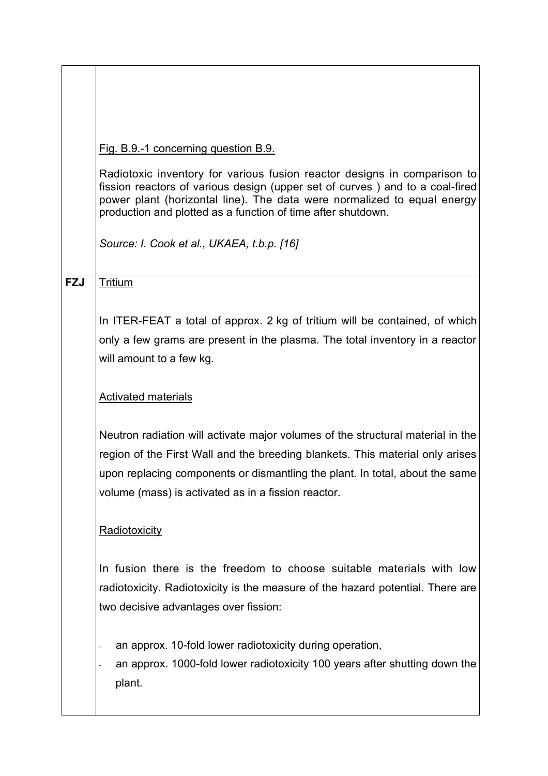|            | Fig. B.9.-1 concerning question B.9.                                                                                                                                                                                                                                                                    |
|------------|---------------------------------------------------------------------------------------------------------------------------------------------------------------------------------------------------------------------------------------------------------------------------------------------------------|
|            | Radiotoxic inventory for various fusion reactor designs in comparison to<br>fission reactors of various design (upper set of curves) and to a coal-fired<br>power plant (horizontal line). The data were normalized to equal energy<br>production and plotted as a function of time after shutdown.     |
|            | Source: I. Cook et al., UKAEA, t.b.p. [16]                                                                                                                                                                                                                                                              |
| <b>FZJ</b> | <b>Tritium</b>                                                                                                                                                                                                                                                                                          |
|            | In ITER-FEAT a total of approx. 2 kg of tritium will be contained, of which<br>only a few grams are present in the plasma. The total inventory in a reactor<br>will amount to a few kg.                                                                                                                 |
|            | <b>Activated materials</b>                                                                                                                                                                                                                                                                              |
|            | Neutron radiation will activate major volumes of the structural material in the<br>region of the First Wall and the breeding blankets. This material only arises<br>upon replacing components or dismantling the plant. In total, about the same<br>volume (mass) is activated as in a fission reactor. |
|            | Radiotoxicity                                                                                                                                                                                                                                                                                           |
|            | In fusion there is the freedom to choose suitable materials with low<br>radiotoxicity. Radiotoxicity is the measure of the hazard potential. There are<br>two decisive advantages over fission:                                                                                                         |
|            | an approx. 10-fold lower radiotoxicity during operation,<br>an approx. 1000-fold lower radiotoxicity 100 years after shutting down the<br>plant.                                                                                                                                                        |
|            |                                                                                                                                                                                                                                                                                                         |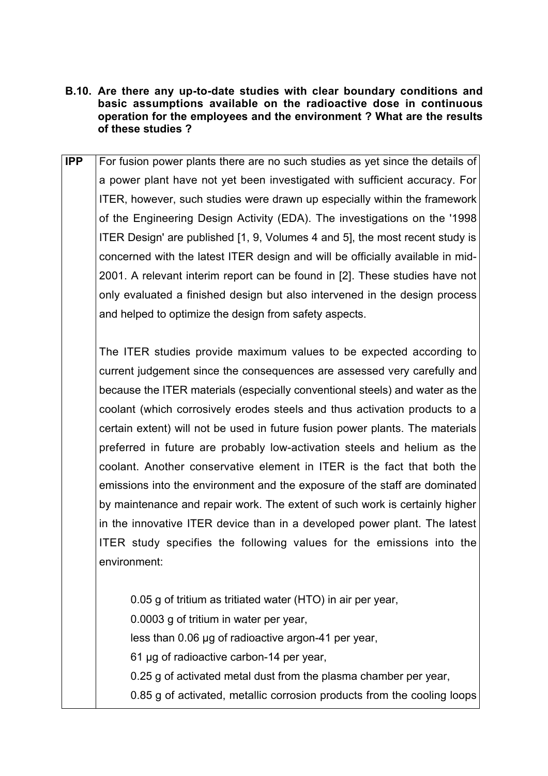- **B.10. Are there any up-to-date studies with clear boundary conditions and basic assumptions available on the radioactive dose in continuous operation for the employees and the environment ? What are the results of these studies ?**
- **IPP** For fusion power plants there are no such studies as yet since the details of a power plant have not yet been investigated with sufficient accuracy. For ITER, however, such studies were drawn up especially within the framework of the Engineering Design Activity (EDA). The investigations on the '1998 ITER Design' are published [1, 9, Volumes 4 and 5], the most recent study is concerned with the latest ITER design and will be officially available in mid-2001. A relevant interim report can be found in [2]. These studies have not only evaluated a finished design but also intervened in the design process and helped to optimize the design from safety aspects.

The ITER studies provide maximum values to be expected according to current judgement since the consequences are assessed very carefully and because the ITER materials (especially conventional steels) and water as the coolant (which corrosively erodes steels and thus activation products to a certain extent) will not be used in future fusion power plants. The materials preferred in future are probably low-activation steels and helium as the coolant. Another conservative element in ITER is the fact that both the emissions into the environment and the exposure of the staff are dominated by maintenance and repair work. The extent of such work is certainly higher in the innovative ITER device than in a developed power plant. The latest ITER study specifies the following values for the emissions into the environment:

0.05 g of tritium as tritiated water (HTO) in air per year, 0.0003 g of tritium in water per year, less than 0.06 µg of radioactive argon-41 per year, 61 µg of radioactive carbon-14 per year, 0.25 g of activated metal dust from the plasma chamber per year, 0.85 g of activated, metallic corrosion products from the cooling loops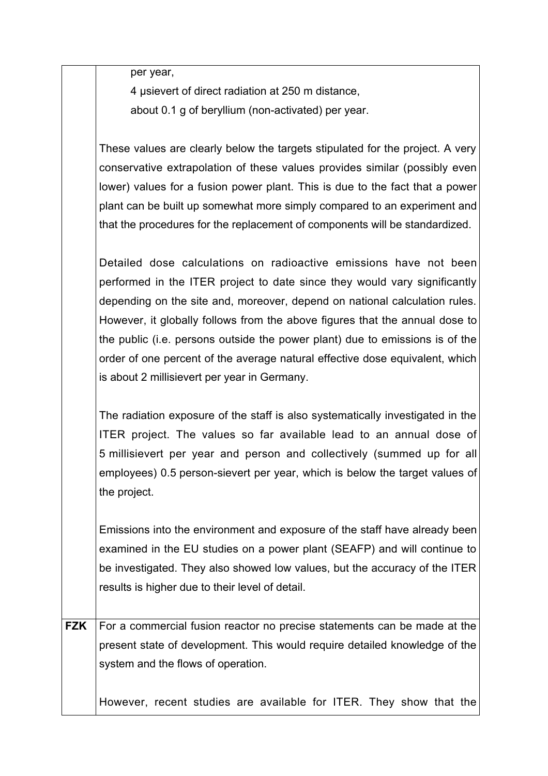per year,

4 µsievert of direct radiation at 250 m distance, about 0.1 g of beryllium (non-activated) per year.

These values are clearly below the targets stipulated for the project. A very conservative extrapolation of these values provides similar (possibly even lower) values for a fusion power plant. This is due to the fact that a power plant can be built up somewhat more simply compared to an experiment and that the procedures for the replacement of components will be standardized.

Detailed dose calculations on radioactive emissions have not been performed in the ITER project to date since they would vary significantly depending on the site and, moreover, depend on national calculation rules. However, it globally follows from the above figures that the annual dose to the public (i.e. persons outside the power plant) due to emissions is of the order of one percent of the average natural effective dose equivalent, which is about 2 millisievert per year in Germany.

The radiation exposure of the staff is also systematically investigated in the ITER project. The values so far available lead to an annual dose of 5 millisievert per year and person and collectively (summed up for all employees) 0.5 person-sievert per year, which is below the target values of the project.

Emissions into the environment and exposure of the staff have already been examined in the EU studies on a power plant (SEAFP) and will continue to be investigated. They also showed low values, but the accuracy of the ITER results is higher due to their level of detail.

**FZK** For a commercial fusion reactor no precise statements can be made at the present state of development. This would require detailed knowledge of the system and the flows of operation.

However, recent studies are available for ITER. They show that the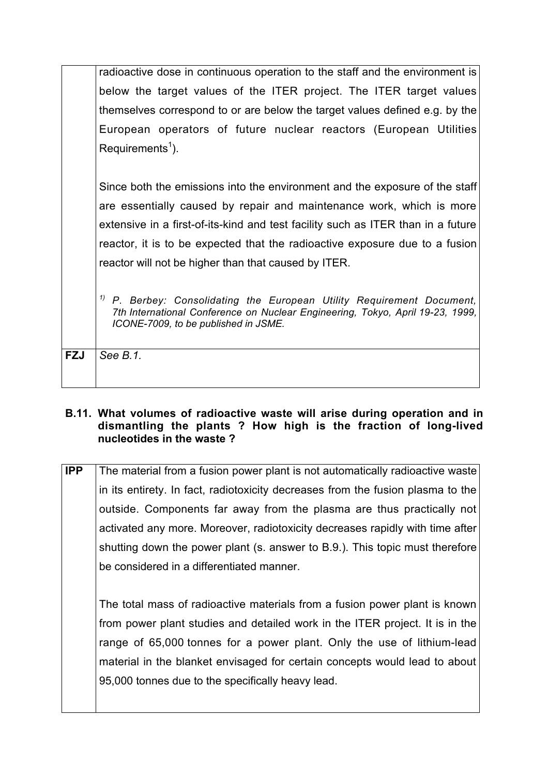|            | radioactive dose in continuous operation to the staff and the environment is                                                                                                                        |
|------------|-----------------------------------------------------------------------------------------------------------------------------------------------------------------------------------------------------|
|            | below the target values of the ITER project. The ITER target values                                                                                                                                 |
|            | themselves correspond to or are below the target values defined e.g. by the                                                                                                                         |
|            | European operators of future nuclear reactors (European Utilities                                                                                                                                   |
|            | Requirements <sup>1</sup> ).                                                                                                                                                                        |
|            |                                                                                                                                                                                                     |
|            | Since both the emissions into the environment and the exposure of the staff                                                                                                                         |
|            | are essentially caused by repair and maintenance work, which is more                                                                                                                                |
|            | extensive in a first-of-its-kind and test facility such as ITER than in a future                                                                                                                    |
|            | reactor, it is to be expected that the radioactive exposure due to a fusion                                                                                                                         |
|            | reactor will not be higher than that caused by ITER.                                                                                                                                                |
|            |                                                                                                                                                                                                     |
|            | 1)<br>P. Berbey: Consolidating the European Utility Requirement Document,<br>7th International Conference on Nuclear Engineering, Tokyo, April 19-23, 1999,<br>ICONE-7009, to be published in JSME. |
|            |                                                                                                                                                                                                     |
| <b>FZJ</b> | See B.1.                                                                                                                                                                                            |
|            |                                                                                                                                                                                                     |

#### **B.11. What volumes of radioactive waste will arise during operation and in dismantling the plants ? How high is the fraction of long-lived nucleotides in the waste ?**

**IPP** The material from a fusion power plant is not automatically radioactive waste in its entirety. In fact, radiotoxicity decreases from the fusion plasma to the outside. Components far away from the plasma are thus practically not activated any more. Moreover, radiotoxicity decreases rapidly with time after shutting down the power plant (s. answer to B.9.). This topic must therefore be considered in a differentiated manner.

The total mass of radioactive materials from a fusion power plant is known from power plant studies and detailed work in the ITER project. It is in the range of 65,000 tonnes for a power plant. Only the use of lithium-lead material in the blanket envisaged for certain concepts would lead to about 95,000 tonnes due to the specifically heavy lead.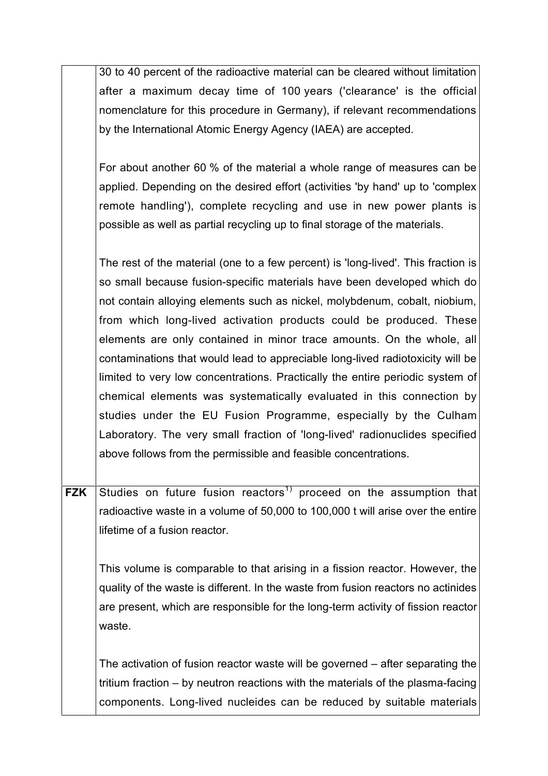30 to 40 percent of the radioactive material can be cleared without limitation after a maximum decay time of 100 years ('clearance' is the official nomenclature for this procedure in Germany), if relevant recommendations by the International Atomic Energy Agency (IAEA) are accepted.

For about another 60 % of the material a whole range of measures can be applied. Depending on the desired effort (activities 'by hand' up to 'complex remote handling'), complete recycling and use in new power plants is possible as well as partial recycling up to final storage of the materials.

The rest of the material (one to a few percent) is 'long-lived'. This fraction is so small because fusion-specific materials have been developed which do not contain alloying elements such as nickel, molybdenum, cobalt, niobium, from which long-lived activation products could be produced. These elements are only contained in minor trace amounts. On the whole, all contaminations that would lead to appreciable long-lived radiotoxicity will be limited to very low concentrations. Practically the entire periodic system of chemical elements was systematically evaluated in this connection by studies under the EU Fusion Programme, especially by the Culham Laboratory. The very small fraction of 'long-lived' radionuclides specified above follows from the permissible and feasible concentrations.

**FZK** Studies on future fusion reactors<sup>1)</sup> proceed on the assumption that radioactive waste in a volume of 50,000 to 100,000 t will arise over the entire lifetime of a fusion reactor.

This volume is comparable to that arising in a fission reactor. However, the quality of the waste is different. In the waste from fusion reactors no actinides are present, which are responsible for the long-term activity of fission reactor waste.

The activation of fusion reactor waste will be governed – after separating the tritium fraction – by neutron reactions with the materials of the plasma-facing components. Long-lived nucleides can be reduced by suitable materials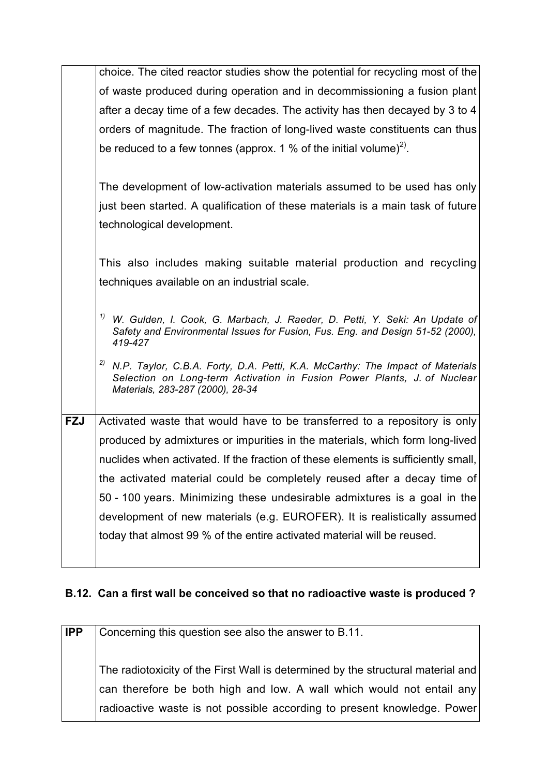|            | choice. The cited reactor studies show the potential for recycling most of the                                                                                                                     |
|------------|----------------------------------------------------------------------------------------------------------------------------------------------------------------------------------------------------|
|            | of waste produced during operation and in decommissioning a fusion plant                                                                                                                           |
|            | after a decay time of a few decades. The activity has then decayed by 3 to 4                                                                                                                       |
|            | orders of magnitude. The fraction of long-lived waste constituents can thus                                                                                                                        |
|            | be reduced to a few tonnes (approx. 1 % of the initial volume) <sup>2)</sup> .                                                                                                                     |
|            | The development of low-activation materials assumed to be used has only                                                                                                                            |
|            | just been started. A qualification of these materials is a main task of future                                                                                                                     |
|            | technological development.                                                                                                                                                                         |
|            |                                                                                                                                                                                                    |
|            | This also includes making suitable material production and recycling                                                                                                                               |
|            | techniques available on an industrial scale.                                                                                                                                                       |
|            | <sup>1)</sup> W. Gulden, I. Cook, G. Marbach, J. Raeder, D. Petti, Y. Seki: An Update of<br>Safety and Environmental Issues for Fusion, Fus. Eng. and Design 51-52 (2000),<br>419-427              |
|            | 2)<br>N.P. Taylor, C.B.A. Forty, D.A. Petti, K.A. McCarthy: The Impact of Materials<br>Selection on Long-term Activation in Fusion Power Plants, J. of Nuclear<br>Materials, 283-287 (2000), 28-34 |
| <b>FZJ</b> | Activated waste that would have to be transferred to a repository is only                                                                                                                          |
|            | produced by admixtures or impurities in the materials, which form long-lived                                                                                                                       |
|            | nuclides when activated. If the fraction of these elements is sufficiently small,                                                                                                                  |
|            | the activated material could be completely reused after a decay time of                                                                                                                            |
|            | 50 - 100 years. Minimizing these undesirable admixtures is a goal in the                                                                                                                           |
|            | development of new materials (e.g. EUROFER). It is realistically assumed                                                                                                                           |
|            | today that almost 99 % of the entire activated material will be reused.                                                                                                                            |
|            |                                                                                                                                                                                                    |

# **B.12. Can a first wall be conceived so that no radioactive waste is produced ?**

| <b>IPP</b> | Concerning this question see also the answer to B.11.                                                                                                     |
|------------|-----------------------------------------------------------------------------------------------------------------------------------------------------------|
|            | The radiotoxicity of the First Wall is determined by the structural material and<br>can therefore be both high and low. A wall which would not entail any |
|            | radioactive waste is not possible according to present knowledge. Power                                                                                   |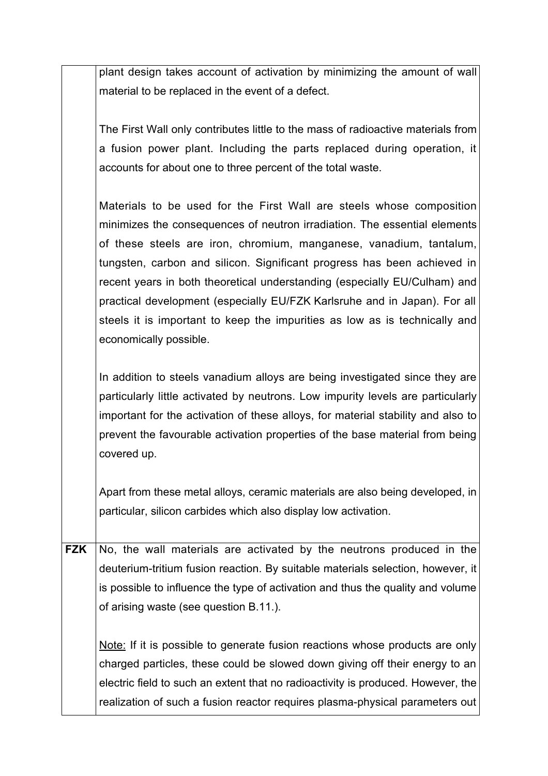plant design takes account of activation by minimizing the amount of wall material to be replaced in the event of a defect.

The First Wall only contributes little to the mass of radioactive materials from a fusion power plant. Including the parts replaced during operation, it accounts for about one to three percent of the total waste.

Materials to be used for the First Wall are steels whose composition minimizes the consequences of neutron irradiation. The essential elements of these steels are iron, chromium, manganese, vanadium, tantalum, tungsten, carbon and silicon. Significant progress has been achieved in recent years in both theoretical understanding (especially EU/Culham) and practical development (especially EU/FZK Karlsruhe and in Japan). For all steels it is important to keep the impurities as low as is technically and economically possible.

In addition to steels vanadium alloys are being investigated since they are particularly little activated by neutrons. Low impurity levels are particularly important for the activation of these alloys, for material stability and also to prevent the favourable activation properties of the base material from being covered up.

Apart from these metal alloys, ceramic materials are also being developed, in particular, silicon carbides which also display low activation.

**FZK** No, the wall materials are activated by the neutrons produced in the deuterium-tritium fusion reaction. By suitable materials selection, however, it is possible to influence the type of activation and thus the quality and volume of arising waste (see question B.11.).

Note: If it is possible to generate fusion reactions whose products are only charged particles, these could be slowed down giving off their energy to an electric field to such an extent that no radioactivity is produced. However, the realization of such a fusion reactor requires plasma-physical parameters out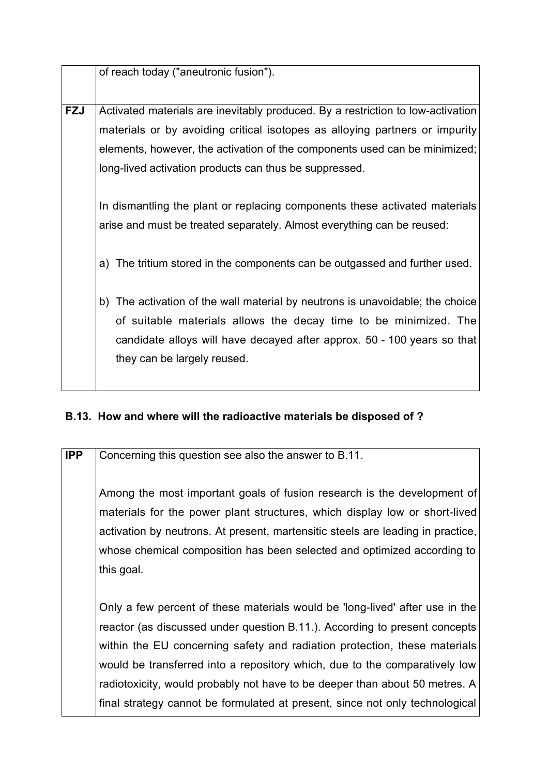|            | of reach today ("aneutronic fusion").                                           |
|------------|---------------------------------------------------------------------------------|
|            |                                                                                 |
| <b>FZJ</b> | Activated materials are inevitably produced. By a restriction to low-activation |
|            | materials or by avoiding critical isotopes as alloying partners or impurity     |
|            | elements, however, the activation of the components used can be minimized;      |
|            | long-lived activation products can thus be suppressed.                          |
|            |                                                                                 |
|            | In dismantling the plant or replacing components these activated materials      |
|            | arise and must be treated separately. Almost everything can be reused:          |
|            |                                                                                 |
|            | a) The tritium stored in the components can be outgassed and further used.      |
|            |                                                                                 |
|            | b) The activation of the wall material by neutrons is unavoidable; the choice   |
|            |                                                                                 |
|            | of suitable materials allows the decay time to be minimized. The                |
|            | candidate alloys will have decayed after approx. 50 - 100 years so that         |
|            | they can be largely reused.                                                     |
|            |                                                                                 |

## **B.13. How and where will the radioactive materials be disposed of ?**

**IPP** Concerning this question see also the answer to B.11.

Among the most important goals of fusion research is the development of materials for the power plant structures, which display low or short-lived activation by neutrons. At present, martensitic steels are leading in practice, whose chemical composition has been selected and optimized according to this goal.

Only a few percent of these materials would be 'long-lived' after use in the reactor (as discussed under question B.11.). According to present concepts within the EU concerning safety and radiation protection, these materials would be transferred into a repository which, due to the comparatively low radiotoxicity, would probably not have to be deeper than about 50 metres. A final strategy cannot be formulated at present, since not only technological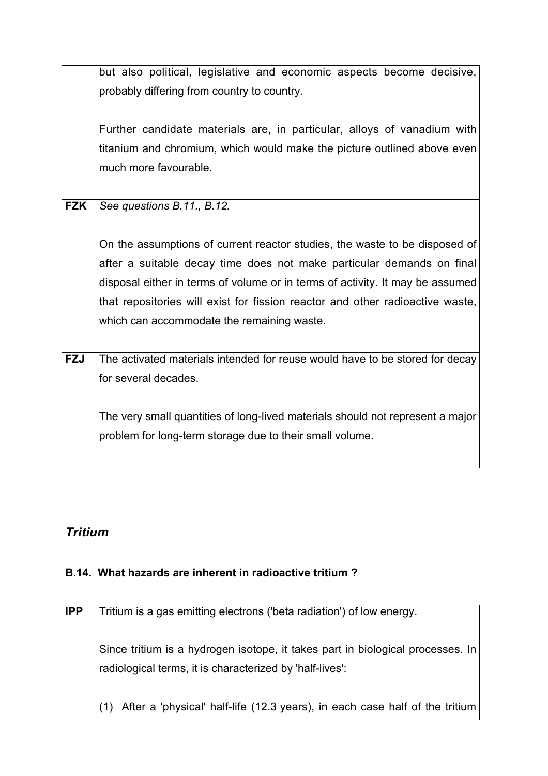|            | but also political, legislative and economic aspects become decisive,          |
|------------|--------------------------------------------------------------------------------|
|            |                                                                                |
|            | probably differing from country to country.                                    |
|            |                                                                                |
|            | Further candidate materials are, in particular, alloys of vanadium with        |
|            |                                                                                |
|            | titanium and chromium, which would make the picture outlined above even        |
|            | much more favourable.                                                          |
|            |                                                                                |
| <b>FZK</b> | See questions B.11., B.12.                                                     |
|            |                                                                                |
|            |                                                                                |
|            | On the assumptions of current reactor studies, the waste to be disposed of     |
|            | after a suitable decay time does not make particular demands on final          |
|            |                                                                                |
|            | disposal either in terms of volume or in terms of activity. It may be assumed  |
|            | that repositories will exist for fission reactor and other radioactive waste,  |
|            | which can accommodate the remaining waste.                                     |
|            |                                                                                |
|            |                                                                                |
| <b>FZJ</b> | The activated materials intended for reuse would have to be stored for decay   |
|            | for several decades.                                                           |
|            |                                                                                |
|            |                                                                                |
|            | The very small quantities of long-lived materials should not represent a major |
|            | problem for long-term storage due to their small volume.                       |
|            |                                                                                |
|            |                                                                                |

# *Tritium*

## **B.14. What hazards are inherent in radioactive tritium ?**

| <b>IPP</b> | Tritium is a gas emitting electrons ('beta radiation') of low energy.                                                                      |
|------------|--------------------------------------------------------------------------------------------------------------------------------------------|
|            | Since tritium is a hydrogen isotope, it takes part in biological processes. In<br>radiological terms, it is characterized by 'half-lives': |
|            | After a 'physical' half-life (12.3 years), in each case half of the tritium                                                                |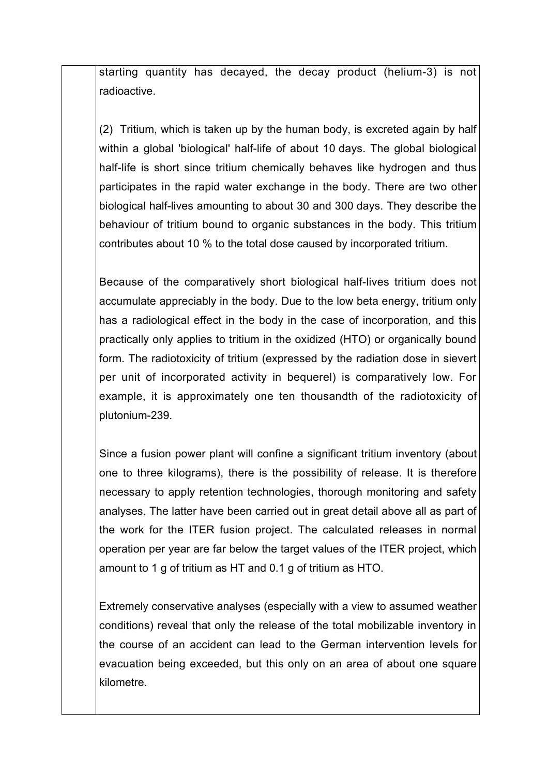starting quantity has decayed, the decay product (helium-3) is not radioactive.

(2) Tritium, which is taken up by the human body, is excreted again by half within a global 'biological' half-life of about 10 days. The global biological half-life is short since tritium chemically behaves like hydrogen and thus participates in the rapid water exchange in the body. There are two other biological half-lives amounting to about 30 and 300 days. They describe the behaviour of tritium bound to organic substances in the body. This tritium contributes about 10 % to the total dose caused by incorporated tritium.

Because of the comparatively short biological half-lives tritium does not accumulate appreciably in the body. Due to the low beta energy, tritium only has a radiological effect in the body in the case of incorporation, and this practically only applies to tritium in the oxidized (HTO) or organically bound form. The radiotoxicity of tritium (expressed by the radiation dose in sievert per unit of incorporated activity in bequerel) is comparatively low. For example, it is approximately one ten thousandth of the radiotoxicity of plutonium-239.

Since a fusion power plant will confine a significant tritium inventory (about one to three kilograms), there is the possibility of release. It is therefore necessary to apply retention technologies, thorough monitoring and safety analyses. The latter have been carried out in great detail above all as part of the work for the ITER fusion project. The calculated releases in normal operation per year are far below the target values of the ITER project, which amount to 1 g of tritium as HT and 0.1 g of tritium as HTO.

Extremely conservative analyses (especially with a view to assumed weather conditions) reveal that only the release of the total mobilizable inventory in the course of an accident can lead to the German intervention levels for evacuation being exceeded, but this only on an area of about one square kilometre.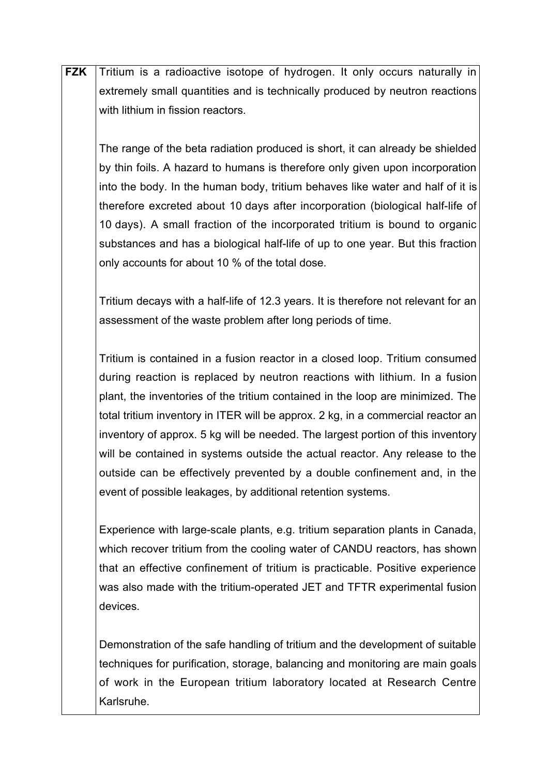| <b>FZK</b> | Tritium is a radioactive isotope of hydrogen. It only occurs naturally in          |
|------------|------------------------------------------------------------------------------------|
|            | extremely small quantities and is technically produced by neutron reactions        |
|            | with lithium in fission reactors.                                                  |
|            |                                                                                    |
|            | The range of the beta radiation produced is short, it can already be shielded      |
|            | by thin foils. A hazard to humans is therefore only given upon incorporation       |
|            | into the body. In the human body, tritium behaves like water and half of it is     |
|            | therefore excreted about 10 days after incorporation (biological half-life of      |
|            | 10 days). A small fraction of the incorporated tritium is bound to organic         |
|            | substances and has a biological half-life of up to one year. But this fraction     |
|            |                                                                                    |
|            | only accounts for about 10 % of the total dose.                                    |
|            |                                                                                    |
|            | Tritium decays with a half-life of 12.3 years. It is therefore not relevant for an |
|            | assessment of the waste problem after long periods of time.                        |
|            | Tritium is contained in a fusion reactor in a closed loop. Tritium consumed        |
|            | during reaction is replaced by neutron reactions with lithium. In a fusion         |
|            | plant, the inventories of the tritium contained in the loop are minimized. The     |
|            | total tritium inventory in ITER will be approx. 2 kg, in a commercial reactor an   |
|            | inventory of approx. 5 kg will be needed. The largest portion of this inventory    |
|            | will be contained in systems outside the actual reactor. Any release to the        |
|            | outside can be effectively prevented by a double confinement and, in the           |
|            |                                                                                    |
|            | event of possible leakages, by additional retention systems.                       |
|            | Experience with large-scale plants, e.g. tritium separation plants in Canada,      |
|            | which recover tritium from the cooling water of CANDU reactors, has shown          |
|            | that an effective confinement of tritium is practicable. Positive experience       |
|            | was also made with the tritium-operated JET and TFTR experimental fusion           |
|            | devices.                                                                           |
|            |                                                                                    |
|            | Demonstration of the safe handling of tritium and the development of suitable      |
|            | techniques for purification, storage, balancing and monitoring are main goals      |

of work in the European tritium laboratory located at Research Centre

Karlsruhe.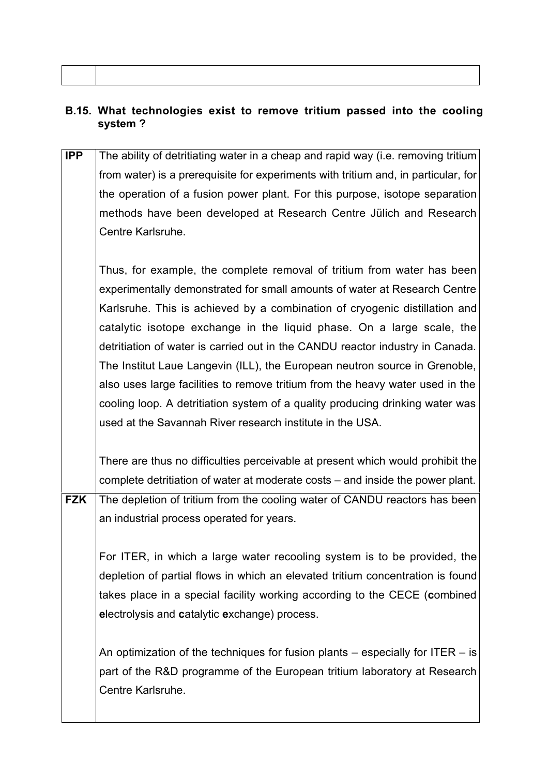### **B.15. What technologies exist to remove tritium passed into the cooling system ?**

**IPP** The ability of detritiating water in a cheap and rapid way (i.e. removing tritium from water) is a prerequisite for experiments with tritium and, in particular, for the operation of a fusion power plant. For this purpose, isotope separation methods have been developed at Research Centre Jülich and Research Centre Karlsruhe. Thus, for example, the complete removal of tritium from water has been experimentally demonstrated for small amounts of water at Research Centre Karlsruhe. This is achieved by a combination of cryogenic distillation and catalytic isotope exchange in the liquid phase. On a large scale, the detritiation of water is carried out in the CANDU reactor industry in Canada. The Institut Laue Langevin (ILL), the European neutron source in Grenoble, also uses large facilities to remove tritium from the heavy water used in the cooling loop. A detritiation system of a quality producing drinking water was used at the Savannah River research institute in the USA. There are thus no difficulties perceivable at present which would prohibit the complete detritiation of water at moderate costs – and inside the power plant. **FZK** The depletion of tritium from the cooling water of CANDU reactors has been an industrial process operated for years. For ITER, in which a large water recooling system is to be provided, the depletion of partial flows in which an elevated tritium concentration is found takes place in a special facility working according to the CECE (**c**ombined **e**lectrolysis and **c**atalytic **e**xchange) process. An optimization of the techniques for fusion plants – especially for ITER – is part of the R&D programme of the European tritium laboratory at Research Centre Karlsruhe.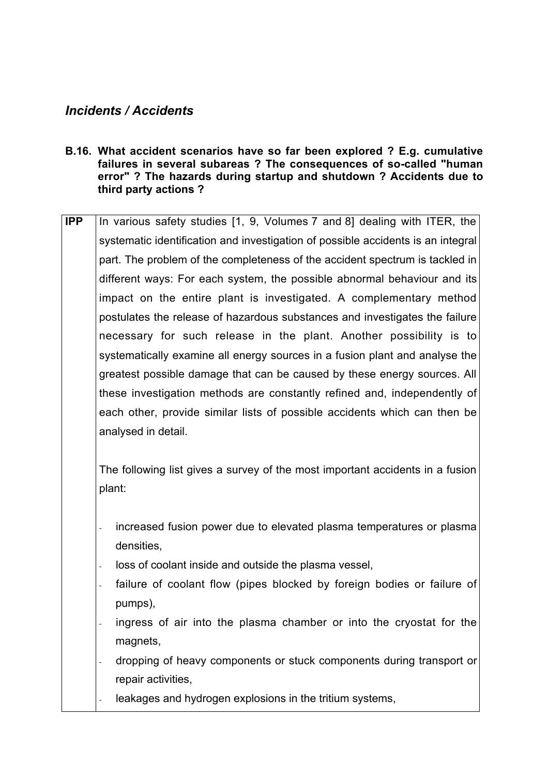## *Incidents / Accidents*

- **B.16. What accident scenarios have so far been explored ? E.g. cumulative failures in several subareas ? The consequences of so-called "human error" ? The hazards during startup and shutdown ? Accidents due to third party actions ?**
- **IPP** In various safety studies [1, 9, Volumes 7 and 8] dealing with ITER, the systematic identification and investigation of possible accidents is an integral part. The problem of the completeness of the accident spectrum is tackled in different ways: For each system, the possible abnormal behaviour and its impact on the entire plant is investigated. A complementary method postulates the release of hazardous substances and investigates the failure necessary for such release in the plant. Another possibility is to systematically examine all energy sources in a fusion plant and analyse the greatest possible damage that can be caused by these energy sources. All these investigation methods are constantly refined and, independently of each other, provide similar lists of possible accidents which can then be analysed in detail.

The following list gives a survey of the most important accidents in a fusion plant:

- increased fusion power due to elevated plasma temperatures or plasma densities,
- loss of coolant inside and outside the plasma vessel,
- failure of coolant flow (pipes blocked by foreign bodies or failure of pumps),
- ingress of air into the plasma chamber or into the cryostat for the magnets.
- dropping of heavy components or stuck components during transport or repair activities,
- leakages and hydrogen explosions in the tritium systems,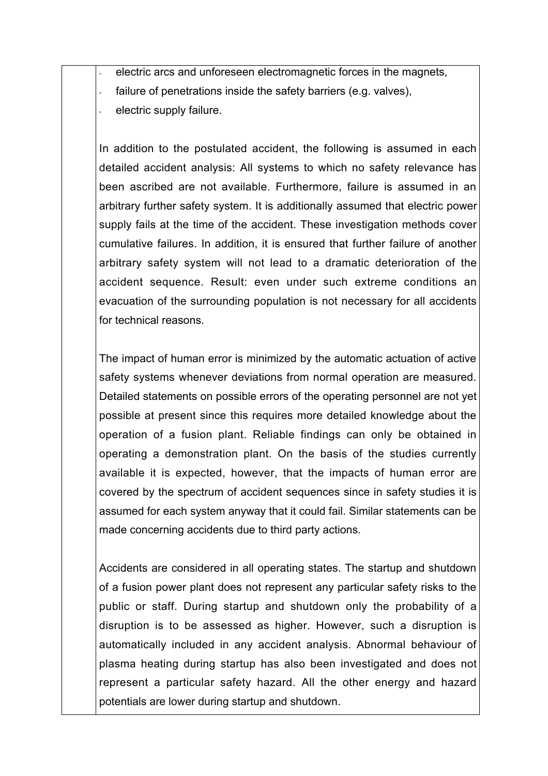electric arcs and unforeseen electromagnetic forces in the magnets, failure of penetrations inside the safety barriers (e.g. valves), electric supply failure.

In addition to the postulated accident, the following is assumed in each detailed accident analysis: All systems to which no safety relevance has been ascribed are not available. Furthermore, failure is assumed in an arbitrary further safety system. It is additionally assumed that electric power supply fails at the time of the accident. These investigation methods cover cumulative failures. In addition, it is ensured that further failure of another arbitrary safety system will not lead to a dramatic deterioration of the accident sequence. Result: even under such extreme conditions an evacuation of the surrounding population is not necessary for all accidents for technical reasons.

The impact of human error is minimized by the automatic actuation of active safety systems whenever deviations from normal operation are measured. Detailed statements on possible errors of the operating personnel are not yet possible at present since this requires more detailed knowledge about the operation of a fusion plant. Reliable findings can only be obtained in operating a demonstration plant. On the basis of the studies currently available it is expected, however, that the impacts of human error are covered by the spectrum of accident sequences since in safety studies it is assumed for each system anyway that it could fail. Similar statements can be made concerning accidents due to third party actions.

Accidents are considered in all operating states. The startup and shutdown of a fusion power plant does not represent any particular safety risks to the public or staff. During startup and shutdown only the probability of a disruption is to be assessed as higher. However, such a disruption is automatically included in any accident analysis. Abnormal behaviour of plasma heating during startup has also been investigated and does not represent a particular safety hazard. All the other energy and hazard potentials are lower during startup and shutdown.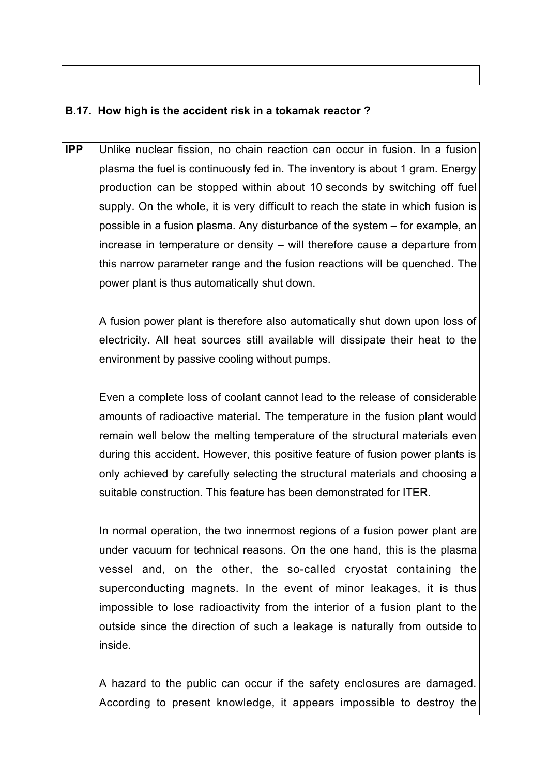### **B.17. How high is the accident risk in a tokamak reactor ?**

**IPP** Unlike nuclear fission, no chain reaction can occur in fusion. In a fusion plasma the fuel is continuously fed in. The inventory is about 1 gram. Energy production can be stopped within about 10 seconds by switching off fuel supply. On the whole, it is very difficult to reach the state in which fusion is possible in a fusion plasma. Any disturbance of the system – for example, an increase in temperature or density – will therefore cause a departure from this narrow parameter range and the fusion reactions will be quenched. The power plant is thus automatically shut down.

A fusion power plant is therefore also automatically shut down upon loss of electricity. All heat sources still available will dissipate their heat to the environment by passive cooling without pumps.

Even a complete loss of coolant cannot lead to the release of considerable amounts of radioactive material. The temperature in the fusion plant would remain well below the melting temperature of the structural materials even during this accident. However, this positive feature of fusion power plants is only achieved by carefully selecting the structural materials and choosing a suitable construction. This feature has been demonstrated for ITER.

In normal operation, the two innermost regions of a fusion power plant are under vacuum for technical reasons. On the one hand, this is the plasma vessel and, on the other, the so-called cryostat containing the superconducting magnets. In the event of minor leakages, it is thus impossible to lose radioactivity from the interior of a fusion plant to the outside since the direction of such a leakage is naturally from outside to inside.

A hazard to the public can occur if the safety enclosures are damaged. According to present knowledge, it appears impossible to destroy the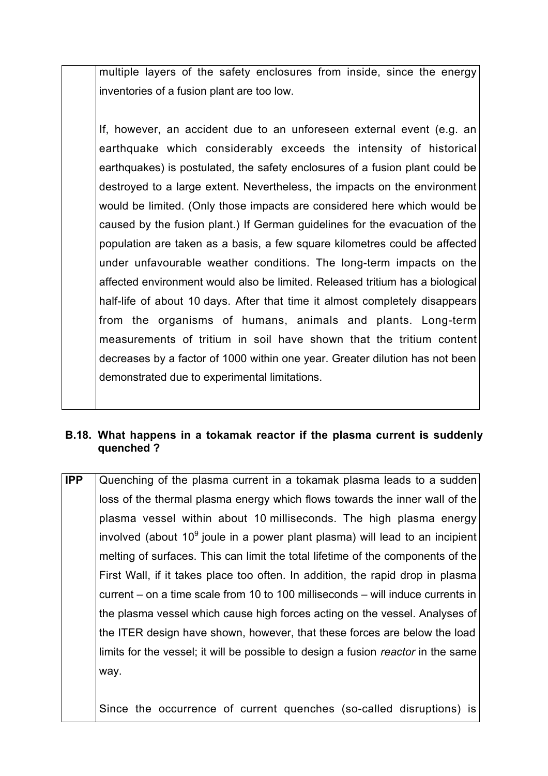multiple layers of the safety enclosures from inside, since the energy inventories of a fusion plant are too low.

If, however, an accident due to an unforeseen external event (e.g. an earthquake which considerably exceeds the intensity of historical earthquakes) is postulated, the safety enclosures of a fusion plant could be destroyed to a large extent. Nevertheless, the impacts on the environment would be limited. (Only those impacts are considered here which would be caused by the fusion plant.) If German guidelines for the evacuation of the population are taken as a basis, a few square kilometres could be affected under unfavourable weather conditions. The long-term impacts on the affected environment would also be limited. Released tritium has a biological half-life of about 10 days. After that time it almost completely disappears from the organisms of humans, animals and plants. Long-term measurements of tritium in soil have shown that the tritium content decreases by a factor of 1000 within one year. Greater dilution has not been demonstrated due to experimental limitations.

#### **B.18. What happens in a tokamak reactor if the plasma current is suddenly quenched ?**

**IPP** Quenching of the plasma current in a tokamak plasma leads to a sudden loss of the thermal plasma energy which flows towards the inner wall of the plasma vessel within about 10 milliseconds. The high plasma energy involved (about 10 $^{\circ}$  joule in a power plant plasma) will lead to an incipient melting of surfaces. This can limit the total lifetime of the components of the First Wall, if it takes place too often. In addition, the rapid drop in plasma current – on a time scale from 10 to 100 milliseconds – will induce currents in the plasma vessel which cause high forces acting on the vessel. Analyses of the ITER design have shown, however, that these forces are below the load limits for the vessel; it will be possible to design a fusion *reactor* in the same way.

Since the occurrence of current quenches (so-called disruptions) is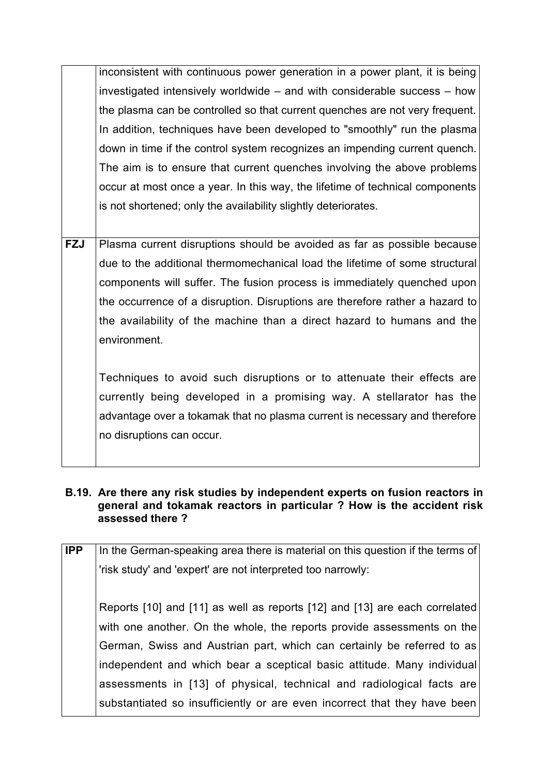inconsistent with continuous power generation in a power plant, it is being investigated intensively worldwide – and with considerable success – how the plasma can be controlled so that current quenches are not very frequent. In addition, techniques have been developed to "smoothly" run the plasma down in time if the control system recognizes an impending current quench. The aim is to ensure that current quenches involving the above problems occur at most once a year. In this way, the lifetime of technical components is not shortened; only the availability slightly deteriorates.

**FZJ** Plasma current disruptions should be avoided as far as possible because due to the additional thermomechanical load the lifetime of some structural components will suffer. The fusion process is immediately quenched upon the occurrence of a disruption. Disruptions are therefore rather a hazard to the availability of the machine than a direct hazard to humans and the environment.

Techniques to avoid such disruptions or to attenuate their effects are currently being developed in a promising way. A stellarator has the advantage over a tokamak that no plasma current is necessary and therefore no disruptions can occur.

#### **B.19. Are there any risk studies by independent experts on fusion reactors in general and tokamak reactors in particular ? How is the accident risk assessed there ?**

| <b>IPP</b> | In the German-speaking area there is material on this question if the terms of |
|------------|--------------------------------------------------------------------------------|
|            | 'risk study' and 'expert' are not interpreted too narrowly:                    |
|            | Reports [10] and [11] as well as reports [12] and [13] are each correlated     |
|            | with one another. On the whole, the reports provide assessments on the         |
|            | German, Swiss and Austrian part, which can certainly be referred to as         |
|            | independent and which bear a sceptical basic attitude. Many individual         |
|            | assessments in [13] of physical, technical and radiological facts are          |
|            | substantiated so insufficiently or are even incorrect that they have been      |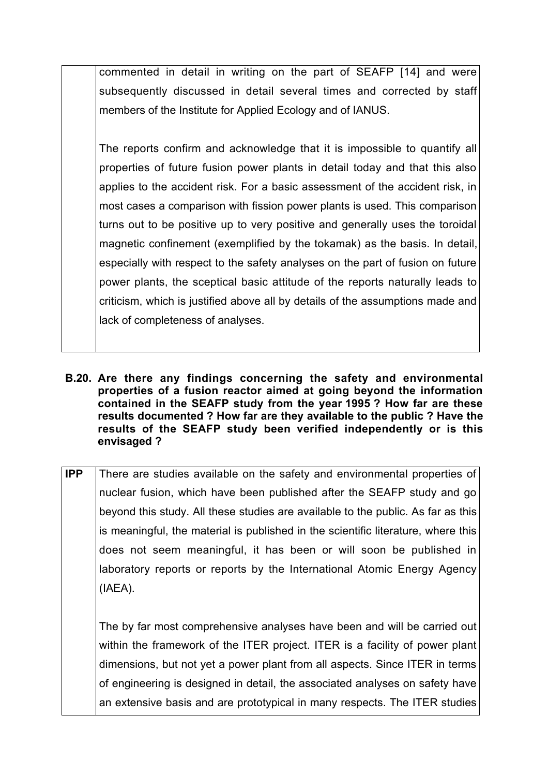commented in detail in writing on the part of SEAFP [14] and were subsequently discussed in detail several times and corrected by staff members of the Institute for Applied Ecology and of IANUS.

The reports confirm and acknowledge that it is impossible to quantify all properties of future fusion power plants in detail today and that this also applies to the accident risk. For a basic assessment of the accident risk, in most cases a comparison with fission power plants is used. This comparison turns out to be positive up to very positive and generally uses the toroidal magnetic confinement (exemplified by the tokamak) as the basis. In detail, especially with respect to the safety analyses on the part of fusion on future power plants, the sceptical basic attitude of the reports naturally leads to criticism, which is justified above all by details of the assumptions made and lack of completeness of analyses.

- **B.20. Are there any findings concerning the safety and environmental properties of a fusion reactor aimed at going beyond the information contained in the SEAFP study from the year 1995 ? How far are these results documented ? How far are they available to the public ? Have the results of the SEAFP study been verified independently or is this envisaged ?**
- **IPP** There are studies available on the safety and environmental properties of nuclear fusion, which have been published after the SEAFP study and go beyond this study. All these studies are available to the public. As far as this is meaningful, the material is published in the scientific literature, where this does not seem meaningful, it has been or will soon be published in laboratory reports or reports by the International Atomic Energy Agency (IAEA).

The by far most comprehensive analyses have been and will be carried out within the framework of the ITER project. ITER is a facility of power plant dimensions, but not yet a power plant from all aspects. Since ITER in terms of engineering is designed in detail, the associated analyses on safety have an extensive basis and are prototypical in many respects. The ITER studies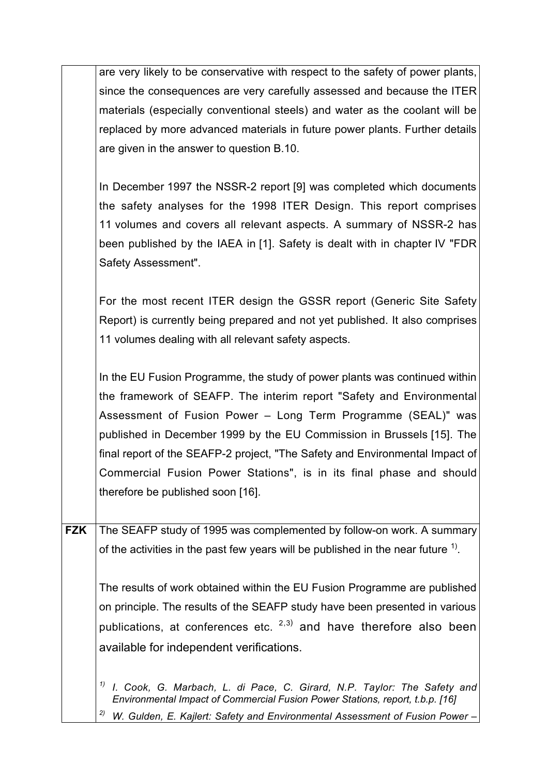|            | are very likely to be conservative with respect to the safety of power plants,               |
|------------|----------------------------------------------------------------------------------------------|
|            | since the consequences are very carefully assessed and because the ITER                      |
|            | materials (especially conventional steels) and water as the coolant will be                  |
|            | replaced by more advanced materials in future power plants. Further details                  |
|            | are given in the answer to question B.10.                                                    |
|            |                                                                                              |
|            | In December 1997 the NSSR-2 report [9] was completed which documents                         |
|            | the safety analyses for the 1998 ITER Design. This report comprises                          |
|            | 11 volumes and covers all relevant aspects. A summary of NSSR-2 has                          |
|            | been published by the IAEA in [1]. Safety is dealt with in chapter IV "FDR                   |
|            | Safety Assessment".                                                                          |
|            |                                                                                              |
|            | For the most recent ITER design the GSSR report (Generic Site Safety                         |
|            | Report) is currently being prepared and not yet published. It also comprises                 |
|            | 11 volumes dealing with all relevant safety aspects.                                         |
|            |                                                                                              |
|            | In the EU Fusion Programme, the study of power plants was continued within                   |
|            | the framework of SEAFP. The interim report "Safety and Environmental                         |
|            | Assessment of Fusion Power - Long Term Programme (SEAL)" was                                 |
|            | published in December 1999 by the EU Commission in Brussels [15]. The                        |
|            | final report of the SEAFP-2 project, "The Safety and Environmental Impact of                 |
|            | Commercial Fusion Power Stations", is in its final phase and should                          |
|            | therefore be published soon [16].                                                            |
|            |                                                                                              |
| <b>FZK</b> | The SEAFP study of 1995 was complemented by follow-on work. A summary                        |
|            | of the activities in the past few years will be published in the near future $\frac{1}{1}$ . |
|            |                                                                                              |
|            | The results of work obtained within the EU Fusion Programme are published                    |
|            | on principle. The results of the SEAFP study have been presented in various                  |
|            | publications, at conferences etc. <sup>2,3)</sup> and have therefore also been               |
|            | available for independent verifications.                                                     |
|            |                                                                                              |
|            | 1)<br>I. Cook, G. Marbach, L. di Pace, C. Girard, N.P. Taylor: The Safety and                |
|            | Environmental Impact of Commercial Fusion Power Stations, report, t.b.p. [16]                |
|            | 2)<br>W. Gulden, E. Kajlert: Safety and Environmental Assessment of Fusion Power -           |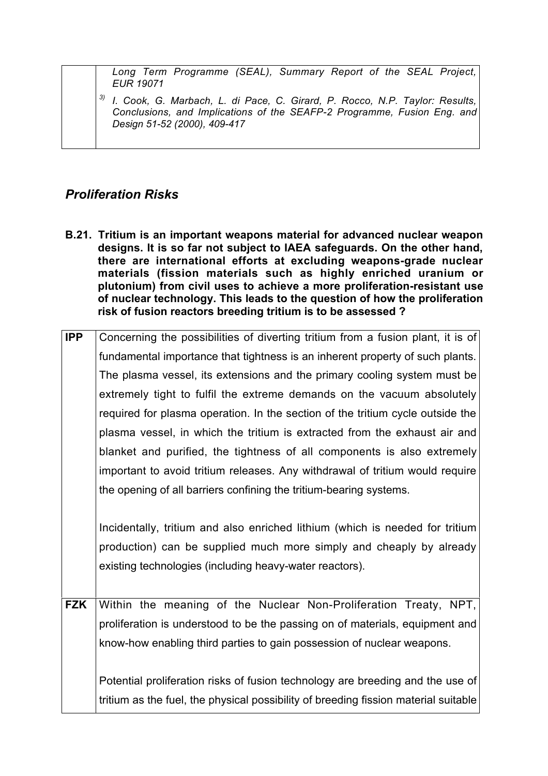*Long Term Programme (SEAL), Summary Report of the SEAL Project, EUR 19071*

*3) I. Cook, G. Marbach, L. di Pace, C. Girard, P. Rocco, N.P. Taylor: Results, Conclusions, and Implications of the SEAFP-2 Programme, Fusion Eng. and Design 51-52 (2000), 409-417*

## *Proliferation Risks*

**B.21. Tritium is an important weapons material for advanced nuclear weapon designs. It is so far not subject to IAEA safeguards. On the other hand, there are international efforts at excluding weapons-grade nuclear materials (fission materials such as highly enriched uranium or plutonium) from civil uses to achieve a more proliferation-resistant use of nuclear technology. This leads to the question of how the proliferation risk of fusion reactors breeding tritium is to be assessed ?**

| <b>IPP</b> | Concerning the possibilities of diverting tritium from a fusion plant, it is of |
|------------|---------------------------------------------------------------------------------|
|            | fundamental importance that tightness is an inherent property of such plants.   |
|            | The plasma vessel, its extensions and the primary cooling system must be        |
|            | extremely tight to fulfil the extreme demands on the vacuum absolutely          |
|            | required for plasma operation. In the section of the tritium cycle outside the  |
|            | plasma vessel, in which the tritium is extracted from the exhaust air and       |
|            | blanket and purified, the tightness of all components is also extremely         |
|            | important to avoid tritium releases. Any withdrawal of tritium would require    |
|            | the opening of all barriers confining the tritium-bearing systems.              |
|            |                                                                                 |
|            | Incidentally, tritium and also enriched lithium (which is needed for tritium    |
|            | production) can be supplied much more simply and cheaply by already             |
|            | existing technologies (including heavy-water reactors).                         |
|            |                                                                                 |
| <b>FZK</b> | Within the meaning of the Nuclear Non-Proliferation Treaty, NPT,                |
|            | proliferation is understood to be the passing on of materials, equipment and    |

proliferation is understood to be the passing on of materials, equipment and know-how enabling third parties to gain possession of nuclear weapons. Potential proliferation risks of fusion technology are breeding and the use of

tritium as the fuel, the physical possibility of breeding fission material suitable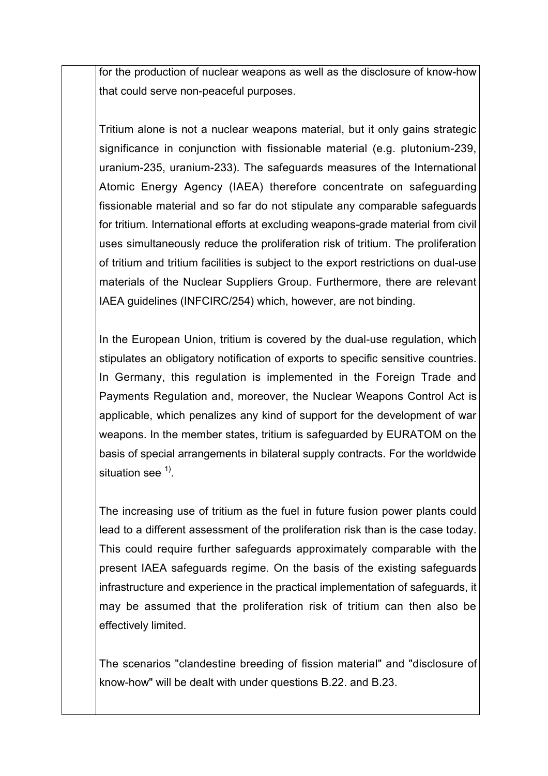for the production of nuclear weapons as well as the disclosure of know-how that could serve non-peaceful purposes.

Tritium alone is not a nuclear weapons material, but it only gains strategic significance in conjunction with fissionable material (e.g. plutonium-239, uranium-235, uranium-233). The safeguards measures of the International Atomic Energy Agency (IAEA) therefore concentrate on safeguarding fissionable material and so far do not stipulate any comparable safeguards for tritium. International efforts at excluding weapons-grade material from civil uses simultaneously reduce the proliferation risk of tritium. The proliferation of tritium and tritium facilities is subject to the export restrictions on dual-use materials of the Nuclear Suppliers Group. Furthermore, there are relevant IAEA guidelines (INFCIRC/254) which, however, are not binding.

In the European Union, tritium is covered by the dual-use regulation, which stipulates an obligatory notification of exports to specific sensitive countries. In Germany, this regulation is implemented in the Foreign Trade and Payments Regulation and, moreover, the Nuclear Weapons Control Act is applicable, which penalizes any kind of support for the development of war weapons. In the member states, tritium is safeguarded by EURATOM on the basis of special arrangements in bilateral supply contracts. For the worldwide situation see  $1$ .

The increasing use of tritium as the fuel in future fusion power plants could lead to a different assessment of the proliferation risk than is the case today. This could require further safeguards approximately comparable with the present IAEA safeguards regime. On the basis of the existing safeguards infrastructure and experience in the practical implementation of safeguards, it may be assumed that the proliferation risk of tritium can then also be effectively limited.

The scenarios "clandestine breeding of fission material" and "disclosure of know-how" will be dealt with under questions B.22. and B.23.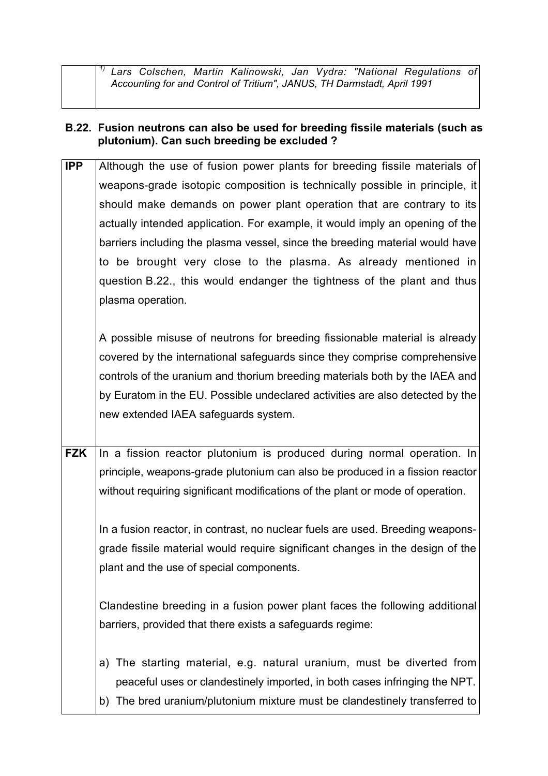*1) Lars Colschen, Martin Kalinowski, Jan Vydra: "National Regulations of Accounting for and Control of Tritium", JANUS, TH Darmstadt, April 1991*

#### **B.22. Fusion neutrons can also be used for breeding fissile materials (such as plutonium). Can such breeding be excluded ?**

**IPP** Although the use of fusion power plants for breeding fissile materials of weapons-grade isotopic composition is technically possible in principle, it should make demands on power plant operation that are contrary to its actually intended application. For example, it would imply an opening of the barriers including the plasma vessel, since the breeding material would have to be brought very close to the plasma. As already mentioned in question B.22., this would endanger the tightness of the plant and thus plasma operation.

A possible misuse of neutrons for breeding fissionable material is already covered by the international safeguards since they comprise comprehensive controls of the uranium and thorium breeding materials both by the IAEA and by Euratom in the EU. Possible undeclared activities are also detected by the new extended IAEA safeguards system.

**FZK** In a fission reactor plutonium is produced during normal operation. In principle, weapons-grade plutonium can also be produced in a fission reactor without requiring significant modifications of the plant or mode of operation.

In a fusion reactor, in contrast, no nuclear fuels are used. Breeding weaponsgrade fissile material would require significant changes in the design of the plant and the use of special components.

Clandestine breeding in a fusion power plant faces the following additional barriers, provided that there exists a safeguards regime:

- a) The starting material, e.g. natural uranium, must be diverted from peaceful uses or clandestinely imported, in both cases infringing the NPT.
- b) The bred uranium/plutonium mixture must be clandestinely transferred to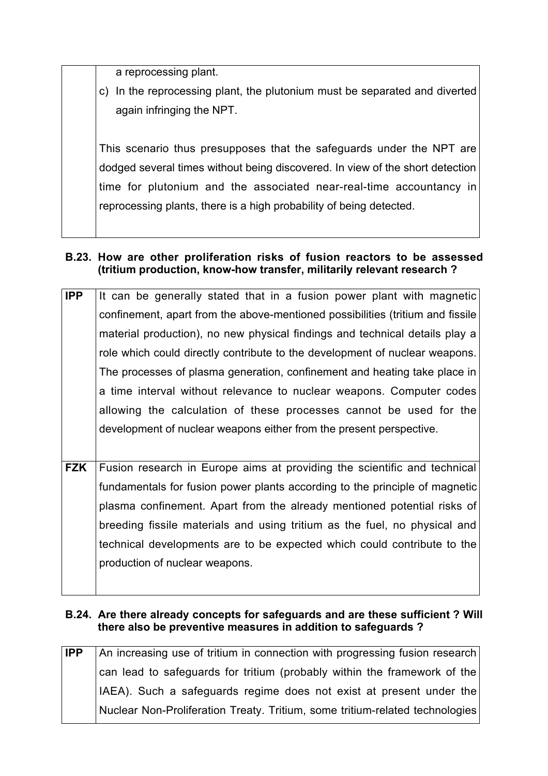a reprocessing plant.

c) In the reprocessing plant, the plutonium must be separated and diverted again infringing the NPT.

This scenario thus presupposes that the safeguards under the NPT are dodged several times without being discovered. In view of the short detection time for plutonium and the associated near-real-time accountancy in reprocessing plants, there is a high probability of being detected.

## **B.23. How are other proliferation risks of fusion reactors to be assessed (tritium production, know-how transfer, militarily relevant research ?**

| IPP        | It can be generally stated that in a fusion power plant with magnetic          |
|------------|--------------------------------------------------------------------------------|
|            | confinement, apart from the above-mentioned possibilities (tritium and fissile |
|            | material production), no new physical findings and technical details play a    |
|            | role which could directly contribute to the development of nuclear weapons.    |
|            | The processes of plasma generation, confinement and heating take place in      |
|            | a time interval without relevance to nuclear weapons. Computer codes           |
|            | allowing the calculation of these processes cannot be used for the             |
|            | development of nuclear weapons either from the present perspective.            |
|            |                                                                                |
| <b>FZK</b> | Fusion research in Europe aims at providing the scientific and technical       |
|            | fundamentals for fusion power plants according to the principle of magnetic    |
|            | plasma confinement. Apart from the already mentioned potential risks of        |
|            | breeding fissile materials and using tritium as the fuel, no physical and      |
|            | technical developments are to be expected which could contribute to the        |
|            | production of nuclear weapons.                                                 |
|            |                                                                                |

## **B.24. Are there already concepts for safeguards and are these sufficient ? Will there also be preventive measures in addition to safeguards ?**

**IPP** An increasing use of tritium in connection with progressing fusion research can lead to safeguards for tritium (probably within the framework of the IAEA). Such a safeguards regime does not exist at present under the Nuclear Non-Proliferation Treaty. Tritium, some tritium-related technologies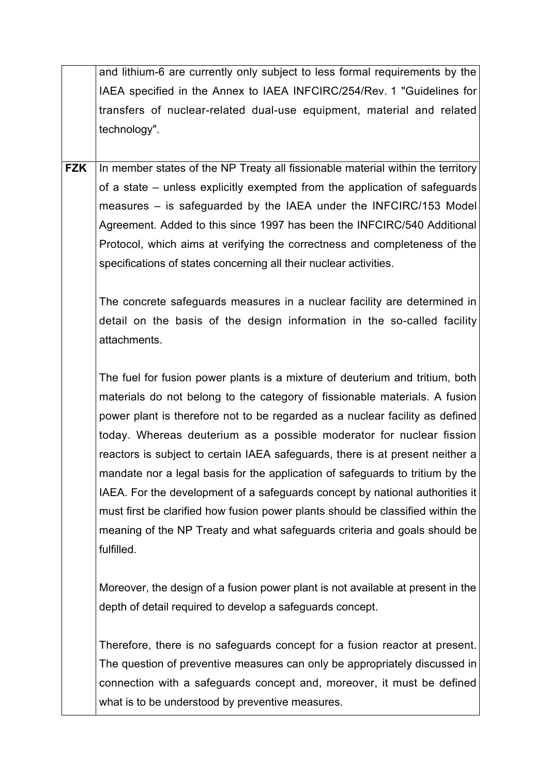|            | and lithium-6 are currently only subject to less formal requirements by the     |
|------------|---------------------------------------------------------------------------------|
|            | IAEA specified in the Annex to IAEA INFCIRC/254/Rev. 1 "Guidelines for          |
|            | transfers of nuclear-related dual-use equipment, material and related           |
|            | technology".                                                                    |
|            |                                                                                 |
| <b>FZK</b> | In member states of the NP Treaty all fissionable material within the territory |
|            | of a state – unless explicitly exempted from the application of safeguards      |
|            | measures – is safeguarded by the IAEA under the INFCIRC/153 Model               |
|            | Agreement. Added to this since 1997 has been the INFCIRC/540 Additional         |
|            | Protocol, which aims at verifying the correctness and completeness of the       |
|            | specifications of states concerning all their nuclear activities.               |
|            |                                                                                 |
|            | The concrete safeguards measures in a nuclear facility are determined in        |
|            | detail on the basis of the design information in the so-called facility         |
|            | attachments.                                                                    |
|            |                                                                                 |
|            | The fuel for fusion power plants is a mixture of deuterium and tritium, both    |
|            | materials do not belong to the category of fissionable materials. A fusion      |
|            | power plant is therefore not to be regarded as a nuclear facility as defined    |
|            | today. Whereas deuterium as a possible moderator for nuclear fission            |
|            | reactors is subject to certain IAEA safeguards, there is at present neither a   |
|            | mandate nor a legal basis for the application of safeguards to tritium by the   |
|            | IAEA. For the development of a safeguards concept by national authorities it    |
|            | must first be clarified how fusion power plants should be classified within the |
|            | meaning of the NP Treaty and what safeguards criteria and goals should be       |
|            | fulfilled.                                                                      |
|            |                                                                                 |
|            | Moreover, the design of a fusion power plant is not available at present in the |
|            | depth of detail required to develop a safeguards concept.                       |
|            |                                                                                 |
|            | Therefore, there is no safeguards concept for a fusion reactor at present.      |
|            | The question of preventive measures can only be appropriately discussed in      |
|            | connection with a safeguards concept and, moreover, it must be defined          |
|            | what is to be understood by preventive measures.                                |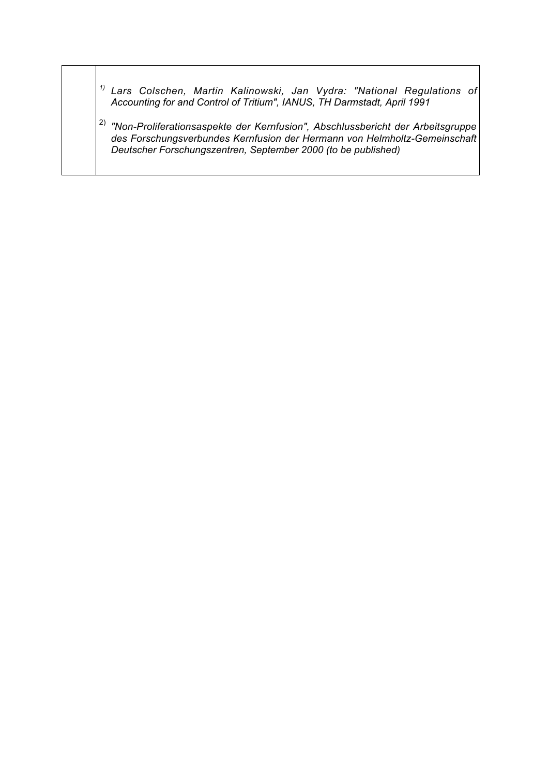- *1) Lars Colschen, Martin Kalinowski, Jan Vydra: "National Regulations of Accounting for and Control of Tritium", IANUS, TH Darmstadt, April 1991*
- 2) *"Non-Proliferationsaspekte der Kernfusion", Abschlussbericht der Arbeitsgruppe des Forschungsverbundes Kernfusion der Hermann von Helmholtz-Gemeinschaft Deutscher Forschungszentren, September 2000 (to be published)*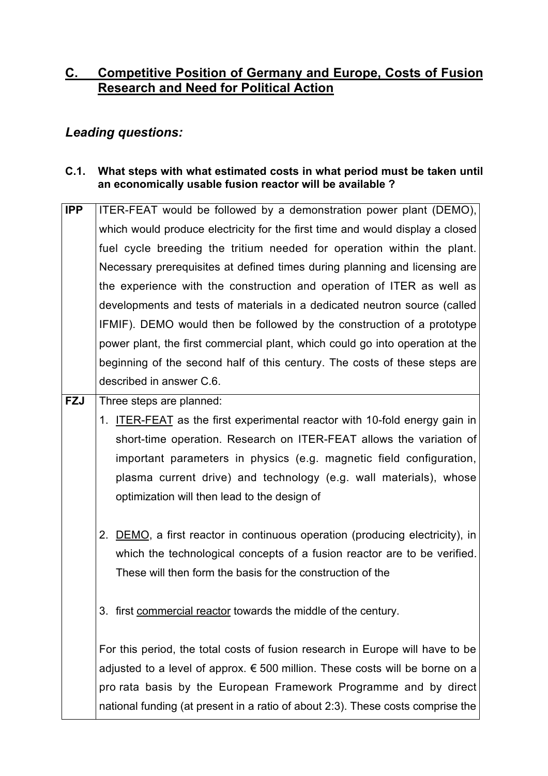# **C. Competitive Position of Germany and Europe, Costs of Fusion Research and Need for Political Action**

# *Leading questions:*

## **C.1. What steps with what estimated costs in what period must be taken until an economically usable fusion reactor will be available ?**

| <b>IPP</b> | ITER-FEAT would be followed by a demonstration power plant (DEMO),                        |
|------------|-------------------------------------------------------------------------------------------|
|            | which would produce electricity for the first time and would display a closed             |
|            | fuel cycle breeding the tritium needed for operation within the plant.                    |
|            | Necessary prerequisites at defined times during planning and licensing are                |
|            | the experience with the construction and operation of ITER as well as                     |
|            | developments and tests of materials in a dedicated neutron source (called                 |
|            | IFMIF). DEMO would then be followed by the construction of a prototype                    |
|            | power plant, the first commercial plant, which could go into operation at the             |
|            | beginning of the second half of this century. The costs of these steps are                |
|            | described in answer C.6.                                                                  |
| <b>FZJ</b> | Three steps are planned:                                                                  |
|            | <b>ITER-FEAT</b> as the first experimental reactor with 10-fold energy gain in<br>$1_{-}$ |
|            | short-time operation. Research on ITER-FEAT allows the variation of                       |
|            | important parameters in physics (e.g. magnetic field configuration,                       |
|            | plasma current drive) and technology (e.g. wall materials), whose                         |
|            | optimization will then lead to the design of                                              |
|            |                                                                                           |
|            | 2. DEMO, a first reactor in continuous operation (producing electricity), in              |
|            | which the technological concepts of a fusion reactor are to be verified.                  |
|            | These will then form the basis for the construction of the                                |
|            |                                                                                           |
|            | 3. first commercial reactor towards the middle of the century.                            |
|            |                                                                                           |
|            | For this period, the total costs of fusion research in Europe will have to be             |
|            | adjusted to a level of approx. $\epsilon$ 500 million. These costs will be borne on a     |
|            | pro rata basis by the European Framework Programme and by direct                          |
|            | national funding (at present in a ratio of about 2:3). These costs comprise the           |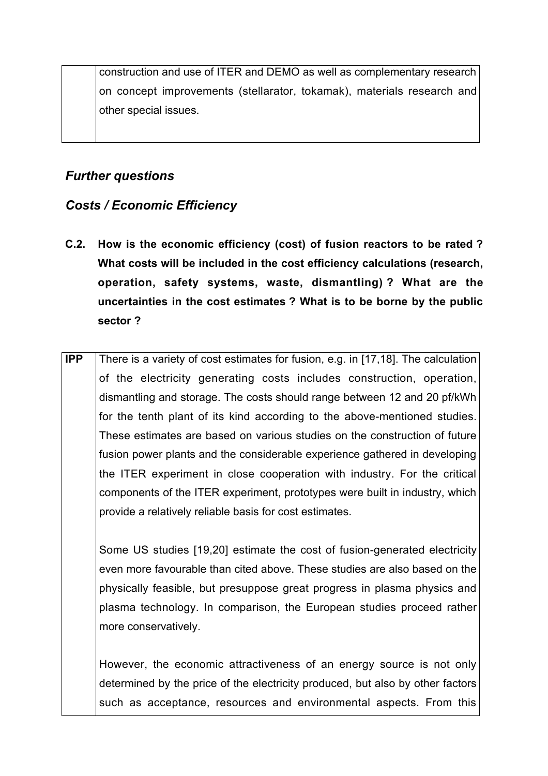construction and use of ITER and DEMO as well as complementary research on concept improvements (stellarator, tokamak), materials research and other special issues.

# *Further questions*

# *Costs / Economic Efficiency*

**C.2. How is the economic efficiency (cost) of fusion reactors to be rated ? What costs will be included in the cost efficiency calculations (research, operation, safety systems, waste, dismantling) ? What are the uncertainties in the cost estimates ? What is to be borne by the public sector ?**

**IPP** There is a variety of cost estimates for fusion, e.g. in [17,18]. The calculation of the electricity generating costs includes construction, operation, dismantling and storage. The costs should range between 12 and 20 pf/kWh for the tenth plant of its kind according to the above-mentioned studies. These estimates are based on various studies on the construction of future fusion power plants and the considerable experience gathered in developing the ITER experiment in close cooperation with industry. For the critical components of the ITER experiment, prototypes were built in industry, which provide a relatively reliable basis for cost estimates.

Some US studies [19,20] estimate the cost of fusion-generated electricity even more favourable than cited above. These studies are also based on the physically feasible, but presuppose great progress in plasma physics and plasma technology. In comparison, the European studies proceed rather more conservatively.

However, the economic attractiveness of an energy source is not only determined by the price of the electricity produced, but also by other factors such as acceptance, resources and environmental aspects. From this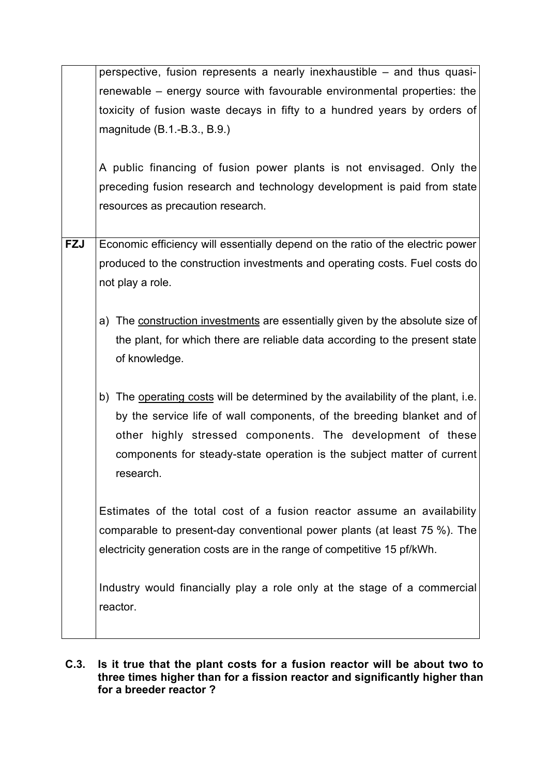|            | perspective, fusion represents a nearly inexhaustible - and thus quasi-          |
|------------|----------------------------------------------------------------------------------|
|            | renewable – energy source with favourable environmental properties: the          |
|            | toxicity of fusion waste decays in fifty to a hundred years by orders of         |
|            | magnitude (B.1.-B.3., B.9.)                                                      |
|            |                                                                                  |
|            | A public financing of fusion power plants is not envisaged. Only the             |
|            | preceding fusion research and technology development is paid from state          |
|            | resources as precaution research.                                                |
|            |                                                                                  |
| <b>FZJ</b> | Economic efficiency will essentially depend on the ratio of the electric power   |
|            | produced to the construction investments and operating costs. Fuel costs do      |
|            | not play a role.                                                                 |
|            |                                                                                  |
|            | a) The construction investments are essentially given by the absolute size of    |
|            | the plant, for which there are reliable data according to the present state      |
|            | of knowledge.                                                                    |
|            |                                                                                  |
|            | b) The operating costs will be determined by the availability of the plant, i.e. |
|            | by the service life of wall components, of the breeding blanket and of           |
|            | other highly stressed components. The development of these                       |
|            | components for steady-state operation is the subject matter of current           |
|            | research.                                                                        |
|            |                                                                                  |
|            | Estimates of the total cost of a fusion reactor assume an availability           |
|            | comparable to present-day conventional power plants (at least 75 %). The         |
|            |                                                                                  |
|            | electricity generation costs are in the range of competitive 15 pf/kWh.          |
|            |                                                                                  |
|            | Industry would financially play a role only at the stage of a commercial         |
|            | reactor.                                                                         |
|            |                                                                                  |

## **C.3. Is it true that the plant costs for a fusion reactor will be about two to three times higher than for a fission reactor and significantly higher than for a breeder reactor ?**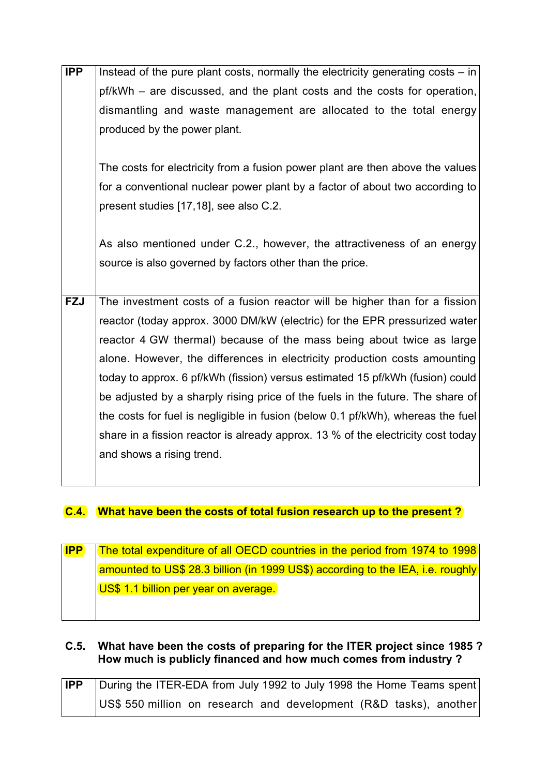| <b>IPP</b> | Instead of the pure plant costs, normally the electricity generating costs – in  |
|------------|----------------------------------------------------------------------------------|
|            | pf/kWh – are discussed, and the plant costs and the costs for operation,         |
|            | dismantling and waste management are allocated to the total energy               |
|            | produced by the power plant.                                                     |
|            |                                                                                  |
|            | The costs for electricity from a fusion power plant are then above the values    |
|            | for a conventional nuclear power plant by a factor of about two according to     |
|            | present studies [17,18], see also C.2.                                           |
|            |                                                                                  |
|            | As also mentioned under C.2., however, the attractiveness of an energy           |
|            | source is also governed by factors other than the price.                         |
|            |                                                                                  |
| <b>FZJ</b> | The investment costs of a fusion reactor will be higher than for a fission       |
|            | reactor (today approx. 3000 DM/kW (electric) for the EPR pressurized water       |
|            | reactor 4 GW thermal) because of the mass being about twice as large             |
|            | alone. However, the differences in electricity production costs amounting        |
|            | today to approx. 6 pf/kWh (fission) versus estimated 15 pf/kWh (fusion) could    |
|            | be adjusted by a sharply rising price of the fuels in the future. The share of   |
|            | the costs for fuel is negligible in fusion (below 0.1 pf/kWh), whereas the fuel  |
|            | share in a fission reactor is already approx. 13 % of the electricity cost today |
|            | and shows a rising trend.                                                        |
|            |                                                                                  |

# **C.4. What have been the costs of total fusion research up to the present ?**

| $\blacksquare$ | <b>The total expenditure of all OECD countries in the period from 1974 to 1998</b> |
|----------------|------------------------------------------------------------------------------------|
|                | amounted to US\$ 28.3 billion (in 1999 US\$) according to the IEA, i.e. roughly    |
|                | US\$ 1.1 billion per year on average.                                              |
|                |                                                                                    |
|                |                                                                                    |

# **C.5. What have been the costs of preparing for the ITER project since 1985 ? How much is publicly financed and how much comes from industry ?**

| <b>IPP</b> | During the ITER-EDA from July 1992 to July 1998 the Home Teams spent |
|------------|----------------------------------------------------------------------|
|            | US\$ 550 million on research and development (R&D tasks), another    |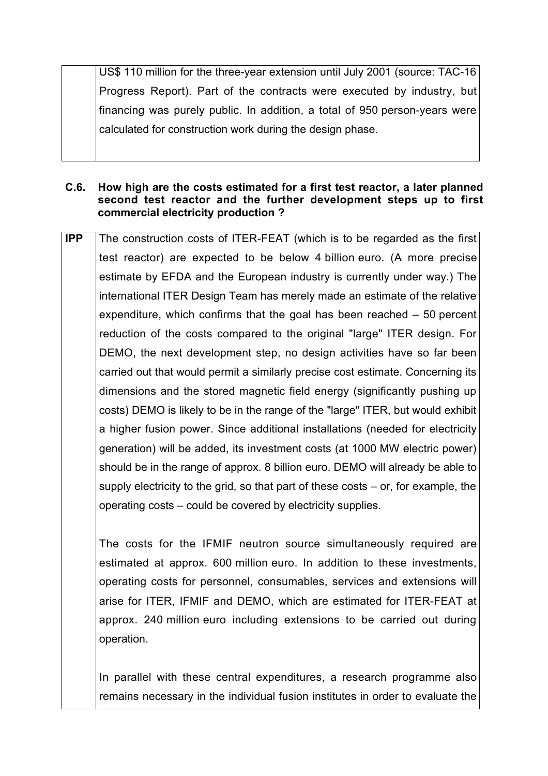US\$ 110 million for the three-year extension until July 2001 (source: TAC-16 Progress Report). Part of the contracts were executed by industry, but financing was purely public. In addition, a total of 950 person-years were calculated for construction work during the design phase.

#### **C.6. How high are the costs estimated for a first test reactor, a later planned second test reactor and the further development steps up to first commercial electricity production ?**

**IPP** The construction costs of ITER-FEAT (which is to be regarded as the first test reactor) are expected to be below 4 billion euro. (A more precise estimate by EFDA and the European industry is currently under way.) The international ITER Design Team has merely made an estimate of the relative expenditure, which confirms that the goal has been reached – 50 percent reduction of the costs compared to the original "large" ITER design. For DEMO, the next development step, no design activities have so far been carried out that would permit a similarly precise cost estimate. Concerning its dimensions and the stored magnetic field energy (significantly pushing up costs) DEMO is likely to be in the range of the "large" ITER, but would exhibit a higher fusion power. Since additional installations (needed for electricity generation) will be added, its investment costs (at 1000 MW electric power) should be in the range of approx. 8 billion euro. DEMO will already be able to supply electricity to the grid, so that part of these costs – or, for example, the operating costs – could be covered by electricity supplies.

The costs for the IFMIF neutron source simultaneously required are estimated at approx. 600 million euro. In addition to these investments, operating costs for personnel, consumables, services and extensions will arise for ITER, IFMIF and DEMO, which are estimated for ITER-FEAT at approx. 240 million euro including extensions to be carried out during operation.

In parallel with these central expenditures, a research programme also remains necessary in the individual fusion institutes in order to evaluate the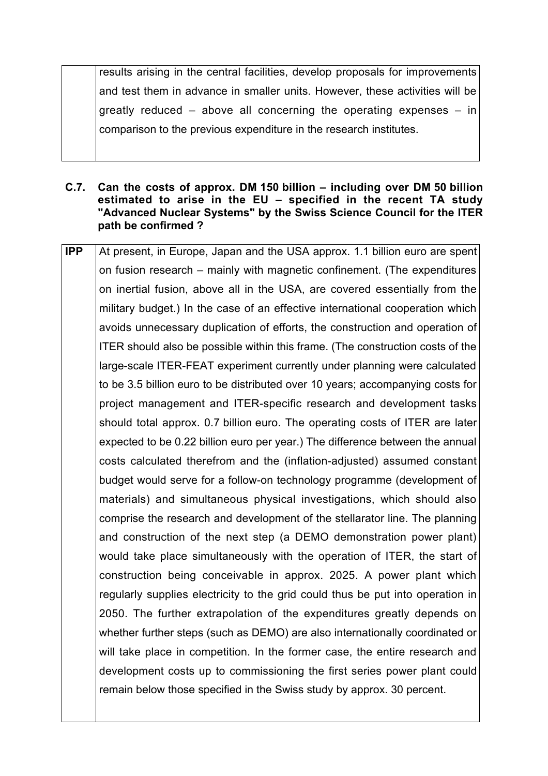results arising in the central facilities, develop proposals for improvements and test them in advance in smaller units. However, these activities will be greatly reduced – above all concerning the operating expenses – in comparison to the previous expenditure in the research institutes.

- **C.7. Can the costs of approx. DM 150 billion including over DM 50 billion estimated to arise in the EU – specified in the recent TA study "Advanced Nuclear Systems" by the Swiss Science Council for the ITER path be confirmed ?**
- **IPP** At present, in Europe, Japan and the USA approx. 1.1 billion euro are spent on fusion research – mainly with magnetic confinement. (The expenditures on inertial fusion, above all in the USA, are covered essentially from the military budget.) In the case of an effective international cooperation which avoids unnecessary duplication of efforts, the construction and operation of ITER should also be possible within this frame. (The construction costs of the large-scale ITER-FEAT experiment currently under planning were calculated to be 3.5 billion euro to be distributed over 10 years; accompanying costs for project management and ITER-specific research and development tasks should total approx. 0.7 billion euro. The operating costs of ITER are later expected to be 0.22 billion euro per year.) The difference between the annual costs calculated therefrom and the (inflation-adjusted) assumed constant budget would serve for a follow-on technology programme (development of materials) and simultaneous physical investigations, which should also comprise the research and development of the stellarator line. The planning and construction of the next step (a DEMO demonstration power plant) would take place simultaneously with the operation of ITER, the start of construction being conceivable in approx. 2025. A power plant which regularly supplies electricity to the grid could thus be put into operation in 2050. The further extrapolation of the expenditures greatly depends on whether further steps (such as DEMO) are also internationally coordinated or will take place in competition. In the former case, the entire research and development costs up to commissioning the first series power plant could remain below those specified in the Swiss study by approx. 30 percent.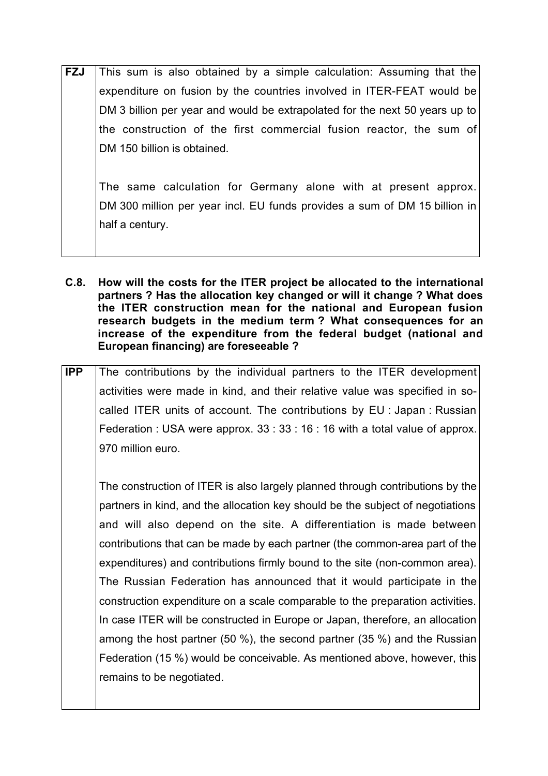| <b>FZJ</b> | This sum is also obtained by a simple calculation: Assuming that the        |
|------------|-----------------------------------------------------------------------------|
|            | expenditure on fusion by the countries involved in ITER-FEAT would be       |
|            | DM 3 billion per year and would be extrapolated for the next 50 years up to |
|            | the construction of the first commercial fusion reactor, the sum of         |
|            | DM 150 billion is obtained.                                                 |
|            |                                                                             |
|            | The same calculation for Germany alone with at present approx.              |

The same calculation for Germany alone with at present approx. DM 300 million per year incl. EU funds provides a sum of DM 15 billion in half a century.

- **C.8. How will the costs for the ITER project be allocated to the international partners ? Has the allocation key changed or will it change ? What does the ITER construction mean for the national and European fusion research budgets in the medium term ? What consequences for an increase of the expenditure from the federal budget (national and European financing) are foreseeable ?**
- **IPP** The contributions by the individual partners to the ITER development activities were made in kind, and their relative value was specified in socalled ITER units of account. The contributions by EU : Japan : Russian Federation : USA were approx. 33 : 33 : 16 : 16 with a total value of approx. 970 million euro.

The construction of ITER is also largely planned through contributions by the partners in kind, and the allocation key should be the subject of negotiations and will also depend on the site. A differentiation is made between contributions that can be made by each partner (the common-area part of the expenditures) and contributions firmly bound to the site (non-common area). The Russian Federation has announced that it would participate in the construction expenditure on a scale comparable to the preparation activities. In case ITER will be constructed in Europe or Japan, therefore, an allocation among the host partner (50 %), the second partner (35 %) and the Russian Federation (15 %) would be conceivable. As mentioned above, however, this remains to be negotiated.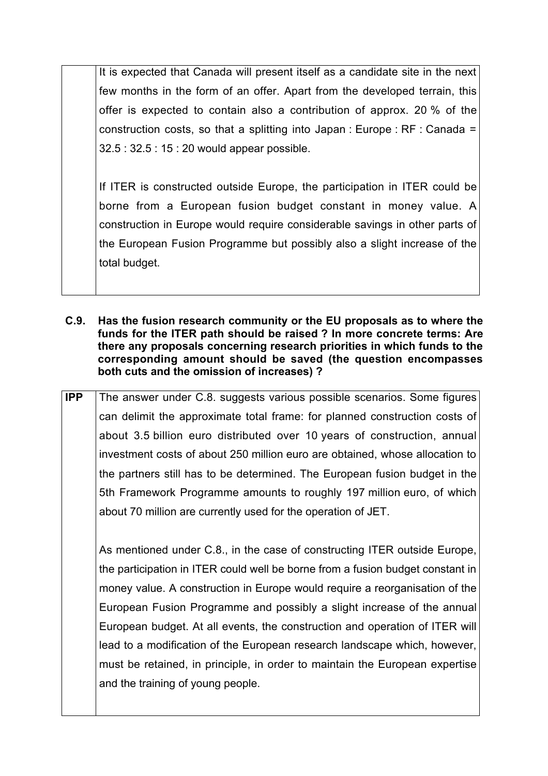It is expected that Canada will present itself as a candidate site in the next few months in the form of an offer. Apart from the developed terrain, this offer is expected to contain also a contribution of approx. 20 % of the construction costs, so that a splitting into Japan : Europe : RF : Canada = 32.5 : 32.5 : 15 : 20 would appear possible.

If ITER is constructed outside Europe, the participation in ITER could be borne from a European fusion budget constant in money value. A construction in Europe would require considerable savings in other parts of the European Fusion Programme but possibly also a slight increase of the total budget.

- **C.9. Has the fusion research community or the EU proposals as to where the funds for the ITER path should be raised ? In more concrete terms: Are there any proposals concerning research priorities in which funds to the corresponding amount should be saved (the question encompasses both cuts and the omission of increases) ?**
- **IPP** The answer under C.8. suggests various possible scenarios. Some figures can delimit the approximate total frame: for planned construction costs of about 3.5 billion euro distributed over 10 years of construction, annual investment costs of about 250 million euro are obtained, whose allocation to the partners still has to be determined. The European fusion budget in the 5th Framework Programme amounts to roughly 197 million euro, of which about 70 million are currently used for the operation of JET.

As mentioned under C.8., in the case of constructing ITER outside Europe, the participation in ITER could well be borne from a fusion budget constant in money value. A construction in Europe would require a reorganisation of the European Fusion Programme and possibly a slight increase of the annual European budget. At all events, the construction and operation of ITER will lead to a modification of the European research landscape which, however, must be retained, in principle, in order to maintain the European expertise and the training of young people.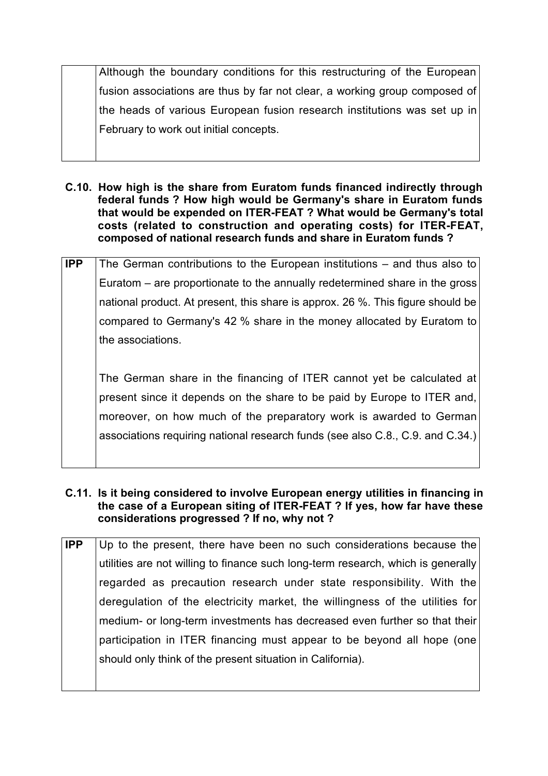Although the boundary conditions for this restructuring of the European fusion associations are thus by far not clear, a working group composed of the heads of various European fusion research institutions was set up in February to work out initial concepts.

- **C.10. How high is the share from Euratom funds financed indirectly through federal funds ? How high would be Germany's share in Euratom funds that would be expended on ITER-FEAT ? What would be Germany's total costs (related to construction and operating costs) for ITER-FEAT, composed of national research funds and share in Euratom funds ?**
- **IPP** The German contributions to the European institutions and thus also to Euratom – are proportionate to the annually redetermined share in the gross national product. At present, this share is approx. 26 %. This figure should be compared to Germany's 42 % share in the money allocated by Euratom to the associations.

The German share in the financing of ITER cannot yet be calculated at present since it depends on the share to be paid by Europe to ITER and, moreover, on how much of the preparatory work is awarded to German associations requiring national research funds (see also C.8., C.9. and C.34.)

- **C.11. Is it being considered to involve European energy utilities in financing in the case of a European siting of ITER-FEAT ? If yes, how far have these considerations progressed ? If no, why not ?**
- **IPP** Up to the present, there have been no such considerations because the utilities are not willing to finance such long-term research, which is generally regarded as precaution research under state responsibility. With the deregulation of the electricity market, the willingness of the utilities for medium- or long-term investments has decreased even further so that their participation in ITER financing must appear to be beyond all hope (one should only think of the present situation in California).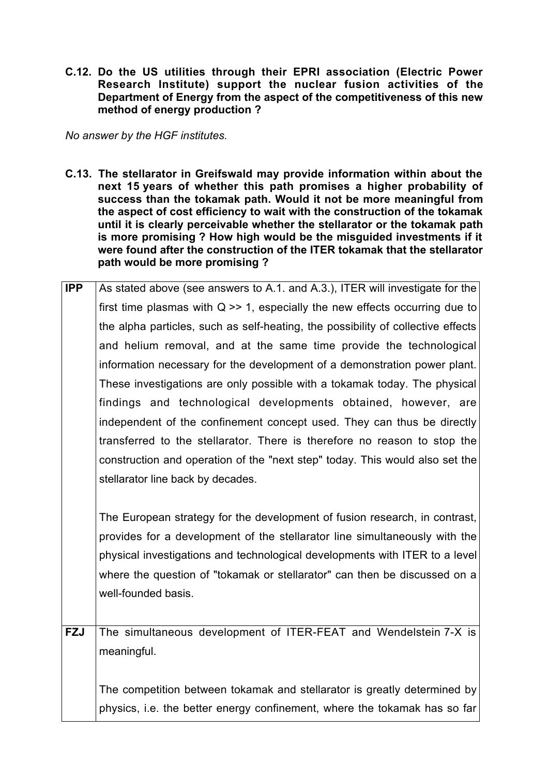**C.12. Do the US utilities through their EPRI association (Electric Power Research Institute) support the nuclear fusion activities of the Department of Energy from the aspect of the competitiveness of this new method of energy production ?**

*No answer by the HGF institutes.*

- **C.13. The stellarator in Greifswald may provide information within about the next 15 years of whether this path promises a higher probability of success than the tokamak path. Would it not be more meaningful from the aspect of cost efficiency to wait with the construction of the tokamak until it is clearly perceivable whether the stellarator or the tokamak path is more promising ? How high would be the misguided investments if it were found after the construction of the ITER tokamak that the stellarator path would be more promising ?**
- **IPP** As stated above (see answers to A.1. and A.3.), ITER will investigate for the first time plasmas with  $Q \gg 1$ , especially the new effects occurring due to the alpha particles, such as self-heating, the possibility of collective effects and helium removal, and at the same time provide the technological information necessary for the development of a demonstration power plant. These investigations are only possible with a tokamak today. The physical findings and technological developments obtained, however, are independent of the confinement concept used. They can thus be directly transferred to the stellarator. There is therefore no reason to stop the construction and operation of the "next step" today. This would also set the stellarator line back by decades.

The European strategy for the development of fusion research, in contrast, provides for a development of the stellarator line simultaneously with the physical investigations and technological developments with ITER to a level where the question of "tokamak or stellarator" can then be discussed on a well-founded basis.

**FZJ** The simultaneous development of ITER-FEAT and Wendelstein 7-X is meaningful.

The competition between tokamak and stellarator is greatly determined by physics, i.e. the better energy confinement, where the tokamak has so far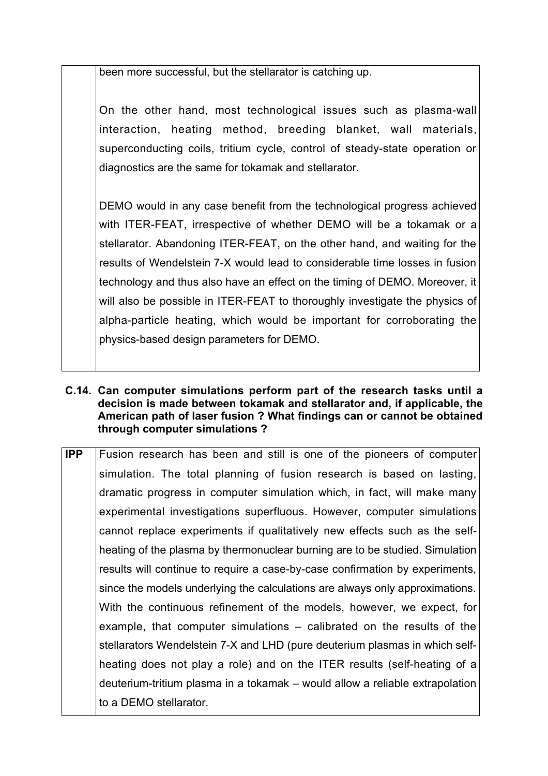been more successful, but the stellarator is catching up.

On the other hand, most technological issues such as plasma-wall interaction, heating method, breeding blanket, wall materials, superconducting coils, tritium cycle, control of steady-state operation or diagnostics are the same for tokamak and stellarator.

DEMO would in any case benefit from the technological progress achieved with ITER-FEAT, irrespective of whether DEMO will be a tokamak or a stellarator. Abandoning ITER-FEAT, on the other hand, and waiting for the results of Wendelstein 7-X would lead to considerable time losses in fusion technology and thus also have an effect on the timing of DEMO. Moreover, it will also be possible in ITER-FEAT to thoroughly investigate the physics of alpha-particle heating, which would be important for corroborating the physics-based design parameters for DEMO.

- **C.14. Can computer simulations perform part of the research tasks until a decision is made between tokamak and stellarator and, if applicable, the American path of laser fusion ? What findings can or cannot be obtained through computer simulations ?**
- **IPP** Fusion research has been and still is one of the pioneers of computer simulation. The total planning of fusion research is based on lasting, dramatic progress in computer simulation which, in fact, will make many experimental investigations superfluous. However, computer simulations cannot replace experiments if qualitatively new effects such as the selfheating of the plasma by thermonuclear burning are to be studied. Simulation results will continue to require a case-by-case confirmation by experiments, since the models underlying the calculations are always only approximations. With the continuous refinement of the models, however, we expect, for example, that computer simulations – calibrated on the results of the stellarators Wendelstein 7-X and LHD (pure deuterium plasmas in which selfheating does not play a role) and on the ITER results (self-heating of a deuterium-tritium plasma in a tokamak – would allow a reliable extrapolation to a DEMO stellarator.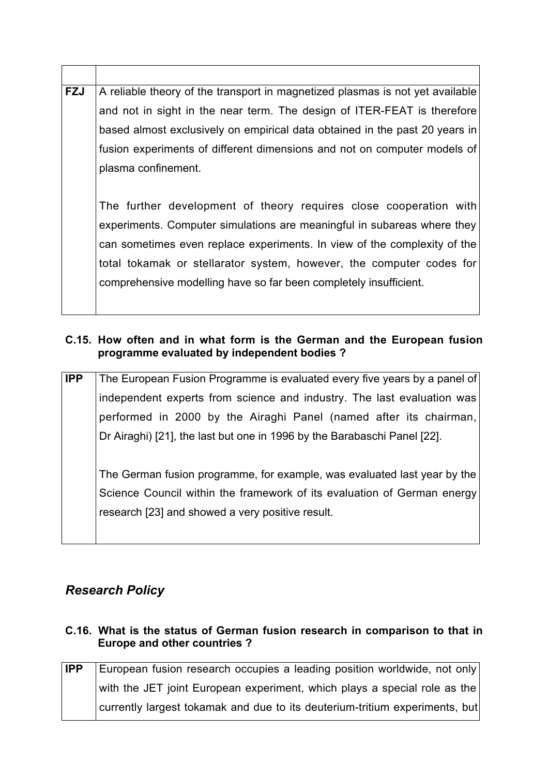| <b>FZJ</b> | A reliable theory of the transport in magnetized plasmas is not yet available |
|------------|-------------------------------------------------------------------------------|
|            | and not in sight in the near term. The design of ITER-FEAT is therefore       |
|            | based almost exclusively on empirical data obtained in the past 20 years in   |
|            | fusion experiments of different dimensions and not on computer models of      |
|            | plasma confinement.                                                           |
|            |                                                                               |
|            | The further development of theory requires close cooperation with             |
|            | experiments. Computer simulations are meaningful in subareas where they       |
|            | can sometimes even replace experiments. In view of the complexity of the      |
|            | total tokamak or stellarator system, however, the computer codes for          |
|            | comprehensive modelling have so far been completely insufficient.             |
|            |                                                                               |
|            |                                                                               |

## **C.15. How often and in what form is the German and the European fusion programme evaluated by independent bodies ?**

**IPP** The European Fusion Programme is evaluated every five years by a panel of independent experts from science and industry. The last evaluation was performed in 2000 by the Airaghi Panel (named after its chairman, Dr Airaghi) [21], the last but one in 1996 by the Barabaschi Panel [22]. The German fusion programme, for example, was evaluated last year by the Science Council within the framework of its evaluation of German energy research [23] and showed a very positive result.

# *Research Policy*

# **C.16. What is the status of German fusion research in comparison to that in Europe and other countries ?**

| <b>IPP</b> | European fusion research occupies a leading position worldwide, not only    |
|------------|-----------------------------------------------------------------------------|
|            | with the JET joint European experiment, which plays a special role as the   |
|            | currently largest tokamak and due to its deuterium-tritium experiments, but |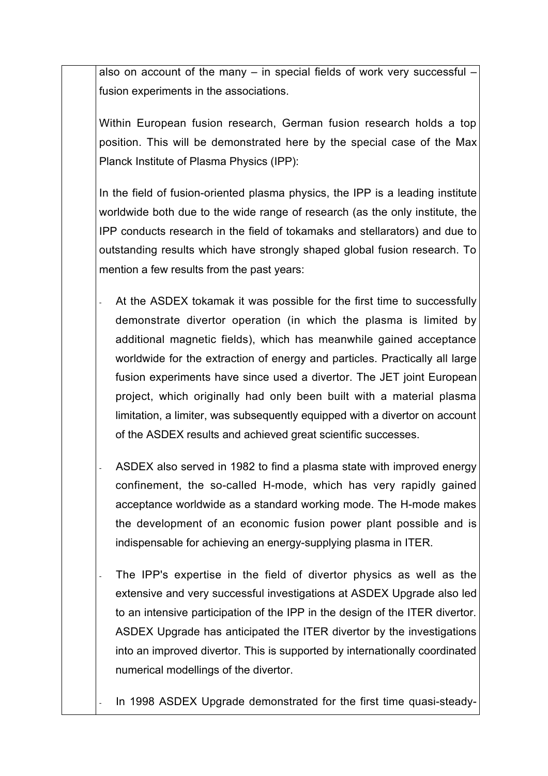also on account of the many – in special fields of work very successful – fusion experiments in the associations.

Within European fusion research, German fusion research holds a top position. This will be demonstrated here by the special case of the Max Planck Institute of Plasma Physics (IPP):

In the field of fusion-oriented plasma physics, the IPP is a leading institute worldwide both due to the wide range of research (as the only institute, the IPP conducts research in the field of tokamaks and stellarators) and due to outstanding results which have strongly shaped global fusion research. To mention a few results from the past years:

- At the ASDEX tokamak it was possible for the first time to successfully demonstrate divertor operation (in which the plasma is limited by additional magnetic fields), which has meanwhile gained acceptance worldwide for the extraction of energy and particles. Practically all large fusion experiments have since used a divertor. The JET joint European project, which originally had only been built with a material plasma limitation, a limiter, was subsequently equipped with a divertor on account of the ASDEX results and achieved great scientific successes.
- ASDEX also served in 1982 to find a plasma state with improved energy confinement, the so-called H-mode, which has very rapidly gained acceptance worldwide as a standard working mode. The H-mode makes the development of an economic fusion power plant possible and is indispensable for achieving an energy-supplying plasma in ITER.
- The IPP's expertise in the field of divertor physics as well as the extensive and very successful investigations at ASDEX Upgrade also led to an intensive participation of the IPP in the design of the ITER divertor. ASDEX Upgrade has anticipated the ITER divertor by the investigations into an improved divertor. This is supported by internationally coordinated numerical modellings of the divertor.

In 1998 ASDEX Upgrade demonstrated for the first time quasi-steady-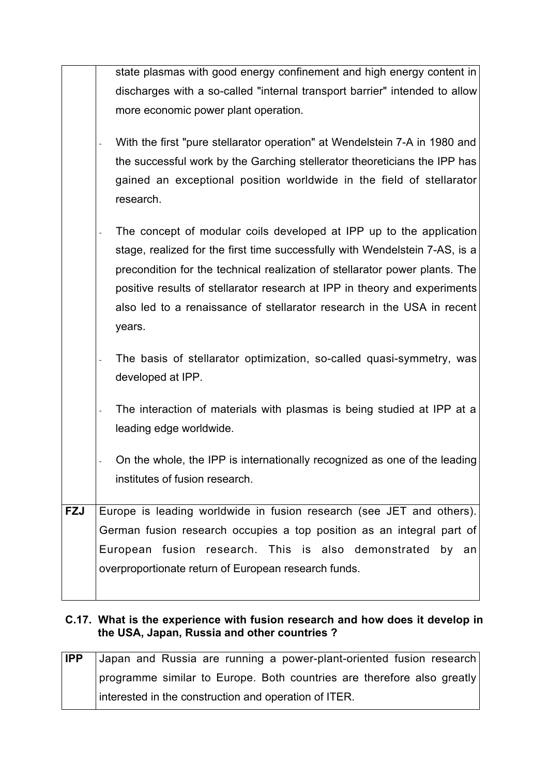| state plasmas with good energy confinement and high energy content in                             |
|---------------------------------------------------------------------------------------------------|
| discharges with a so-called "internal transport barrier" intended to allow                        |
| more economic power plant operation.                                                              |
| With the first "pure stellarator operation" at Wendelstein 7-A in 1980 and                        |
| the successful work by the Garching stellerator theoreticians the IPP has                         |
| gained an exceptional position worldwide in the field of stellarator<br>research.                 |
| The concept of modular coils developed at IPP up to the application                               |
| stage, realized for the first time successfully with Wendelstein 7-AS, is a                       |
| precondition for the technical realization of stellarator power plants. The                       |
| positive results of stellarator research at IPP in theory and experiments                         |
| also led to a renaissance of stellarator research in the USA in recent<br>years.                  |
| The basis of stellarator optimization, so-called quasi-symmetry, was<br>developed at IPP.         |
| The interaction of materials with plasmas is being studied at IPP at a<br>leading edge worldwide. |
| On the whole, the IPP is internationally recognized as one of the leading                         |
| institutes of fusion research.                                                                    |
|                                                                                                   |
| Europe is leading worldwide in fusion research (see JET and others).                              |
| German fusion research occupies a top position as an integral part of                             |
| European fusion research. This is also demonstrated<br>by<br>an                                   |
| overproportionate return of European research funds.                                              |
|                                                                                                   |
|                                                                                                   |

## **C.17. What is the experience with fusion research and how does it develop in the USA, Japan, Russia and other countries ?**

| <b>IPP</b> | Japan and Russia are running a power-plant-oriented fusion research    |
|------------|------------------------------------------------------------------------|
|            | programme similar to Europe. Both countries are therefore also greatly |
|            | interested in the construction and operation of ITER.                  |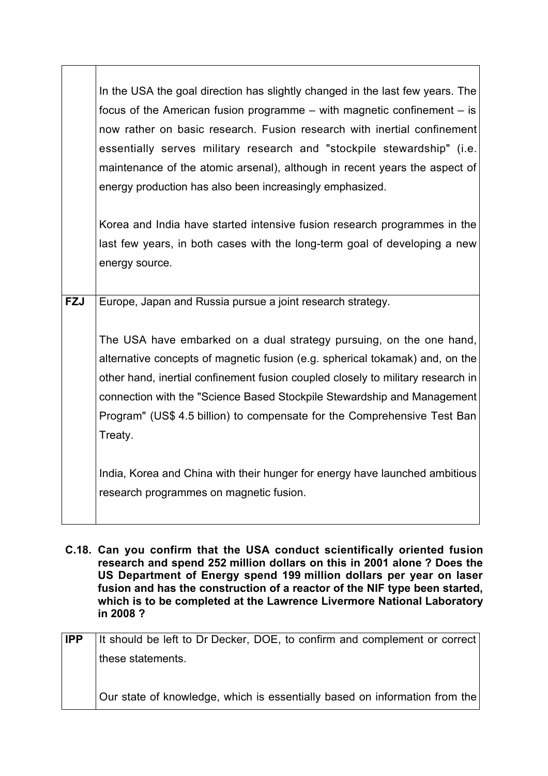|            | In the USA the goal direction has slightly changed in the last few years. The<br>focus of the American fusion programme $-$ with magnetic confinement $-$ is<br>now rather on basic research. Fusion research with inertial confinement<br>essentially serves military research and "stockpile stewardship" (i.e.<br>maintenance of the atomic arsenal), although in recent years the aspect of<br>energy production has also been increasingly emphasized.            |
|------------|------------------------------------------------------------------------------------------------------------------------------------------------------------------------------------------------------------------------------------------------------------------------------------------------------------------------------------------------------------------------------------------------------------------------------------------------------------------------|
|            | Korea and India have started intensive fusion research programmes in the<br>last few years, in both cases with the long-term goal of developing a new<br>energy source.                                                                                                                                                                                                                                                                                                |
| <b>FZJ</b> | Europe, Japan and Russia pursue a joint research strategy.<br>The USA have embarked on a dual strategy pursuing, on the one hand,<br>alternative concepts of magnetic fusion (e.g. spherical tokamak) and, on the<br>other hand, inertial confinement fusion coupled closely to military research in<br>connection with the "Science Based Stockpile Stewardship and Management<br>Program" (US\$ 4.5 billion) to compensate for the Comprehensive Test Ban<br>Treaty. |
|            | India, Korea and China with their hunger for energy have launched ambitious<br>research programmes on magnetic fusion.                                                                                                                                                                                                                                                                                                                                                 |

**C.18. Can you confirm that the USA conduct scientifically oriented fusion research and spend 252 million dollars on this in 2001 alone ? Does the US Department of Energy spend 199 million dollars per year on laser fusion and has the construction of a reactor of the NIF type been started, which is to be completed at the Lawrence Livermore National Laboratory in 2008 ?**

| <b>IPP</b> | It should be left to Dr Decker, DOE, to confirm and complement or correct  |
|------------|----------------------------------------------------------------------------|
|            | these statements.                                                          |
|            |                                                                            |
|            | Our state of knowledge, which is essentially based on information from the |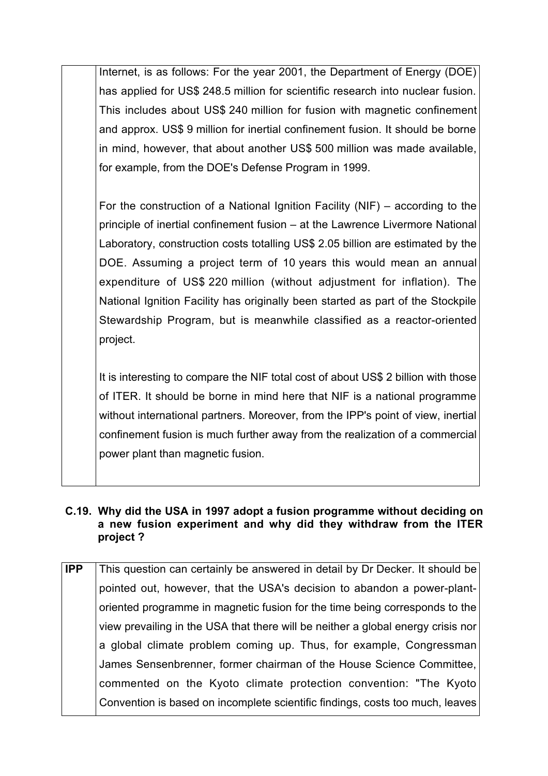Internet, is as follows: For the year 2001, the Department of Energy (DOE) has applied for US\$ 248.5 million for scientific research into nuclear fusion. This includes about US\$ 240 million for fusion with magnetic confinement and approx. US\$ 9 million for inertial confinement fusion. It should be borne in mind, however, that about another US\$ 500 million was made available, for example, from the DOE's Defense Program in 1999.

For the construction of a National Ignition Facility (NIF) – according to the principle of inertial confinement fusion – at the Lawrence Livermore National Laboratory, construction costs totalling US\$ 2.05 billion are estimated by the DOE. Assuming a project term of 10 years this would mean an annual expenditure of US\$ 220 million (without adjustment for inflation). The National Ignition Facility has originally been started as part of the Stockpile Stewardship Program, but is meanwhile classified as a reactor-oriented project.

It is interesting to compare the NIF total cost of about US\$ 2 billion with those of ITER. It should be borne in mind here that NIF is a national programme without international partners. Moreover, from the IPP's point of view, inertial confinement fusion is much further away from the realization of a commercial power plant than magnetic fusion.

#### **C.19. Why did the USA in 1997 adopt a fusion programme without deciding on a new fusion experiment and why did they withdraw from the ITER project ?**

| $\overline{IPP}$ | This question can certainly be answered in detail by Dr Decker. It should be     |
|------------------|----------------------------------------------------------------------------------|
|                  | pointed out, however, that the USA's decision to abandon a power-plant-          |
|                  | oriented programme in magnetic fusion for the time being corresponds to the      |
|                  | view prevailing in the USA that there will be neither a global energy crisis nor |
|                  | a global climate problem coming up. Thus, for example, Congressman               |
|                  | James Sensenbrenner, former chairman of the House Science Committee,             |
|                  | commented on the Kyoto climate protection convention: "The Kyoto                 |
|                  | Convention is based on incomplete scientific findings, costs too much, leaves    |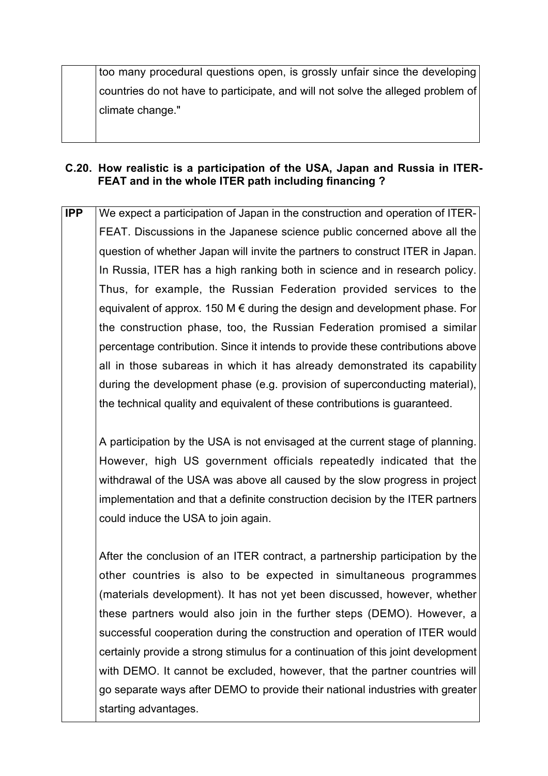too many procedural questions open, is grossly unfair since the developing countries do not have to participate, and will not solve the alleged problem of climate change."

## **C.20. How realistic is a participation of the USA, Japan and Russia in ITER-FEAT and in the whole ITER path including financing ?**

**IPP** We expect a participation of Japan in the construction and operation of ITER-FEAT. Discussions in the Japanese science public concerned above all the question of whether Japan will invite the partners to construct ITER in Japan. In Russia, ITER has a high ranking both in science and in research policy. Thus, for example, the Russian Federation provided services to the equivalent of approx. 150 M  $\epsilon$  during the design and development phase. For the construction phase, too, the Russian Federation promised a similar percentage contribution. Since it intends to provide these contributions above all in those subareas in which it has already demonstrated its capability during the development phase (e.g. provision of superconducting material), the technical quality and equivalent of these contributions is guaranteed.

A participation by the USA is not envisaged at the current stage of planning. However, high US government officials repeatedly indicated that the withdrawal of the USA was above all caused by the slow progress in project implementation and that a definite construction decision by the ITER partners could induce the USA to join again.

After the conclusion of an ITER contract, a partnership participation by the other countries is also to be expected in simultaneous programmes (materials development). It has not yet been discussed, however, whether these partners would also join in the further steps (DEMO). However, a successful cooperation during the construction and operation of ITER would certainly provide a strong stimulus for a continuation of this joint development with DEMO. It cannot be excluded, however, that the partner countries will go separate ways after DEMO to provide their national industries with greater starting advantages.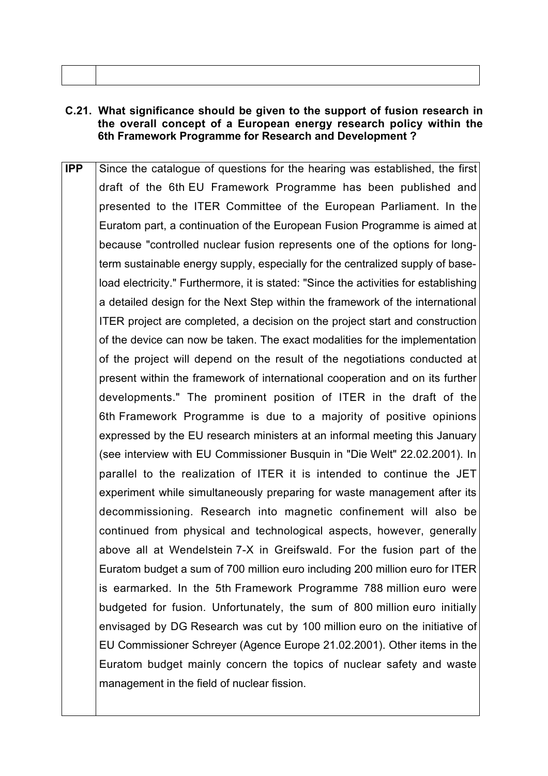#### **C.21. What significance should be given to the support of fusion research in the overall concept of a European energy research policy within the 6th Framework Programme for Research and Development ?**

**IPP** Since the catalogue of questions for the hearing was established, the first draft of the 6th EU Framework Programme has been published and presented to the ITER Committee of the European Parliament. In the Euratom part, a continuation of the European Fusion Programme is aimed at because "controlled nuclear fusion represents one of the options for longterm sustainable energy supply, especially for the centralized supply of baseload electricity." Furthermore, it is stated: "Since the activities for establishing a detailed design for the Next Step within the framework of the international ITER project are completed, a decision on the project start and construction of the device can now be taken. The exact modalities for the implementation of the project will depend on the result of the negotiations conducted at present within the framework of international cooperation and on its further developments." The prominent position of ITER in the draft of the 6th Framework Programme is due to a majority of positive opinions expressed by the EU research ministers at an informal meeting this January (see interview with EU Commissioner Busquin in "Die Welt" 22.02.2001). In parallel to the realization of ITER it is intended to continue the JET experiment while simultaneously preparing for waste management after its decommissioning. Research into magnetic confinement will also be continued from physical and technological aspects, however, generally above all at Wendelstein 7-X in Greifswald. For the fusion part of the Euratom budget a sum of 700 million euro including 200 million euro for ITER is earmarked. In the 5th Framework Programme 788 million euro were budgeted for fusion. Unfortunately, the sum of 800 million euro initially envisaged by DG Research was cut by 100 million euro on the initiative of EU Commissioner Schreyer (Agence Europe 21.02.2001). Other items in the Euratom budget mainly concern the topics of nuclear safety and waste management in the field of nuclear fission.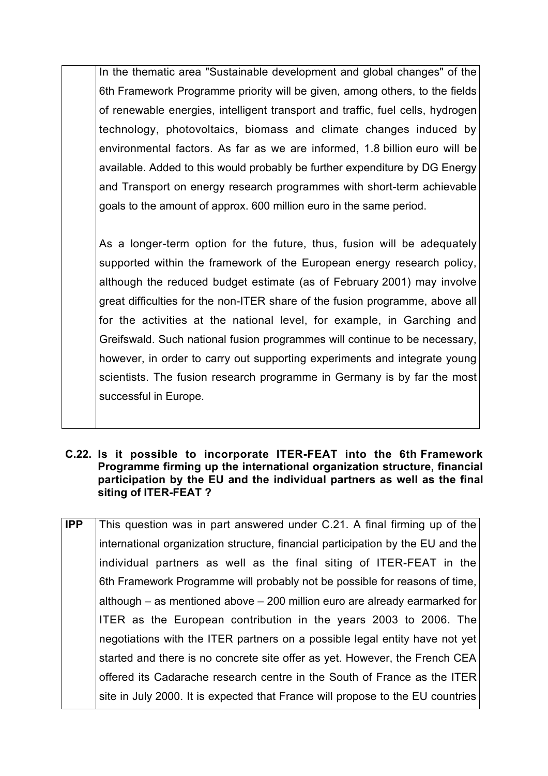In the thematic area "Sustainable development and global changes" of the 6th Framework Programme priority will be given, among others, to the fields of renewable energies, intelligent transport and traffic, fuel cells, hydrogen technology, photovoltaics, biomass and climate changes induced by environmental factors. As far as we are informed, 1.8 billion euro will be available. Added to this would probably be further expenditure by DG Energy and Transport on energy research programmes with short-term achievable goals to the amount of approx. 600 million euro in the same period.

As a longer-term option for the future, thus, fusion will be adequately supported within the framework of the European energy research policy, although the reduced budget estimate (as of February 2001) may involve great difficulties for the non-ITER share of the fusion programme, above all for the activities at the national level, for example, in Garching and Greifswald. Such national fusion programmes will continue to be necessary, however, in order to carry out supporting experiments and integrate young scientists. The fusion research programme in Germany is by far the most successful in Europe.

#### **C.22. Is it possible to incorporate ITER-FEAT into the 6th Framework Programme firming up the international organization structure, financial participation by the EU and the individual partners as well as the final siting of ITER-FEAT ?**

**IPP** This question was in part answered under C.21. A final firming up of the international organization structure, financial participation by the EU and the individual partners as well as the final siting of ITER-FEAT in the 6th Framework Programme will probably not be possible for reasons of time, although – as mentioned above – 200 million euro are already earmarked for ITER as the European contribution in the years 2003 to 2006. The negotiations with the ITER partners on a possible legal entity have not yet started and there is no concrete site offer as yet. However, the French CEA offered its Cadarache research centre in the South of France as the ITER site in July 2000. It is expected that France will propose to the EU countries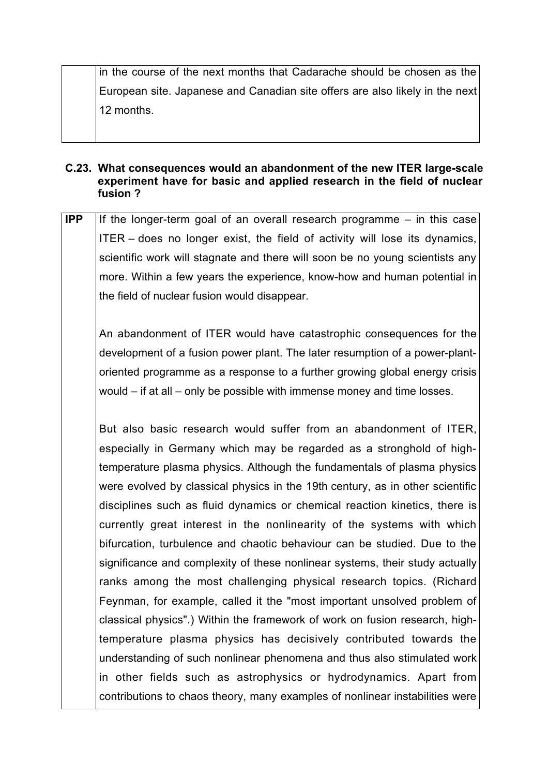in the course of the next months that Cadarache should be chosen as the European site. Japanese and Canadian site offers are also likely in the next 12 months.

#### **C.23. What consequences would an abandonment of the new ITER large-scale experiment have for basic and applied research in the field of nuclear fusion ?**

**IPP** If the longer-term goal of an overall research programme – in this case ITER – does no longer exist, the field of activity will lose its dynamics, scientific work will stagnate and there will soon be no young scientists any more. Within a few years the experience, know-how and human potential in the field of nuclear fusion would disappear.

An abandonment of ITER would have catastrophic consequences for the development of a fusion power plant. The later resumption of a power-plantoriented programme as a response to a further growing global energy crisis would – if at all – only be possible with immense money and time losses.

But also basic research would suffer from an abandonment of ITER, especially in Germany which may be regarded as a stronghold of hightemperature plasma physics. Although the fundamentals of plasma physics were evolved by classical physics in the 19th century, as in other scientific disciplines such as fluid dynamics or chemical reaction kinetics, there is currently great interest in the nonlinearity of the systems with which bifurcation, turbulence and chaotic behaviour can be studied. Due to the significance and complexity of these nonlinear systems, their study actually ranks among the most challenging physical research topics. (Richard Feynman, for example, called it the "most important unsolved problem of classical physics".) Within the framework of work on fusion research, hightemperature plasma physics has decisively contributed towards the understanding of such nonlinear phenomena and thus also stimulated work in other fields such as astrophysics or hydrodynamics. Apart from contributions to chaos theory, many examples of nonlinear instabilities were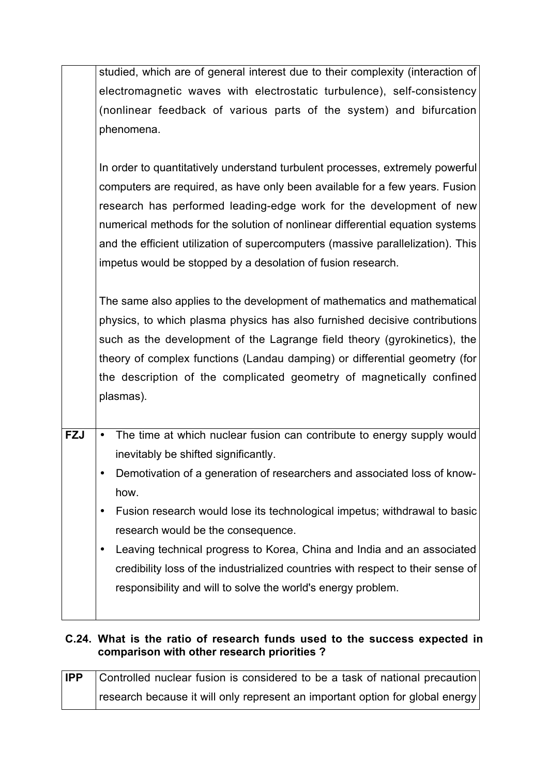|            | studied, which are of general interest due to their complexity (interaction of      |
|------------|-------------------------------------------------------------------------------------|
|            | electromagnetic waves with electrostatic turbulence), self-consistency              |
|            | (nonlinear feedback of various parts of the system) and bifurcation                 |
|            | phenomena.                                                                          |
|            |                                                                                     |
|            | In order to quantitatively understand turbulent processes, extremely powerful       |
|            | computers are required, as have only been available for a few years. Fusion         |
|            | research has performed leading-edge work for the development of new                 |
|            | numerical methods for the solution of nonlinear differential equation systems       |
|            | and the efficient utilization of supercomputers (massive parallelization). This     |
|            | impetus would be stopped by a desolation of fusion research.                        |
|            |                                                                                     |
|            | The same also applies to the development of mathematics and mathematical            |
|            | physics, to which plasma physics has also furnished decisive contributions          |
|            | such as the development of the Lagrange field theory (gyrokinetics), the            |
|            | theory of complex functions (Landau damping) or differential geometry (for          |
|            | the description of the complicated geometry of magnetically confined                |
|            | plasmas).                                                                           |
|            |                                                                                     |
| <b>FZJ</b> | The time at which nuclear fusion can contribute to energy supply would<br>$\bullet$ |
|            | inevitably be shifted significantly.                                                |
|            | Demotivation of a generation of researchers and associated loss of know-            |
|            | how.                                                                                |
|            | Fusion research would lose its technological impetus; withdrawal to basic           |
|            |                                                                                     |
|            | research would be the consequence.                                                  |
|            | Leaving technical progress to Korea, China and India and an associated<br>$\bullet$ |
|            | credibility loss of the industrialized countries with respect to their sense of     |
|            | responsibility and will to solve the world's energy problem.                        |
|            |                                                                                     |

# **C.24. What is the ratio of research funds used to the success expected in comparison with other research priorities ?**

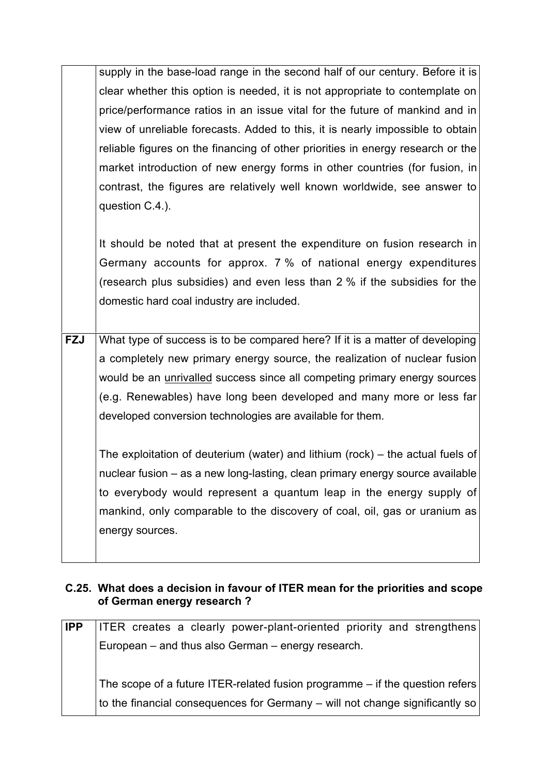supply in the base-load range in the second half of our century. Before it is clear whether this option is needed, it is not appropriate to contemplate on price/performance ratios in an issue vital for the future of mankind and in view of unreliable forecasts. Added to this, it is nearly impossible to obtain reliable figures on the financing of other priorities in energy research or the market introduction of new energy forms in other countries (for fusion, in contrast, the figures are relatively well known worldwide, see answer to question C.4.).

It should be noted that at present the expenditure on fusion research in Germany accounts for approx. 7 % of national energy expenditures (research plus subsidies) and even less than 2 % if the subsidies for the domestic hard coal industry are included.

**FZJ** What type of success is to be compared here? If it is a matter of developing a completely new primary energy source, the realization of nuclear fusion would be an unrivalled success since all competing primary energy sources (e.g. Renewables) have long been developed and many more or less far developed conversion technologies are available for them.

The exploitation of deuterium (water) and lithium (rock) – the actual fuels of nuclear fusion – as a new long-lasting, clean primary energy source available to everybody would represent a quantum leap in the energy supply of mankind, only comparable to the discovery of coal, oil, gas or uranium as energy sources.

# **C.25. What does a decision in favour of ITER mean for the priorities and scope of German energy research ?**

| <b>IPP</b> | <b>ITER</b> creates a clearly power-plant-oriented priority and strengthens    |
|------------|--------------------------------------------------------------------------------|
|            | European – and thus also German – energy research.                             |
|            |                                                                                |
|            | The scope of a future ITER-related fusion programme $-$ if the question refers |
|            |                                                                                |
|            | to the financial consequences for Germany - will not change significantly so   |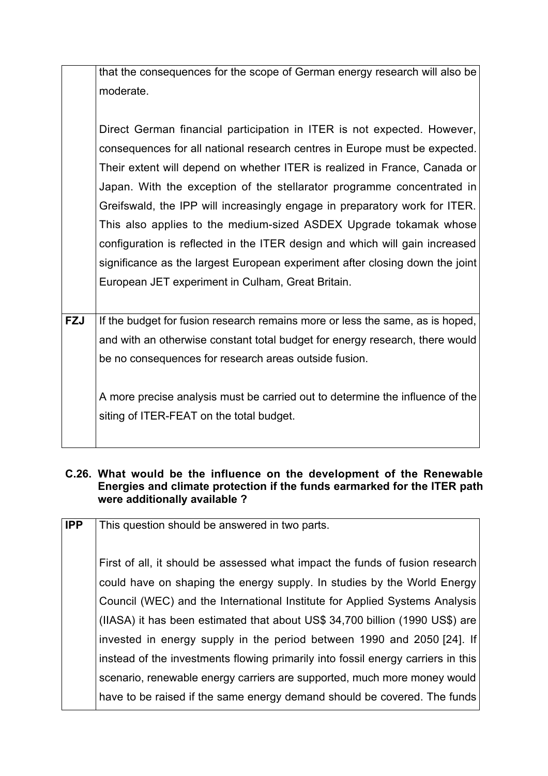that the consequences for the scope of German energy research will also be moderate.

Direct German financial participation in ITER is not expected. However, consequences for all national research centres in Europe must be expected. Their extent will depend on whether ITER is realized in France, Canada or Japan. With the exception of the stellarator programme concentrated in Greifswald, the IPP will increasingly engage in preparatory work for ITER. This also applies to the medium-sized ASDEX Upgrade tokamak whose configuration is reflected in the ITER design and which will gain increased significance as the largest European experiment after closing down the joint European JET experiment in Culham, Great Britain.

**FZJ** If the budget for fusion research remains more or less the same, as is hoped, and with an otherwise constant total budget for energy research, there would be no consequences for research areas outside fusion.

A more precise analysis must be carried out to determine the influence of the siting of ITER-FEAT on the total budget.

#### **C.26. What would be the influence on the development of the Renewable Energies and climate protection if the funds earmarked for the ITER path were additionally available ?**

| <b>IPP</b> | This question should be answered in two parts.                                   |
|------------|----------------------------------------------------------------------------------|
|            | First of all, it should be assessed what impact the funds of fusion research     |
|            | could have on shaping the energy supply. In studies by the World Energy          |
|            | Council (WEC) and the International Institute for Applied Systems Analysis       |
|            | (IIASA) it has been estimated that about US\$ 34,700 billion (1990 US\$) are     |
|            | invested in energy supply in the period between 1990 and 2050 [24]. If           |
|            | instead of the investments flowing primarily into fossil energy carriers in this |
|            | scenario, renewable energy carriers are supported, much more money would         |
|            | have to be raised if the same energy demand should be covered. The funds         |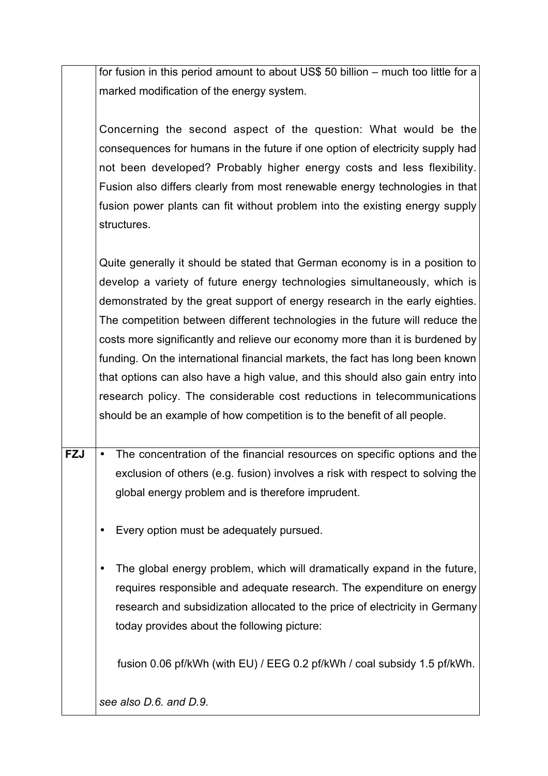for fusion in this period amount to about US\$ 50 billion – much too little for a marked modification of the energy system.

Concerning the second aspect of the question: What would be the consequences for humans in the future if one option of electricity supply had not been developed? Probably higher energy costs and less flexibility. Fusion also differs clearly from most renewable energy technologies in that fusion power plants can fit without problem into the existing energy supply structures.

Quite generally it should be stated that German economy is in a position to develop a variety of future energy technologies simultaneously, which is demonstrated by the great support of energy research in the early eighties. The competition between different technologies in the future will reduce the costs more significantly and relieve our economy more than it is burdened by funding. On the international financial markets, the fact has long been known that options can also have a high value, and this should also gain entry into research policy. The considerable cost reductions in telecommunications should be an example of how competition is to the benefit of all people.

- **FZJ** The concentration of the financial resources on specific options and the exclusion of others (e.g. fusion) involves a risk with respect to solving the global energy problem and is therefore imprudent.
	- Every option must be adequately pursued.
	- The global energy problem, which will dramatically expand in the future, requires responsible and adequate research. The expenditure on energy research and subsidization allocated to the price of electricity in Germany today provides about the following picture:

fusion 0.06 pf/kWh (with EU) / EEG 0.2 pf/kWh / coal subsidy 1.5 pf/kWh.

*see also D.6. and D.9.*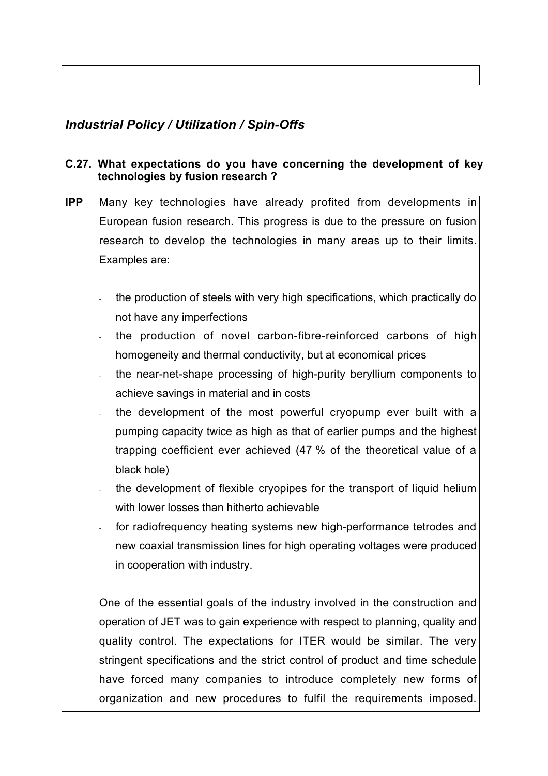# *Industrial Policy / Utilization / Spin-Offs*

#### **C.27. What expectations do you have concerning the development of key technologies by fusion research ?**

**IPP** Many key technologies have already profited from developments in European fusion research. This progress is due to the pressure on fusion research to develop the technologies in many areas up to their limits. Examples are: - the production of steels with very high specifications, which practically do not have any imperfections the production of novel carbon-fibre-reinforced carbons of high homogeneity and thermal conductivity, but at economical prices the near-net-shape processing of high-purity beryllium components to achieve savings in material and in costs the development of the most powerful cryopump ever built with a pumping capacity twice as high as that of earlier pumps and the highest trapping coefficient ever achieved (47 % of the theoretical value of a black hole) the development of flexible cryopipes for the transport of liquid helium with lower losses than hitherto achievable for radiofrequency heating systems new high-performance tetrodes and new coaxial transmission lines for high operating voltages were produced in cooperation with industry. One of the essential goals of the industry involved in the construction and operation of JET was to gain experience with respect to planning, quality and quality control. The expectations for ITER would be similar. The very stringent specifications and the strict control of product and time schedule

have forced many companies to introduce completely new forms of organization and new procedures to fulfil the requirements imposed.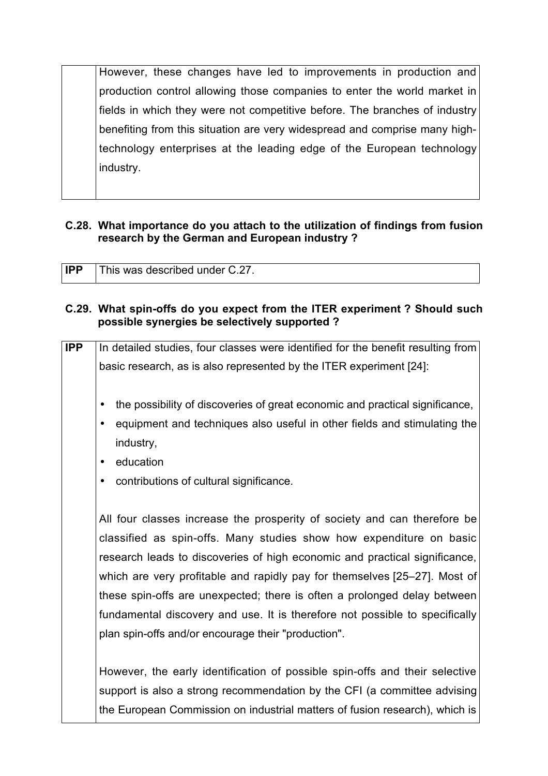However, these changes have led to improvements in production and production control allowing those companies to enter the world market in fields in which they were not competitive before. The branches of industry benefiting from this situation are very widespread and comprise many hightechnology enterprises at the leading edge of the European technology industry.

#### **C.28. What importance do you attach to the utilization of findings from fusion research by the German and European industry ?**

| <b>IPP</b> | This was described under C.27. |
|------------|--------------------------------|
|            |                                |

#### **C.29. What spin-offs do you expect from the ITER experiment ? Should such possible synergies be selectively supported ?**

| <b>IPP</b> | In detailed studies, four classes were identified for the benefit resulting from |
|------------|----------------------------------------------------------------------------------|
|            | basic research, as is also represented by the ITER experiment [24]:              |
|            |                                                                                  |
|            | the possibility of discoveries of great economic and practical significance,     |
|            | equipment and techniques also useful in other fields and stimulating the         |
|            | industry,                                                                        |
|            | education                                                                        |
|            | contributions of cultural significance.<br>$\bullet$                             |
|            |                                                                                  |
|            | All four classes increase the prosperity of society and can therefore be         |
|            | classified as spin-offs. Many studies show how expenditure on basic              |
|            | research leads to discoveries of high economic and practical significance,       |
|            | which are very profitable and rapidly pay for themselves [25–27]. Most of        |
|            | these spin-offs are unexpected; there is often a prolonged delay between         |
|            | fundamental discovery and use. It is therefore not possible to specifically      |
|            | plan spin-offs and/or encourage their "production".                              |
|            |                                                                                  |
|            | However, the early identification of possible spin-offs and their selective      |
|            | support is also a strong recommendation by the CFI (a committee advising         |
|            | the European Commission on industrial matters of fusion research), which is      |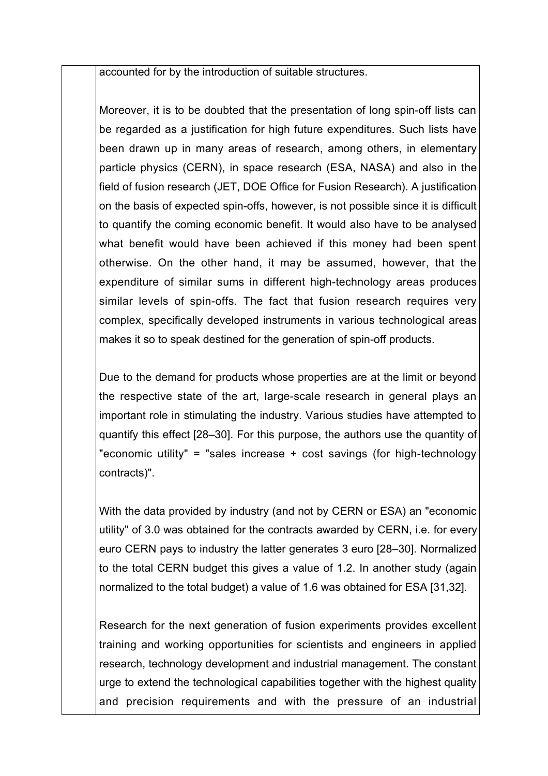accounted for by the introduction of suitable structures.

Moreover, it is to be doubted that the presentation of long spin-off lists can be regarded as a justification for high future expenditures. Such lists have been drawn up in many areas of research, among others, in elementary particle physics (CERN), in space research (ESA, NASA) and also in the field of fusion research (JET, DOE Office for Fusion Research). A justification on the basis of expected spin-offs, however, is not possible since it is difficult to quantify the coming economic benefit. It would also have to be analysed what benefit would have been achieved if this money had been spent otherwise. On the other hand, it may be assumed, however, that the expenditure of similar sums in different high-technology areas produces similar levels of spin-offs. The fact that fusion research requires very complex, specifically developed instruments in various technological areas makes it so to speak destined for the generation of spin-off products.

Due to the demand for products whose properties are at the limit or beyond the respective state of the art, large-scale research in general plays an important role in stimulating the industry. Various studies have attempted to quantify this effect [28–30]. For this purpose, the authors use the quantity of "economic utility" = "sales increase + cost savings (for high-technology contracts)".

With the data provided by industry (and not by CERN or ESA) an "economic utility" of 3.0 was obtained for the contracts awarded by CERN, i.e. for every euro CERN pays to industry the latter generates 3 euro [28–30]. Normalized to the total CERN budget this gives a value of 1.2. In another study (again normalized to the total budget) a value of 1.6 was obtained for ESA [31,32].

Research for the next generation of fusion experiments provides excellent training and working opportunities for scientists and engineers in applied research, technology development and industrial management. The constant urge to extend the technological capabilities together with the highest quality and precision requirements and with the pressure of an industrial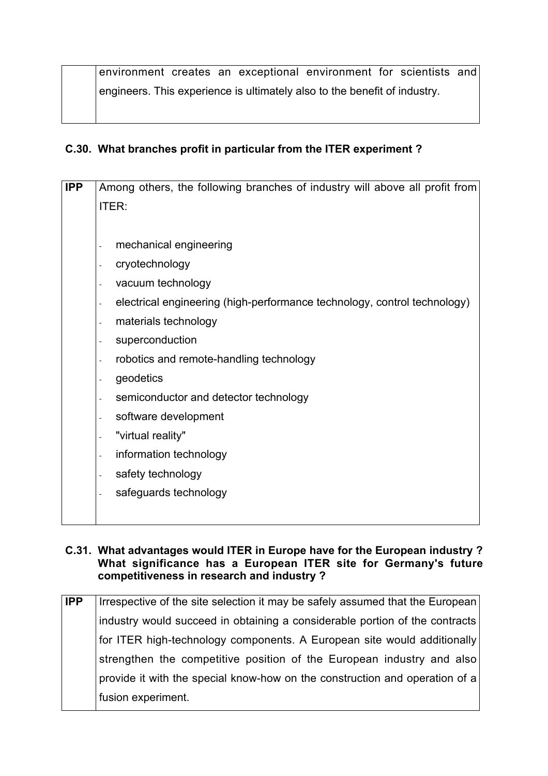environment creates an exceptional environment for scientists and engineers. This experience is ultimately also to the benefit of industry.

# **C.30. What branches profit in particular from the ITER experiment ?**

| <b>IPP</b> | Among others, the following branches of industry will above all profit from    |
|------------|--------------------------------------------------------------------------------|
|            | <b>ITER:</b>                                                                   |
|            |                                                                                |
|            | mechanical engineering                                                         |
|            | cryotechnology                                                                 |
|            | vacuum technology                                                              |
|            | electrical engineering (high-performance technology, control technology)<br>L, |
|            | materials technology                                                           |
|            | superconduction                                                                |
|            | robotics and remote-handling technology                                        |
|            | geodetics                                                                      |
|            | semiconductor and detector technology                                          |
|            | software development                                                           |
|            | "virtual reality"                                                              |
|            | information technology<br>$\overline{a}$                                       |
|            | safety technology                                                              |
|            | safeguards technology                                                          |
|            |                                                                                |

## **C.31. What advantages would ITER in Europe have for the European industry ? What significance has a European ITER site for Germany's future competitiveness in research and industry ?**

| <b>IPP</b> | Irrespective of the site selection it may be safely assumed that the European |
|------------|-------------------------------------------------------------------------------|
|            | industry would succeed in obtaining a considerable portion of the contracts   |
|            | for ITER high-technology components. A European site would additionally       |
|            | strengthen the competitive position of the European industry and also         |
|            | provide it with the special know-how on the construction and operation of a   |
|            | fusion experiment.                                                            |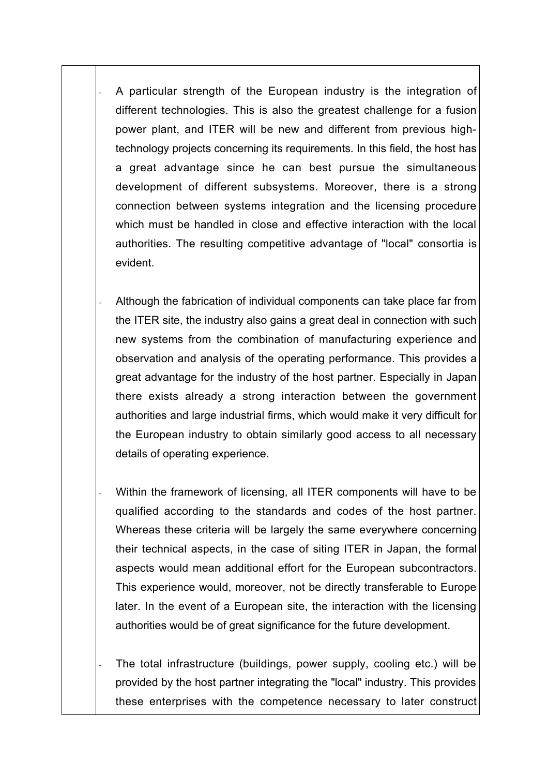A particular strength of the European industry is the integration of different technologies. This is also the greatest challenge for a fusion power plant, and ITER will be new and different from previous hightechnology projects concerning its requirements. In this field, the host has a great advantage since he can best pursue the simultaneous development of different subsystems. Moreover, there is a strong connection between systems integration and the licensing procedure which must be handled in close and effective interaction with the local authorities. The resulting competitive advantage of "local" consortia is evident.

- Although the fabrication of individual components can take place far from the ITER site, the industry also gains a great deal in connection with such new systems from the combination of manufacturing experience and observation and analysis of the operating performance. This provides a great advantage for the industry of the host partner. Especially in Japan there exists already a strong interaction between the government authorities and large industrial firms, which would make it very difficult for the European industry to obtain similarly good access to all necessary details of operating experience.
- Within the framework of licensing, all ITER components will have to be qualified according to the standards and codes of the host partner. Whereas these criteria will be largely the same everywhere concerning their technical aspects, in the case of siting ITER in Japan, the formal aspects would mean additional effort for the European subcontractors. This experience would, moreover, not be directly transferable to Europe later. In the event of a European site, the interaction with the licensing authorities would be of great significance for the future development.

The total infrastructure (buildings, power supply, cooling etc.) will be provided by the host partner integrating the "local" industry. This provides these enterprises with the competence necessary to later construct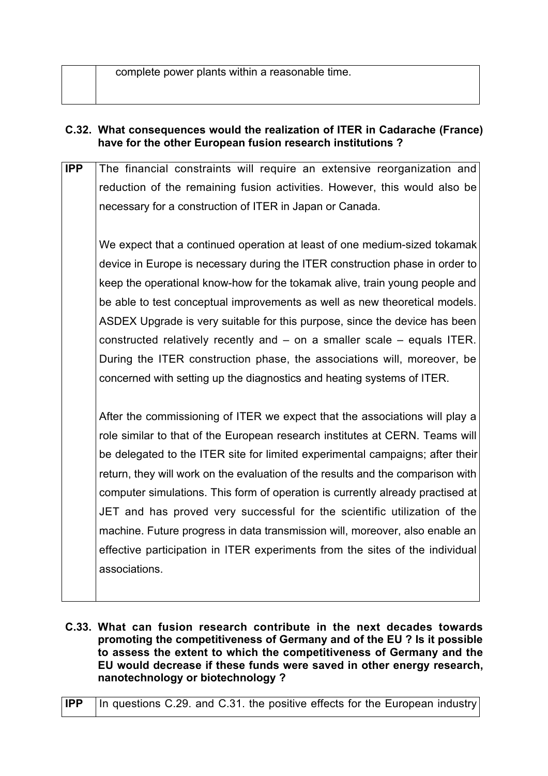complete power plants within a reasonable time.

## **C.32. What consequences would the realization of ITER in Cadarache (France) have for the other European fusion research institutions ?**

**IPP** The financial constraints will require an extensive reorganization and reduction of the remaining fusion activities. However, this would also be necessary for a construction of ITER in Japan or Canada.

We expect that a continued operation at least of one medium-sized tokamak device in Europe is necessary during the ITER construction phase in order to keep the operational know-how for the tokamak alive, train young people and be able to test conceptual improvements as well as new theoretical models. ASDEX Upgrade is very suitable for this purpose, since the device has been constructed relatively recently and – on a smaller scale – equals ITER. During the ITER construction phase, the associations will, moreover, be concerned with setting up the diagnostics and heating systems of ITER.

After the commissioning of ITER we expect that the associations will play a role similar to that of the European research institutes at CERN. Teams will be delegated to the ITER site for limited experimental campaigns; after their return, they will work on the evaluation of the results and the comparison with computer simulations. This form of operation is currently already practised at JET and has proved very successful for the scientific utilization of the machine. Future progress in data transmission will, moreover, also enable an effective participation in ITER experiments from the sites of the individual associations.

**C.33. What can fusion research contribute in the next decades towards promoting the competitiveness of Germany and of the EU ? Is it possible to assess the extent to which the competitiveness of Germany and the EU would decrease if these funds were saved in other energy research, nanotechnology or biotechnology ?**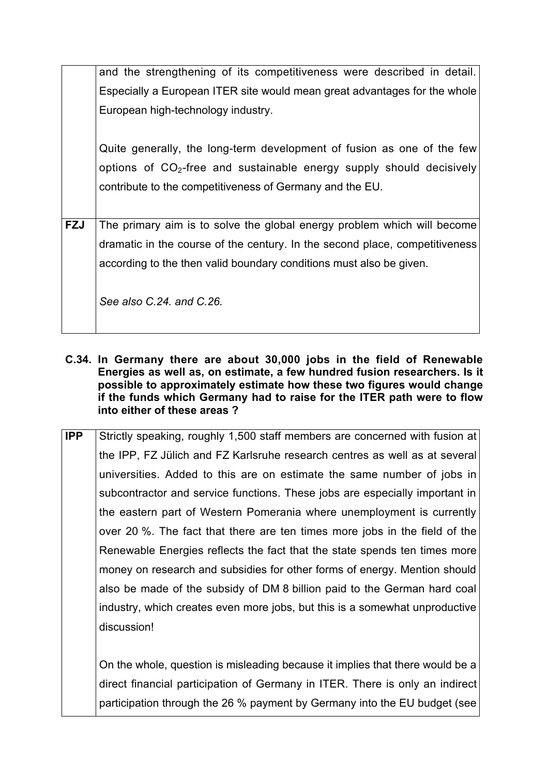|            | and the strengthening of its competitiveness were described in detail.                                                                                                                                       |
|------------|--------------------------------------------------------------------------------------------------------------------------------------------------------------------------------------------------------------|
|            | Especially a European ITER site would mean great advantages for the whole                                                                                                                                    |
|            | European high-technology industry.                                                                                                                                                                           |
|            | Quite generally, the long-term development of fusion as one of the few<br>options of $CO2$ -free and sustainable energy supply should decisively<br>contribute to the competitiveness of Germany and the EU. |
|            |                                                                                                                                                                                                              |
| <b>FZJ</b> | The primary aim is to solve the global energy problem which will become                                                                                                                                      |
|            | dramatic in the course of the century. In the second place, competitiveness                                                                                                                                  |
|            | according to the then valid boundary conditions must also be given.                                                                                                                                          |
|            | See also C.24, and C.26.                                                                                                                                                                                     |

- **C.34. In Germany there are about 30,000 jobs in the field of Renewable Energies as well as, on estimate, a few hundred fusion researchers. Is it possible to approximately estimate how these two figures would change if the funds which Germany had to raise for the ITER path were to flow into either of these areas ?**
- **IPP** Strictly speaking, roughly 1,500 staff members are concerned with fusion at the IPP, FZ Jülich and FZ Karlsruhe research centres as well as at several universities. Added to this are on estimate the same number of jobs in subcontractor and service functions. These jobs are especially important in the eastern part of Western Pomerania where unemployment is currently over 20 %. The fact that there are ten times more jobs in the field of the Renewable Energies reflects the fact that the state spends ten times more money on research and subsidies for other forms of energy. Mention should also be made of the subsidy of DM 8 billion paid to the German hard coal industry, which creates even more jobs, but this is a somewhat unproductive discussion!

On the whole, question is misleading because it implies that there would be a direct financial participation of Germany in ITER. There is only an indirect participation through the 26 % payment by Germany into the EU budget (see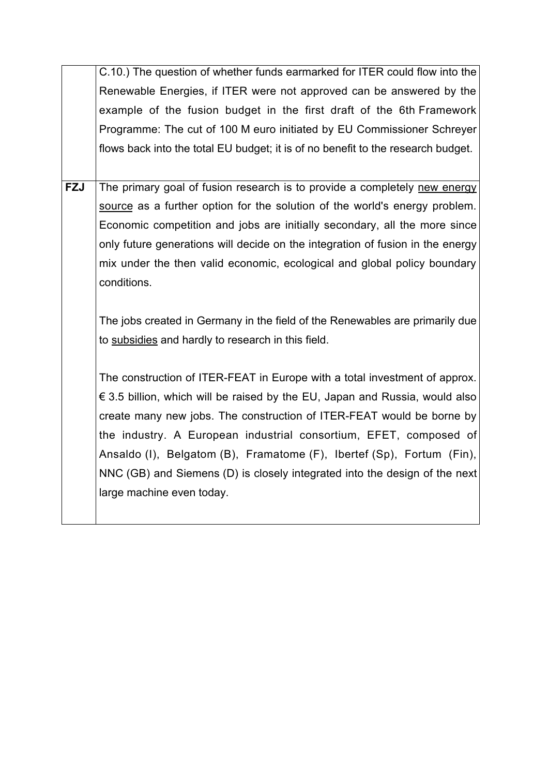|            | C.10.) The question of whether funds earmarked for ITER could flow into the      |
|------------|----------------------------------------------------------------------------------|
|            | Renewable Energies, if ITER were not approved can be answered by the             |
|            | example of the fusion budget in the first draft of the 6th Framework             |
|            | Programme: The cut of 100 M euro initiated by EU Commissioner Schreyer           |
|            | flows back into the total EU budget; it is of no benefit to the research budget. |
|            |                                                                                  |
| <b>FZJ</b> | The primary goal of fusion research is to provide a completely new energy        |
|            | source as a further option for the solution of the world's energy problem.       |
|            | Economic competition and jobs are initially secondary, all the more since        |
|            | only future generations will decide on the integration of fusion in the energy   |
|            | mix under the then valid economic, ecological and global policy boundary         |
|            | conditions.                                                                      |
|            |                                                                                  |
|            | The jobs created in Germany in the field of the Renewables are primarily due     |
|            | to subsidies and hardly to research in this field.                               |
|            |                                                                                  |
|            | The construction of ITER-FEAT in Europe with a total investment of approx.       |
|            | € 3.5 billion, which will be raised by the EU, Japan and Russia, would also      |
|            | create many new jobs. The construction of ITER-FEAT would be borne by            |
|            | the industry. A European industrial consortium, EFET, composed of                |
|            | Ansaldo (I), Belgatom (B), Framatome (F), Ibertef (Sp), Fortum (Fin),            |
|            | NNC (GB) and Siemens (D) is closely integrated into the design of the next       |
|            | large machine even today.                                                        |
|            |                                                                                  |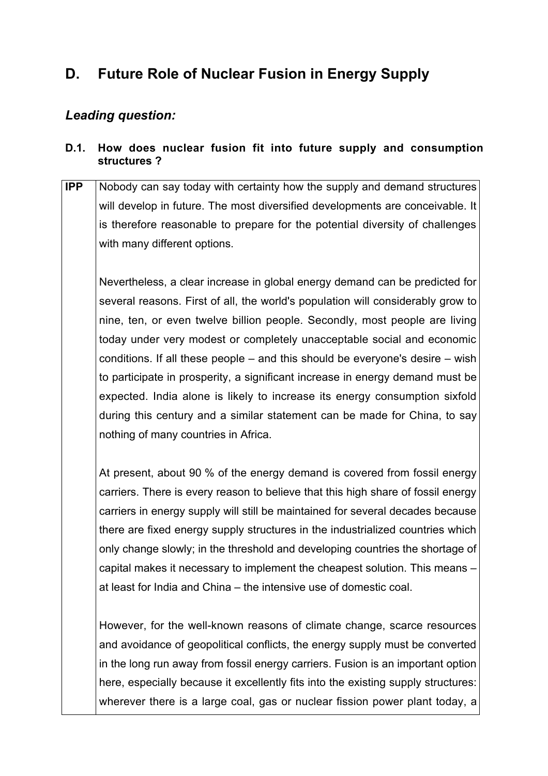# **D. Future Role of Nuclear Fusion in Energy Supply**

# *Leading question:*

# **D.1. How does nuclear fusion fit into future supply and consumption structures ?**

**IPP** Nobody can say today with certainty how the supply and demand structures will develop in future. The most diversified developments are conceivable. It is therefore reasonable to prepare for the potential diversity of challenges with many different options.

Nevertheless, a clear increase in global energy demand can be predicted for several reasons. First of all, the world's population will considerably grow to nine, ten, or even twelve billion people. Secondly, most people are living today under very modest or completely unacceptable social and economic conditions. If all these people – and this should be everyone's desire – wish to participate in prosperity, a significant increase in energy demand must be expected. India alone is likely to increase its energy consumption sixfold during this century and a similar statement can be made for China, to say nothing of many countries in Africa.

At present, about 90 % of the energy demand is covered from fossil energy carriers. There is every reason to believe that this high share of fossil energy carriers in energy supply will still be maintained for several decades because there are fixed energy supply structures in the industrialized countries which only change slowly; in the threshold and developing countries the shortage of capital makes it necessary to implement the cheapest solution. This means – at least for India and China – the intensive use of domestic coal.

However, for the well-known reasons of climate change, scarce resources and avoidance of geopolitical conflicts, the energy supply must be converted in the long run away from fossil energy carriers. Fusion is an important option here, especially because it excellently fits into the existing supply structures: wherever there is a large coal, gas or nuclear fission power plant today, a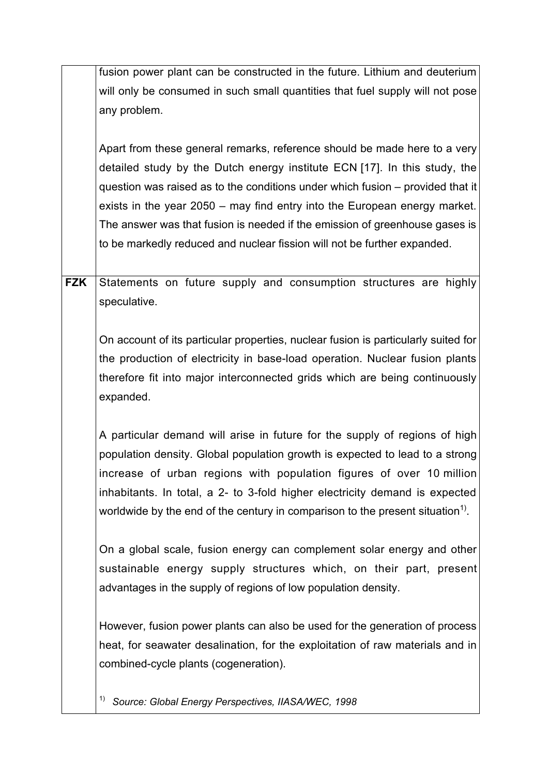|            | fusion power plant can be constructed in the future. Lithium and deuterium                 |
|------------|--------------------------------------------------------------------------------------------|
|            | will only be consumed in such small quantities that fuel supply will not pose              |
|            | any problem.                                                                               |
|            |                                                                                            |
|            | Apart from these general remarks, reference should be made here to a very                  |
|            | detailed study by the Dutch energy institute ECN [17]. In this study, the                  |
|            | question was raised as to the conditions under which fusion – provided that it             |
|            | exists in the year 2050 – may find entry into the European energy market.                  |
|            | The answer was that fusion is needed if the emission of greenhouse gases is                |
|            | to be markedly reduced and nuclear fission will not be further expanded.                   |
|            |                                                                                            |
| <b>FZK</b> | Statements on future supply and consumption structures are highly                          |
|            | speculative.                                                                               |
|            |                                                                                            |
|            | On account of its particular properties, nuclear fusion is particularly suited for         |
|            | the production of electricity in base-load operation. Nuclear fusion plants                |
|            | therefore fit into major interconnected grids which are being continuously                 |
|            | expanded.                                                                                  |
|            |                                                                                            |
|            | A particular demand will arise in future for the supply of regions of high                 |
|            | population density. Global population growth is expected to lead to a strong               |
|            | increase of urban regions with population figures of over 10 million                       |
|            | inhabitants. In total, a 2- to 3-fold higher electricity demand is expected                |
|            | worldwide by the end of the century in comparison to the present situation <sup>1)</sup> . |
|            |                                                                                            |
|            | On a global scale, fusion energy can complement solar energy and other                     |
|            | sustainable energy supply structures which, on their part, present                         |
|            | advantages in the supply of regions of low population density.                             |
|            |                                                                                            |
|            | However, fusion power plants can also be used for the generation of process                |
|            | heat, for seawater desalination, for the exploitation of raw materials and in              |
|            | combined-cycle plants (cogeneration).                                                      |
|            |                                                                                            |
|            | 1)<br>Source: Global Energy Perspectives, IIASA/WEC, 1998                                  |
|            |                                                                                            |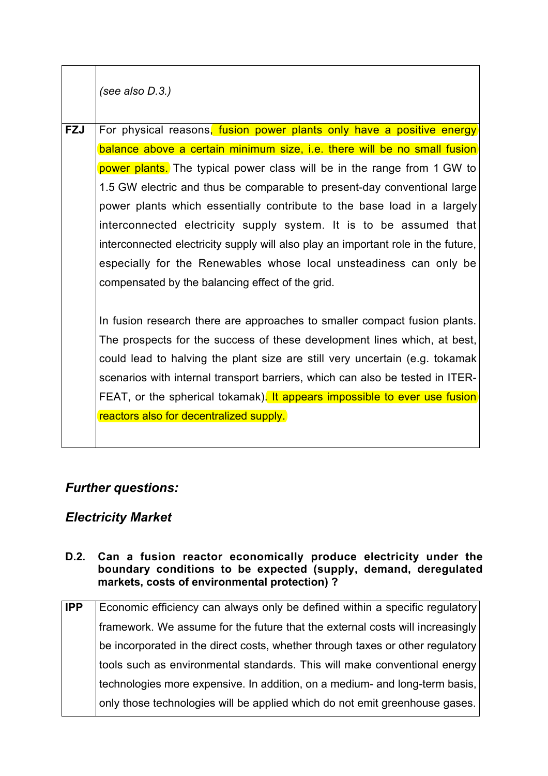*(see also D.3.)*

**FZJ** For physical reasons, fusion power plants only have a positive energy balance above a certain minimum size, i.e. there will be no small fusion power plants. The typical power class will be in the range from 1 GW to 1.5 GW electric and thus be comparable to present-day conventional large power plants which essentially contribute to the base load in a largely interconnected electricity supply system. It is to be assumed that interconnected electricity supply will also play an important role in the future, especially for the Renewables whose local unsteadiness can only be compensated by the balancing effect of the grid.

In fusion research there are approaches to smaller compact fusion plants. The prospects for the success of these development lines which, at best, could lead to halving the plant size are still very uncertain (e.g. tokamak scenarios with internal transport barriers, which can also be tested in ITER-FEAT, or the spherical tokamak). It appears impossible to ever use fusion reactors also for decentralized supply.

# *Further questions:*

## *Electricity Market*

- **D.2. Can a fusion reactor economically produce electricity under the boundary conditions to be expected (supply, demand, deregulated markets, costs of environmental protection) ?**
- **IPP** Economic efficiency can always only be defined within a specific regulatory framework. We assume for the future that the external costs will increasingly be incorporated in the direct costs, whether through taxes or other regulatory tools such as environmental standards. This will make conventional energy technologies more expensive. In addition, on a medium- and long-term basis, only those technologies will be applied which do not emit greenhouse gases.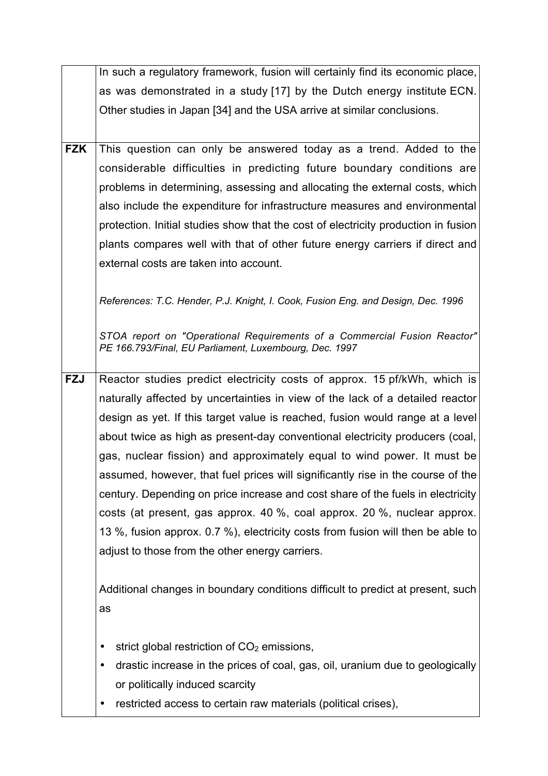|            | In such a regulatory framework, fusion will certainly find its economic place,                                                     |
|------------|------------------------------------------------------------------------------------------------------------------------------------|
|            | as was demonstrated in a study [17] by the Dutch energy institute ECN.                                                             |
|            | Other studies in Japan [34] and the USA arrive at similar conclusions.                                                             |
|            |                                                                                                                                    |
| <b>FZK</b> | This question can only be answered today as a trend. Added to the                                                                  |
|            | considerable difficulties in predicting future boundary conditions are                                                             |
|            | problems in determining, assessing and allocating the external costs, which                                                        |
|            | also include the expenditure for infrastructure measures and environmental                                                         |
|            | protection. Initial studies show that the cost of electricity production in fusion                                                 |
|            | plants compares well with that of other future energy carriers if direct and                                                       |
|            | external costs are taken into account.                                                                                             |
|            |                                                                                                                                    |
|            | References: T.C. Hender, P.J. Knight, I. Cook, Fusion Eng. and Design, Dec. 1996                                                   |
|            |                                                                                                                                    |
|            | STOA report on "Operational Requirements of a Commercial Fusion Reactor"<br>PE 166.793/Final, EU Parliament, Luxembourg, Dec. 1997 |
|            |                                                                                                                                    |
| <b>FZJ</b> | Reactor studies predict electricity costs of approx. 15 pf/kWh, which is                                                           |
|            | naturally affected by uncertainties in view of the lack of a detailed reactor                                                      |
|            | design as yet. If this target value is reached, fusion would range at a level                                                      |
|            | about twice as high as present-day conventional electricity producers (coal,                                                       |
|            | gas, nuclear fission) and approximately equal to wind power. It must be                                                            |
|            | assumed, however, that fuel prices will significantly rise in the course of the                                                    |
|            | century. Depending on price increase and cost share of the fuels in electricity                                                    |
|            | costs (at present, gas approx. 40 %, coal approx. 20 %, nuclear approx.                                                            |
|            | 13 %, fusion approx. 0.7 %), electricity costs from fusion will then be able to                                                    |
|            | adjust to those from the other energy carriers.                                                                                    |
|            |                                                                                                                                    |
|            | Additional changes in boundary conditions difficult to predict at present, such                                                    |
|            | as                                                                                                                                 |
|            |                                                                                                                                    |
|            | strict global restriction of $CO2$ emissions,                                                                                      |
|            | drastic increase in the prices of coal, gas, oil, uranium due to geologically                                                      |
|            | or politically induced scarcity                                                                                                    |
|            | restricted access to certain raw materials (political crises),                                                                     |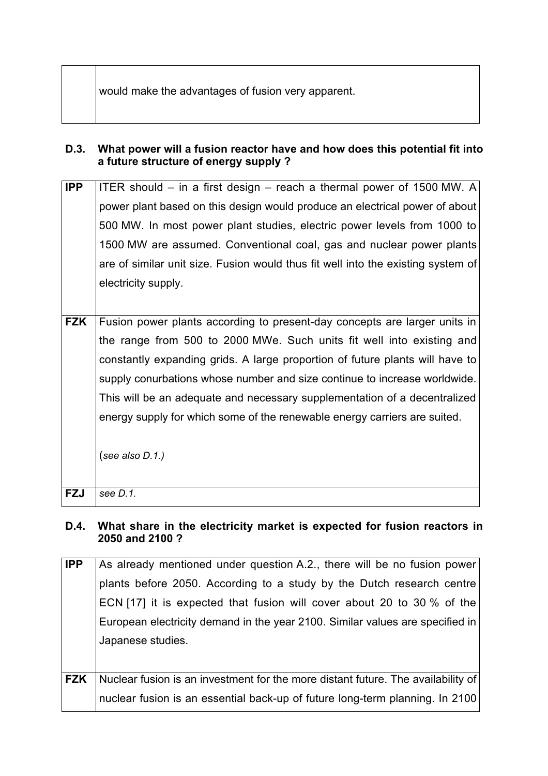## **D.3. What power will a fusion reactor have and how does this potential fit into a future structure of energy supply ?**

| <b>IPP</b> | ITER should $-$ in a first design $-$ reach a thermal power of 1500 MW. A        |
|------------|----------------------------------------------------------------------------------|
|            | power plant based on this design would produce an electrical power of about      |
|            | 500 MW. In most power plant studies, electric power levels from 1000 to          |
|            | 1500 MW are assumed. Conventional coal, gas and nuclear power plants             |
|            | are of similar unit size. Fusion would thus fit well into the existing system of |
|            | electricity supply.                                                              |
|            |                                                                                  |
| <b>FZK</b> | Fusion power plants according to present-day concepts are larger units in        |
|            | the range from 500 to 2000 MWe. Such units fit well into existing and            |

constantly expanding grids. A large proportion of future plants will have to supply conurbations whose number and size continue to increase worldwide. This will be an adequate and necessary supplementation of a decentralized energy supply for which some of the renewable energy carriers are suited.

(*see also D.1.)*

**FZJ** *see D.1.*

## **D.4. What share in the electricity market is expected for fusion reactors in 2050 and 2100 ?**

| <b>IPP</b> | As already mentioned under question A.2., there will be no fusion power          |
|------------|----------------------------------------------------------------------------------|
|            | plants before 2050. According to a study by the Dutch research centre            |
|            | ECN [17] it is expected that fusion will cover about 20 to 30 % of the           |
|            | European electricity demand in the year 2100. Similar values are specified in    |
|            | Japanese studies.                                                                |
|            |                                                                                  |
| <b>FZK</b> | Nuclear fusion is an investment for the more distant future. The availability of |
|            | nuclear fusion is an essential back-up of future long-term planning. In 2100     |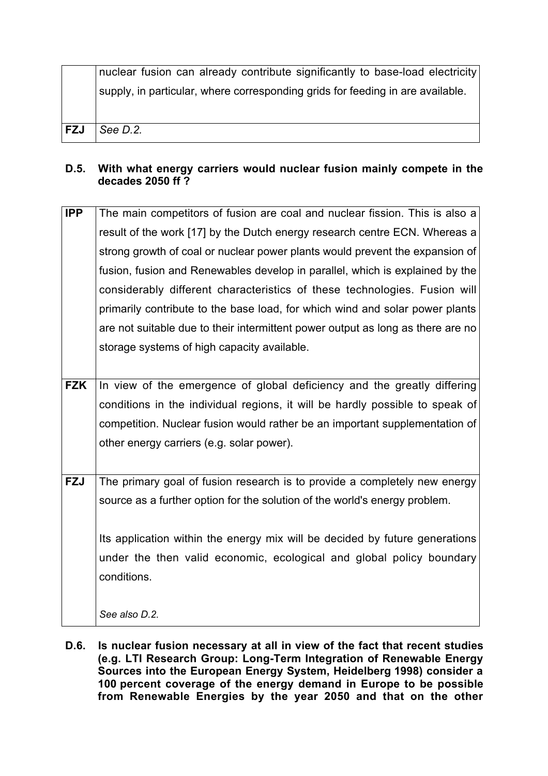|            | nuclear fusion can already contribute significantly to base-load electricity   |
|------------|--------------------------------------------------------------------------------|
|            | supply, in particular, where corresponding grids for feeding in are available. |
|            |                                                                                |
|            |                                                                                |
| <b>FZJ</b> | See <i>D.2.</i>                                                                |
|            |                                                                                |

## **D.5. With what energy carriers would nuclear fusion mainly compete in the decades 2050 ff ?**

| <b>IPP</b> | The main competitors of fusion are coal and nuclear fission. This is also a     |
|------------|---------------------------------------------------------------------------------|
|            | result of the work [17] by the Dutch energy research centre ECN. Whereas a      |
|            | strong growth of coal or nuclear power plants would prevent the expansion of    |
|            | fusion, fusion and Renewables develop in parallel, which is explained by the    |
|            | considerably different characteristics of these technologies. Fusion will       |
|            | primarily contribute to the base load, for which wind and solar power plants    |
|            | are not suitable due to their intermittent power output as long as there are no |
|            | storage systems of high capacity available.                                     |
|            |                                                                                 |
| <b>FZK</b> | In view of the emergence of global deficiency and the greatly differing         |
|            | conditions in the individual regions, it will be hardly possible to speak of    |
|            | competition. Nuclear fusion would rather be an important supplementation of     |
|            | other energy carriers (e.g. solar power).                                       |
|            |                                                                                 |
| <b>FZJ</b> | The primary goal of fusion research is to provide a completely new energy       |
|            | source as a further option for the solution of the world's energy problem.      |
|            |                                                                                 |
|            | Its application within the energy mix will be decided by future generations     |
|            | under the then valid economic, ecological and global policy boundary            |
|            | conditions.                                                                     |
|            |                                                                                 |
|            | See also D.2.                                                                   |

**D.6. Is nuclear fusion necessary at all in view of the fact that recent studies (e.g. LTI Research Group: Long-Term Integration of Renewable Energy Sources into the European Energy System, Heidelberg 1998) consider a 100 percent coverage of the energy demand in Europe to be possible from Renewable Energies by the year 2050 and that on the other**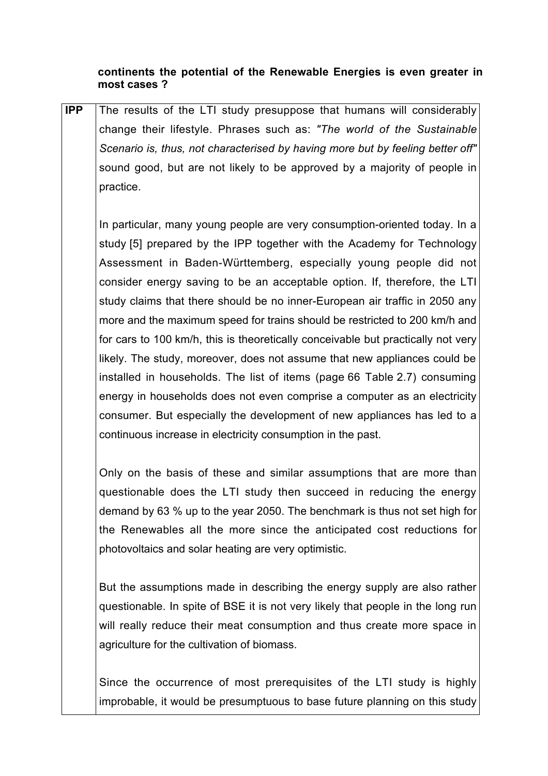#### **continents the potential of the Renewable Energies is even greater in most cases ?**

**IPP** The results of the LTI study presuppose that humans will considerably change their lifestyle. Phrases such as: *"The world of the Sustainable Scenario is, thus, not characterised by having more but by feeling better off"* sound good, but are not likely to be approved by a majority of people in practice.

In particular, many young people are very consumption-oriented today. In a study [5] prepared by the IPP together with the Academy for Technology Assessment in Baden-Württemberg, especially young people did not consider energy saving to be an acceptable option. If, therefore, the LTI study claims that there should be no inner-European air traffic in 2050 any more and the maximum speed for trains should be restricted to 200 km/h and for cars to 100 km/h, this is theoretically conceivable but practically not very likely. The study, moreover, does not assume that new appliances could be installed in households. The list of items (page 66 Table 2.7) consuming energy in households does not even comprise a computer as an electricity consumer. But especially the development of new appliances has led to a continuous increase in electricity consumption in the past.

Only on the basis of these and similar assumptions that are more than questionable does the LTI study then succeed in reducing the energy demand by 63 % up to the year 2050. The benchmark is thus not set high for the Renewables all the more since the anticipated cost reductions for photovoltaics and solar heating are very optimistic.

But the assumptions made in describing the energy supply are also rather questionable. In spite of BSE it is not very likely that people in the long run will really reduce their meat consumption and thus create more space in agriculture for the cultivation of biomass.

Since the occurrence of most prerequisites of the LTI study is highly improbable, it would be presumptuous to base future planning on this study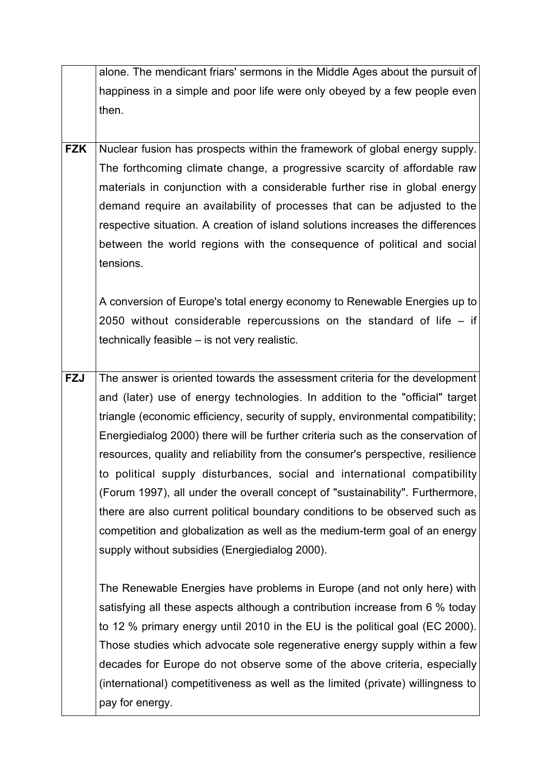|            | alone. The mendicant friars' sermons in the Middle Ages about the pursuit of    |
|------------|---------------------------------------------------------------------------------|
|            | happiness in a simple and poor life were only obeyed by a few people even       |
|            | then.                                                                           |
|            |                                                                                 |
| <b>FZK</b> | Nuclear fusion has prospects within the framework of global energy supply.      |
|            | The forthcoming climate change, a progressive scarcity of affordable raw        |
|            | materials in conjunction with a considerable further rise in global energy      |
|            | demand require an availability of processes that can be adjusted to the         |
|            | respective situation. A creation of island solutions increases the differences  |
|            | between the world regions with the consequence of political and social          |
|            | tensions.                                                                       |
|            |                                                                                 |
|            | A conversion of Europe's total energy economy to Renewable Energies up to       |
|            | 2050 without considerable repercussions on the standard of life $-$ if          |
|            | technically feasible – is not very realistic.                                   |
|            |                                                                                 |
| <b>FZJ</b> | The answer is oriented towards the assessment criteria for the development      |
|            | and (later) use of energy technologies. In addition to the "official" target    |
|            | triangle (economic efficiency, security of supply, environmental compatibility; |
|            | Energiedialog 2000) there will be further criteria such as the conservation of  |
|            | resources, quality and reliability from the consumer's perspective, resilience  |
|            | to political supply disturbances, social and international compatibility        |
|            | (Forum 1997), all under the overall concept of "sustainability". Furthermore,   |
|            | there are also current political boundary conditions to be observed such as     |
|            | competition and globalization as well as the medium-term goal of an energy      |
|            | supply without subsidies (Energiedialog 2000).                                  |
|            |                                                                                 |
|            | The Renewable Energies have problems in Europe (and not only here) with         |
|            | satisfying all these aspects although a contribution increase from 6 % today    |
|            | to 12 % primary energy until 2010 in the EU is the political goal (EC 2000).    |
|            | Those studies which advocate sole regenerative energy supply within a few       |
|            | decades for Europe do not observe some of the above criteria, especially        |
|            | (international) competitiveness as well as the limited (private) willingness to |
|            | pay for energy.                                                                 |
|            |                                                                                 |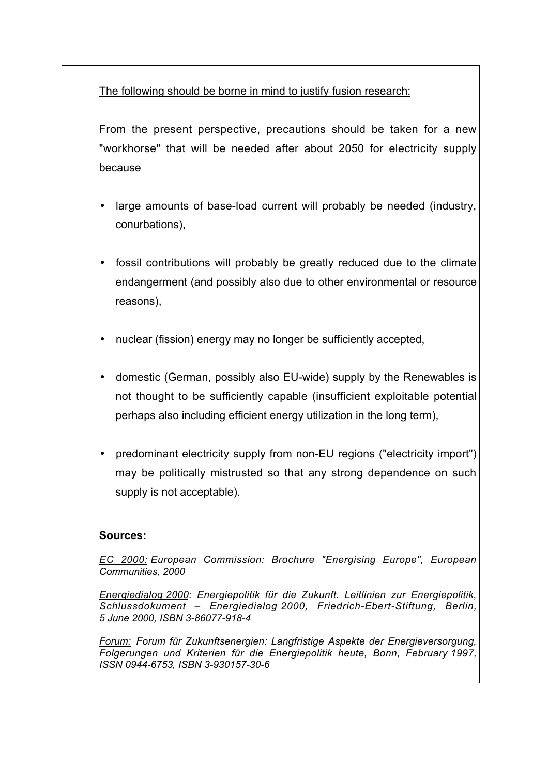The following should be borne in mind to justify fusion research:

From the present perspective, precautions should be taken for a new "workhorse" that will be needed after about 2050 for electricity supply because

- large amounts of base-load current will probably be needed (industry, conurbations),
- fossil contributions will probably be greatly reduced due to the climate endangerment (and possibly also due to other environmental or resource reasons),
- nuclear (fission) energy may no longer be sufficiently accepted,
- domestic (German, possibly also EU-wide) supply by the Renewables is not thought to be sufficiently capable (insufficient exploitable potential perhaps also including efficient energy utilization in the long term),
- predominant electricity supply from non-EU regions ("electricity import") may be politically mistrusted so that any strong dependence on such supply is not acceptable).

## **Sources:**

*EC 2000: European Commission: Brochure "Energising Europe", European Communities, 2000*

*Energiedialog 2000: Energiepolitik für die Zukunft. Leitlinien zur Energiepolitik, Schlussdokument – Energiedialog 2000, Friedrich-Ebert-Stiftung, Berlin, 5 June 2000, ISBN 3-86077-918-4*

*Forum: Forum für Zukunftsenergien: Langfristige Aspekte der Energieversorgung, Folgerungen und Kriterien für die Energiepolitik heute, Bonn, February 1997, ISSN 0944-6753, ISBN 3-930157-30-6*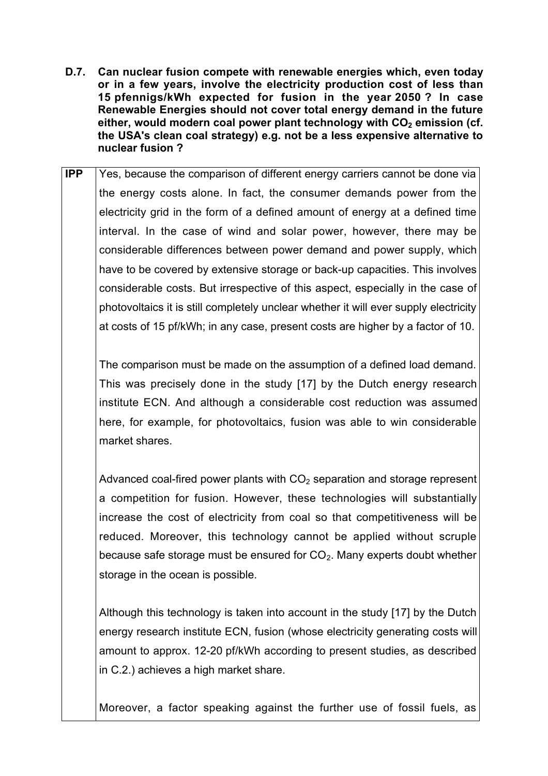- **D.7. Can nuclear fusion compete with renewable energies which, even today or in a few years, involve the electricity production cost of less than 15 pfennigs/kWh expected for fusion in the year 2050 ? In case Renewable Energies should not cover total energy demand in the future** either, would modern coal power plant technology with CO<sub>2</sub> emission (cf. **the USA's clean coal strategy) e.g. not be a less expensive alternative to nuclear fusion ?**
- **IPP** Yes, because the comparison of different energy carriers cannot be done via the energy costs alone. In fact, the consumer demands power from the electricity grid in the form of a defined amount of energy at a defined time interval. In the case of wind and solar power, however, there may be considerable differences between power demand and power supply, which have to be covered by extensive storage or back-up capacities. This involves considerable costs. But irrespective of this aspect, especially in the case of photovoltaics it is still completely unclear whether it will ever supply electricity at costs of 15 pf/kWh; in any case, present costs are higher by a factor of 10.

The comparison must be made on the assumption of a defined load demand. This was precisely done in the study [17] by the Dutch energy research institute ECN. And although a considerable cost reduction was assumed here, for example, for photovoltaics, fusion was able to win considerable market shares.

Advanced coal-fired power plants with  $CO<sub>2</sub>$  separation and storage represent a competition for fusion. However, these technologies will substantially increase the cost of electricity from coal so that competitiveness will be reduced. Moreover, this technology cannot be applied without scruple because safe storage must be ensured for  $CO<sub>2</sub>$ . Many experts doubt whether storage in the ocean is possible.

Although this technology is taken into account in the study [17] by the Dutch energy research institute ECN, fusion (whose electricity generating costs will amount to approx. 12-20 pf/kWh according to present studies, as described in C.2.) achieves a high market share.

Moreover, a factor speaking against the further use of fossil fuels, as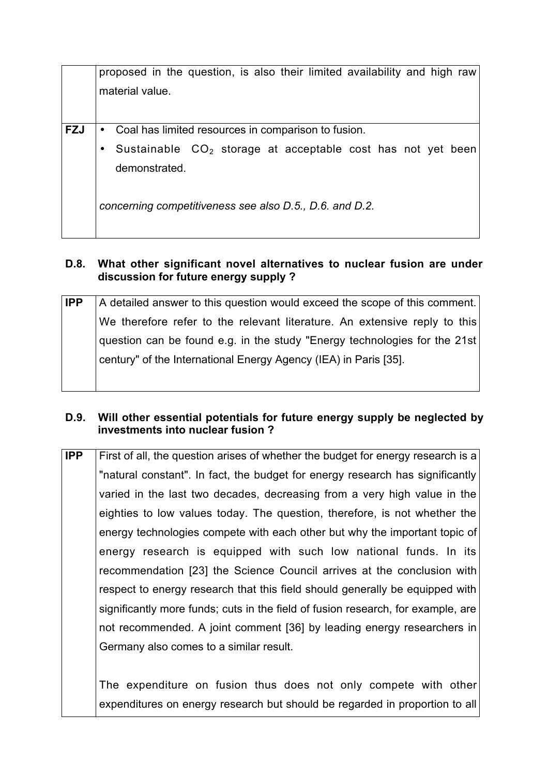| proposed in the question, is also their limited availability and high raw |
|---------------------------------------------------------------------------|
| material value.                                                           |
|                                                                           |
| • Coal has limited resources in comparison to fusion.                     |
| Sustainable CO <sub>2</sub> storage at acceptable cost has not yet been   |
| demonstrated.                                                             |
| concerning competitiveness see also D.5., D.6. and D.2.                   |
|                                                                           |

## **D.8. What other significant novel alternatives to nuclear fusion are under discussion for future energy supply ?**

| <b>IPP</b> | A detailed answer to this question would exceed the scope of this comment. |
|------------|----------------------------------------------------------------------------|
|            | We therefore refer to the relevant literature. An extensive reply to this  |
|            | question can be found e.g. in the study "Energy technologies for the 21st  |
|            | century" of the International Energy Agency (IEA) in Paris [35].           |
|            |                                                                            |

## **D.9. Will other essential potentials for future energy supply be neglected by investments into nuclear fusion ?**

**IPP** First of all, the question arises of whether the budget for energy research is a "natural constant". In fact, the budget for energy research has significantly varied in the last two decades, decreasing from a very high value in the eighties to low values today. The question, therefore, is not whether the energy technologies compete with each other but why the important topic of energy research is equipped with such low national funds. In its recommendation [23] the Science Council arrives at the conclusion with respect to energy research that this field should generally be equipped with significantly more funds; cuts in the field of fusion research, for example, are not recommended. A joint comment [36] by leading energy researchers in Germany also comes to a similar result.

The expenditure on fusion thus does not only compete with other expenditures on energy research but should be regarded in proportion to all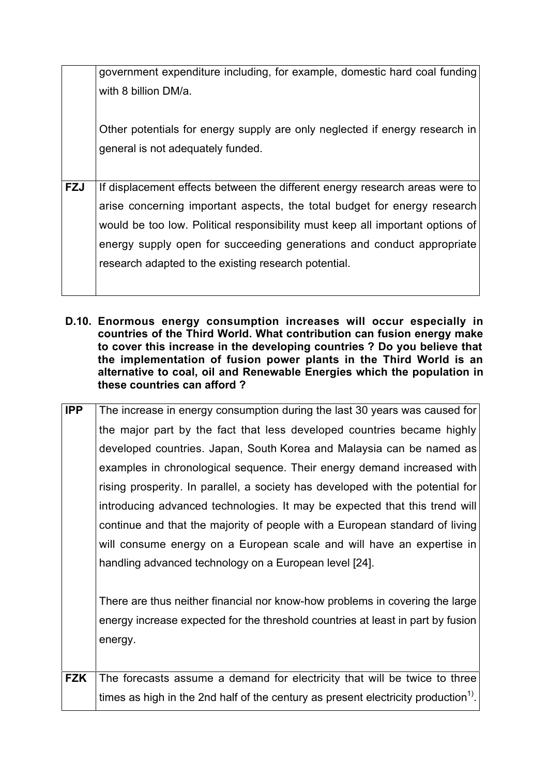|            | government expenditure including, for example, domestic hard coal funding     |
|------------|-------------------------------------------------------------------------------|
|            | with 8 billion DM/a.                                                          |
|            |                                                                               |
|            |                                                                               |
|            | Other potentials for energy supply are only neglected if energy research in   |
|            | general is not adequately funded.                                             |
|            |                                                                               |
|            |                                                                               |
| <b>FZJ</b> | If displacement effects between the different energy research areas were to   |
|            | arise concerning important aspects, the total budget for energy research      |
|            | would be too low. Political responsibility must keep all important options of |
|            | energy supply open for succeeding generations and conduct appropriate         |
|            | research adapted to the existing research potential.                          |
|            |                                                                               |
|            |                                                                               |

**D.10. Enormous energy consumption increases will occur especially in countries of the Third World. What contribution can fusion energy make to cover this increase in the developing countries ? Do you believe that the implementation of fusion power plants in the Third World is an alternative to coal, oil and Renewable Energies which the population in these countries can afford ?**

| <b>IPP</b> | The increase in energy consumption during the last 30 years was caused for      |
|------------|---------------------------------------------------------------------------------|
|            | the major part by the fact that less developed countries became highly          |
|            | developed countries. Japan, South Korea and Malaysia can be named as            |
|            | examples in chronological sequence. Their energy demand increased with          |
|            | rising prosperity. In parallel, a society has developed with the potential for  |
|            | introducing advanced technologies. It may be expected that this trend will      |
|            | continue and that the majority of people with a European standard of living     |
|            | will consume energy on a European scale and will have an expertise in           |
|            | handling advanced technology on a European level [24].                          |
|            |                                                                                 |
|            | There are thus neither financial nor know-how problems in covering the large    |
|            | energy increase expected for the threshold countries at least in part by fusion |
|            | energy.                                                                         |

**FZK** The forecasts assume a demand for electricity that will be twice to three times as high in the 2nd half of the century as present electricity production<sup>1)</sup>.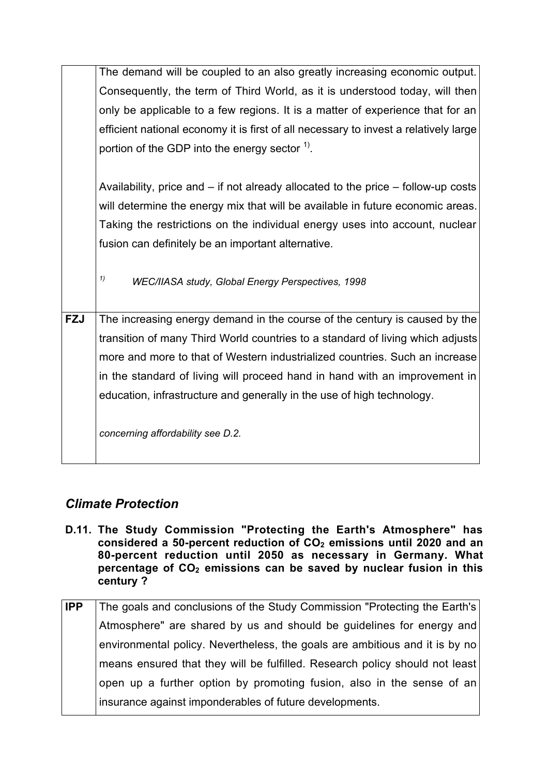|            | The demand will be coupled to an also greatly increasing economic output.             |
|------------|---------------------------------------------------------------------------------------|
|            | Consequently, the term of Third World, as it is understood today, will then           |
|            | only be applicable to a few regions. It is a matter of experience that for an         |
|            | efficient national economy it is first of all necessary to invest a relatively large  |
|            | portion of the GDP into the energy sector $1$ .                                       |
|            |                                                                                       |
|            | Availability, price and $-$ if not already allocated to the price $-$ follow-up costs |
|            | will determine the energy mix that will be available in future economic areas.        |
|            | Taking the restrictions on the individual energy uses into account, nuclear           |
|            | fusion can definitely be an important alternative.                                    |
|            |                                                                                       |
|            | 1)<br>WEC/IIASA study, Global Energy Perspectives, 1998                               |
|            |                                                                                       |
| <b>FZJ</b> | The increasing energy demand in the course of the century is caused by the            |
|            | transition of many Third World countries to a standard of living which adjusts        |
|            | more and more to that of Western industrialized countries. Such an increase           |
|            | in the standard of living will proceed hand in hand with an improvement in            |
|            | education, infrastructure and generally in the use of high technology.                |
|            |                                                                                       |
|            | concerning affordability see D.2.                                                     |
|            |                                                                                       |

# *Climate Protection*

- **D.11. The Study Commission "Protecting the Earth's Atmosphere" has** considered a 50-percent reduction of CO<sub>2</sub> emissions until 2020 and an **80-percent reduction until 2050 as necessary in Germany. What** percentage of CO<sub>2</sub> emissions can be saved by nuclear fusion in this **century ?**
- **IPP** The goals and conclusions of the Study Commission "Protecting the Earth's Atmosphere" are shared by us and should be guidelines for energy and environmental policy. Nevertheless, the goals are ambitious and it is by no means ensured that they will be fulfilled. Research policy should not least open up a further option by promoting fusion, also in the sense of an insurance against imponderables of future developments.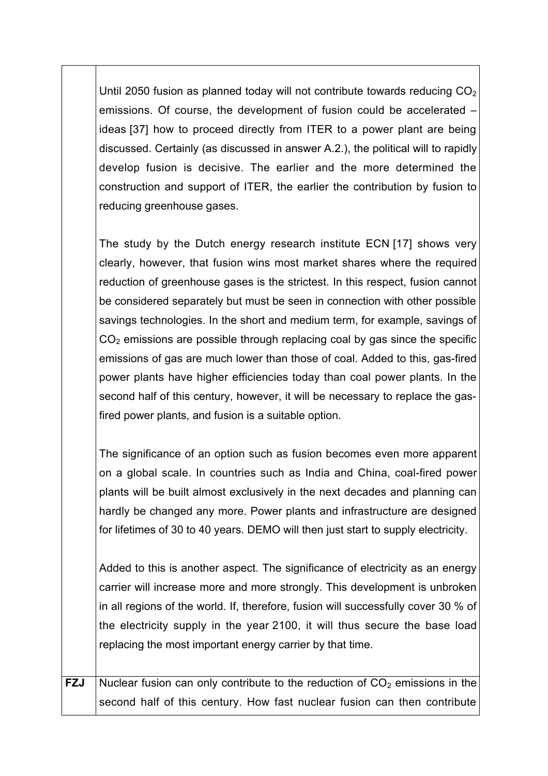Until 2050 fusion as planned today will not contribute towards reducing  $CO<sub>2</sub>$ emissions. Of course, the development of fusion could be accelerated – ideas [37] how to proceed directly from ITER to a power plant are being discussed. Certainly (as discussed in answer A.2.), the political will to rapidly develop fusion is decisive. The earlier and the more determined the construction and support of ITER, the earlier the contribution by fusion to reducing greenhouse gases.

The study by the Dutch energy research institute ECN [17] shows very clearly, however, that fusion wins most market shares where the required reduction of greenhouse gases is the strictest. In this respect, fusion cannot be considered separately but must be seen in connection with other possible savings technologies. In the short and medium term, for example, savings of  $CO<sub>2</sub>$  emissions are possible through replacing coal by gas since the specific emissions of gas are much lower than those of coal. Added to this, gas-fired power plants have higher efficiencies today than coal power plants. In the second half of this century, however, it will be necessary to replace the gasfired power plants, and fusion is a suitable option.

The significance of an option such as fusion becomes even more apparent on a global scale. In countries such as India and China, coal-fired power plants will be built almost exclusively in the next decades and planning can hardly be changed any more. Power plants and infrastructure are designed for lifetimes of 30 to 40 years. DEMO will then just start to supply electricity.

Added to this is another aspect. The significance of electricity as an energy carrier will increase more and more strongly. This development is unbroken in all regions of the world. If, therefore, fusion will successfully cover 30 % of the electricity supply in the year 2100, it will thus secure the base load replacing the most important energy carrier by that time.

**FZJ** Nuclear fusion can only contribute to the reduction of  $CO<sub>2</sub>$  emissions in the second half of this century. How fast nuclear fusion can then contribute